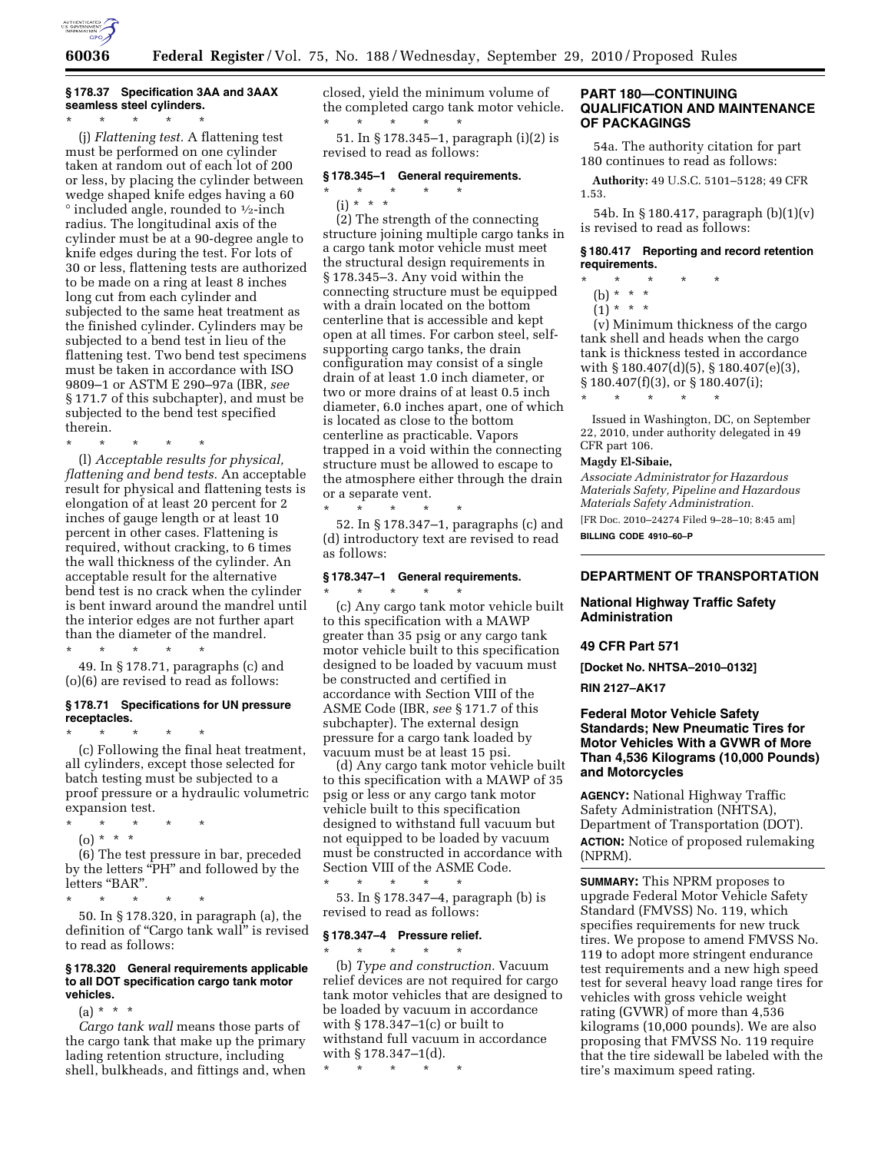

# **§ 178.37 Specification 3AA and 3AAX seamless steel cylinders.**

\* \* \* \* \* (j) *Flattening test.* A flattening test must be performed on one cylinder taken at random out of each lot of 200 or less, by placing the cylinder between wedge shaped knife edges having a 60 ° included angle, rounded to 1⁄2-inch radius. The longitudinal axis of the cylinder must be at a 90-degree angle to knife edges during the test. For lots of 30 or less, flattening tests are authorized to be made on a ring at least 8 inches long cut from each cylinder and subjected to the same heat treatment as the finished cylinder. Cylinders may be subjected to a bend test in lieu of the flattening test. Two bend test specimens must be taken in accordance with ISO 9809–1 or ASTM E 290–97a (IBR, *see*  § 171.7 of this subchapter), and must be subjected to the bend test specified therein.

\* \* \* \* \*

(l) *Acceptable results for physical, flattening and bend tests.* An acceptable result for physical and flattening tests is elongation of at least 20 percent for 2 inches of gauge length or at least 10 percent in other cases. Flattening is required, without cracking, to 6 times the wall thickness of the cylinder. An acceptable result for the alternative bend test is no crack when the cylinder is bent inward around the mandrel until the interior edges are not further apart than the diameter of the mandrel. \* \* \* \* \*

49. In § 178.71, paragraphs (c) and (o)(6) are revised to read as follows:

## **§ 178.71 Specifications for UN pressure receptacles.**

\* \* \* \* \* (c) Following the final heat treatment, all cylinders, except those selected for batch testing must be subjected to a proof pressure or a hydraulic volumetric expansion test.

- \* \* \* \* \*
- (o) \* \* \*

(6) The test pressure in bar, preceded by the letters "PH" and followed by the letters "BAR".

 $\star$   $\star$   $\star$ 

50. In § 178.320, in paragraph (a), the definition of "Cargo tank wall" is revised to read as follows:

### **§ 178.320 General requirements applicable to all DOT specification cargo tank motor vehicles.**

(a) \* \* \*

*Cargo tank wall* means those parts of the cargo tank that make up the primary lading retention structure, including shell, bulkheads, and fittings and, when closed, yield the minimum volume of the completed cargo tank motor vehicle. \* \* \* \* \*

51. In § 178.345–1, paragraph (i)(2) is revised to read as follows:

## **§ 178.345–1 General requirements.**

\* \* \* \* \*  $(i) * * * *$ 

(2) The strength of the connecting structure joining multiple cargo tanks in a cargo tank motor vehicle must meet the structural design requirements in § 178.345–3. Any void within the connecting structure must be equipped with a drain located on the bottom centerline that is accessible and kept open at all times. For carbon steel, selfsupporting cargo tanks, the drain configuration may consist of a single drain of at least 1.0 inch diameter, or two or more drains of at least 0.5 inch diameter, 6.0 inches apart, one of which is located as close to the bottom centerline as practicable. Vapors trapped in a void within the connecting structure must be allowed to escape to the atmosphere either through the drain or a separate vent.

52. In § 178.347–1, paragraphs (c) and (d) introductory text are revised to read as follows:

## **§ 178.347–1 General requirements.**  \* \* \* \* \*

\* \* \* \* \*

(c) Any cargo tank motor vehicle built to this specification with a MAWP greater than 35 psig or any cargo tank motor vehicle built to this specification designed to be loaded by vacuum must be constructed and certified in accordance with Section VIII of the ASME Code (IBR, *see* § 171.7 of this subchapter). The external design pressure for a cargo tank loaded by vacuum must be at least 15 psi.

(d) Any cargo tank motor vehicle built to this specification with a MAWP of 35 psig or less or any cargo tank motor vehicle built to this specification designed to withstand full vacuum but not equipped to be loaded by vacuum must be constructed in accordance with Section VIII of the ASME Code.

\* \* \* \* \* 53. In § 178.347–4, paragraph (b) is revised to read as follows:

#### **§ 178.347–4 Pressure relief.**  \* \* \* \* \*

(b) *Type and construction.* Vacuum relief devices are not required for cargo tank motor vehicles that are designed to be loaded by vacuum in accordance with § 178.347–1(c) or built to withstand full vacuum in accordance with § 178.347–1(d).

\* \* \* \* \*

## **PART 180—CONTINUING QUALIFICATION AND MAINTENANCE OF PACKAGINGS**

54a. The authority citation for part 180 continues to read as follows:

**Authority:** 49 U.S.C. 5101–5128; 49 CFR 1.53.

54b. In § 180.417, paragraph (b)(1)(v) is revised to read as follows:

**§ 180.417 Reporting and record retention requirements.** 

\* \* \* \* \*

\* \* \* \* \*

- (b) \* \* \*
- $(1) * * * *$

(v) Minimum thickness of the cargo tank shell and heads when the cargo tank is thickness tested in accordance with § 180.407(d)(5), § 180.407(e)(3), § 180.407(f)(3), or § 180.407(i);

Issued in Washington, DC, on September 22, 2010, under authority delegated in 49 CFR part 106.

## **Magdy El-Sibaie,**

*Associate Administrator for Hazardous Materials Safety, Pipeline and Hazardous Materials Safety Administration.* 

[FR Doc. 2010–24274 Filed 9–28–10; 8:45 am]

**BILLING CODE 4910–60–P** 

## **DEPARTMENT OF TRANSPORTATION**

## **National Highway Traffic Safety Administration**

## **49 CFR Part 571**

**[Docket No. NHTSA–2010–0132]** 

**RIN 2127–AK17** 

## **Federal Motor Vehicle Safety Standards; New Pneumatic Tires for Motor Vehicles With a GVWR of More Than 4,536 Kilograms (10,000 Pounds) and Motorcycles**

**AGENCY:** National Highway Traffic Safety Administration (NHTSA), Department of Transportation (DOT). **ACTION:** Notice of proposed rulemaking (NPRM).

**SUMMARY:** This NPRM proposes to upgrade Federal Motor Vehicle Safety Standard (FMVSS) No. 119, which specifies requirements for new truck tires. We propose to amend FMVSS No. 119 to adopt more stringent endurance test requirements and a new high speed test for several heavy load range tires for vehicles with gross vehicle weight rating (GVWR) of more than 4,536 kilograms (10,000 pounds). We are also proposing that FMVSS No. 119 require that the tire sidewall be labeled with the tire's maximum speed rating.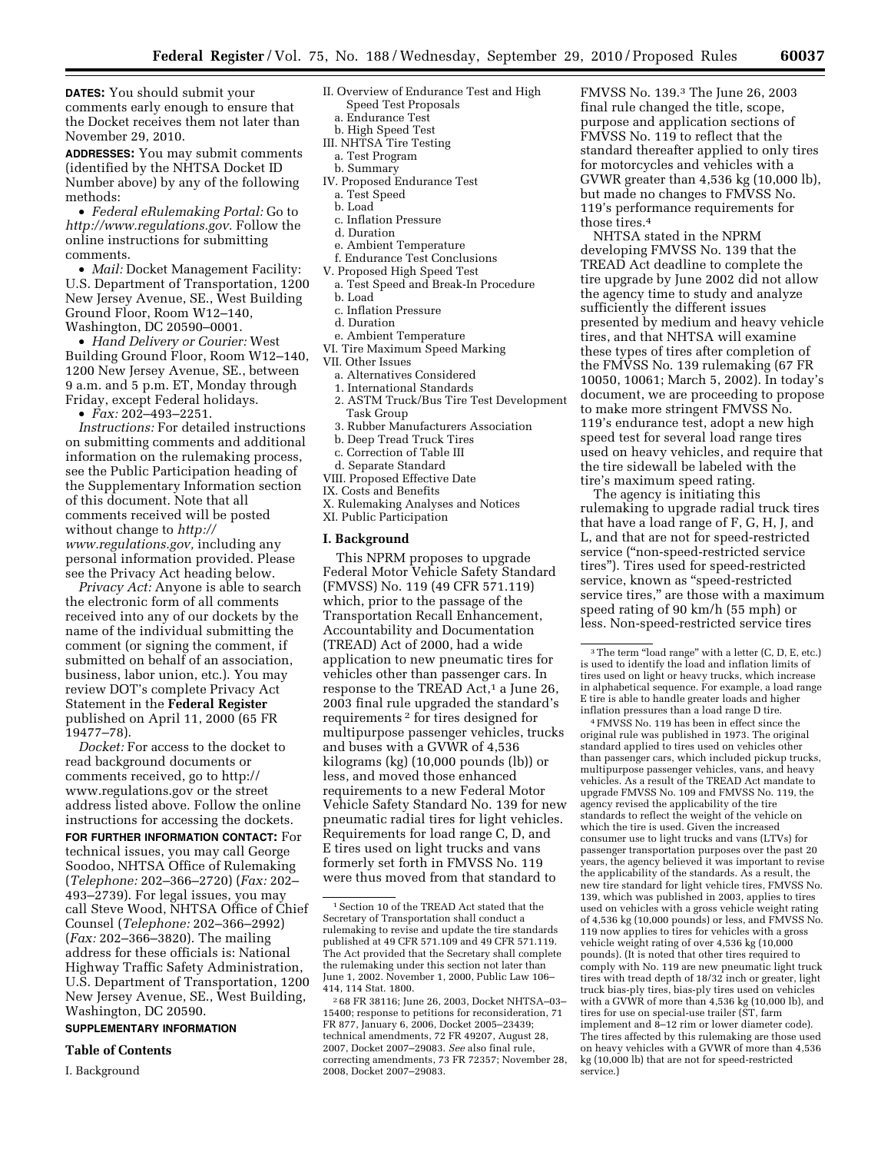**DATES:** You should submit your comments early enough to ensure that the Docket receives them not later than November 29, 2010.

**ADDRESSES:** You may submit comments (identified by the NHTSA Docket ID Number above) by any of the following methods:

• *Federal eRulemaking Portal:* Go to *[http://www.regulations.gov.](http://www.regulations.gov)* Follow the online instructions for submitting comments.

• *Mail:* Docket Management Facility: U.S. Department of Transportation, 1200 New Jersey Avenue, SE., West Building Ground Floor, Room W12–140, Washington, DC 20590–0001.

• *Hand Delivery or Courier:* West Building Ground Floor, Room W12–140, 1200 New Jersey Avenue, SE., between 9 a.m. and 5 p.m. ET, Monday through Friday, except Federal holidays.

• *Fax:* 202–493–2251.

*Instructions:* For detailed instructions on submitting comments and additional information on the rulemaking process, see the Public Participation heading of the Supplementary Information section of this document. Note that all comments received will be posted without change to *[http://](http://www.regulations.gov) [www.regulations.gov,](http://www.regulations.gov)* including any personal information provided. Please see the Privacy Act heading below.

*Privacy Act:* Anyone is able to search the electronic form of all comments received into any of our dockets by the name of the individual submitting the comment (or signing the comment, if submitted on behalf of an association, business, labor union, etc.). You may review DOT's complete Privacy Act Statement in the **Federal Register**  published on April 11, 2000 (65 FR 19477–78).

*Docket:* For access to the docket to read background documents or comments received, go to [http://](http://www.regulations.gov)  [www.regulations.gov](http://www.regulations.gov) or the street address listed above. Follow the online instructions for accessing the dockets.

**FOR FURTHER INFORMATION CONTACT:** For technical issues, you may call George Soodoo, NHTSA Office of Rulemaking (*Telephone:* 202–366–2720) (*Fax:* 202– 493–2739). For legal issues, you may call Steve Wood, NHTSA Office of Chief Counsel (*Telephone:* 202–366–2992) (*Fax:* 202–366–3820). The mailing address for these officials is: National Highway Traffic Safety Administration, U.S. Department of Transportation, 1200 New Jersey Avenue, SE., West Building, Washington, DC 20590.

## **SUPPLEMENTARY INFORMATION**

#### **Table of Contents**

I. Background

- II. Overview of Endurance Test and High Speed Test Proposals
- a. Endurance Test
- b. High Speed Test
- III. NHTSA Tire Testing a. Test Program
- b. Summary
- IV. Proposed Endurance Test a. Test Speed
	- b. Load
	- c. Inflation Pressure
	- d. Duration
	- e. Ambient Temperature
	- f. Endurance Test Conclusions
- V. Proposed High Speed Test
- a. Test Speed and Break-In Procedure
- b. Load
- c. Inflation Pressure
- d. Duration
- e. Ambient Temperature
- VI. Tire Maximum Speed Marking
- VII. Other Issues
	- a. Alternatives Considered
	- 1. International Standards
	- 2. ASTM Truck/Bus Tire Test Development Task Group
	- 3. Rubber Manufacturers Association
	- b. Deep Tread Truck Tires
	- c. Correction of Table III
- d. Separate Standard
- VIII. Proposed Effective Date
- IX. Costs and Benefits
- X. Rulemaking Analyses and Notices XI. Public Participation

#### **I. Background**

This NPRM proposes to upgrade Federal Motor Vehicle Safety Standard (FMVSS) No. 119 (49 CFR 571.119) which, prior to the passage of the Transportation Recall Enhancement, Accountability and Documentation (TREAD) Act of 2000, had a wide application to new pneumatic tires for vehicles other than passenger cars. In response to the TREAD Act,<sup>1</sup> a June 26, 2003 final rule upgraded the standard's requirements 2 for tires designed for multipurpose passenger vehicles, trucks and buses with a GVWR of 4,536 kilograms (kg) (10,000 pounds (lb)) or less, and moved those enhanced requirements to a new Federal Motor Vehicle Safety Standard No. 139 for new pneumatic radial tires for light vehicles. Requirements for load range C, D, and E tires used on light trucks and vans formerly set forth in FMVSS No. 119 were thus moved from that standard to

FMVSS No. 139.3 The June 26, 2003 final rule changed the title, scope, purpose and application sections of FMVSS No. 119 to reflect that the standard thereafter applied to only tires for motorcycles and vehicles with a GVWR greater than 4,536 kg (10,000 lb), but made no changes to FMVSS No. 119's performance requirements for those tires.4

NHTSA stated in the NPRM developing FMVSS No. 139 that the TREAD Act deadline to complete the tire upgrade by June 2002 did not allow the agency time to study and analyze sufficiently the different issues presented by medium and heavy vehicle tires, and that NHTSA will examine these types of tires after completion of the FMVSS No. 139 rulemaking (67 FR 10050, 10061; March 5, 2002). In today's document, we are proceeding to propose to make more stringent FMVSS No. 119's endurance test, adopt a new high speed test for several load range tires used on heavy vehicles, and require that the tire sidewall be labeled with the tire's maximum speed rating.

The agency is initiating this rulemaking to upgrade radial truck tires that have a load range of F, G, H, J, and L, and that are not for speed-restricted service (''non-speed-restricted service tires''). Tires used for speed-restricted service, known as ''speed-restricted service tires," are those with a maximum speed rating of 90 km/h (55 mph) or less. Non-speed-restricted service tires

4FMVSS No. 119 has been in effect since the original rule was published in 1973. The original standard applied to tires used on vehicles other than passenger cars, which included pickup trucks, multipurpose passenger vehicles, vans, and heavy vehicles. As a result of the TREAD Act mandate to upgrade FMVSS No. 109 and FMVSS No. 119, the agency revised the applicability of the tire standards to reflect the weight of the vehicle on which the tire is used. Given the increased consumer use to light trucks and vans (LTVs) for passenger transportation purposes over the past 20 years, the agency believed it was important to revise the applicability of the standards. As a result, the new tire standard for light vehicle tires, FMVSS No. 139, which was published in 2003, applies to tires used on vehicles with a gross vehicle weight rating of 4,536 kg (10,000 pounds) or less, and FMVSS No. 119 now applies to tires for vehicles with a gross vehicle weight rating of over 4,536 kg (10,000 pounds). (It is noted that other tires required to comply with No. 119 are new pneumatic light truck tires with tread depth of 18/32 inch or greater, light truck bias-ply tires, bias-ply tires used on vehicles with a GVWR of more than 4,536 kg (10,000 lb), and tires for use on special-use trailer (ST, farm implement and 8–12 rim or lower diameter code). The tires affected by this rulemaking are those used on heavy vehicles with a GVWR of more than 4,536 kg (10,000 lb) that are not for speed-restricted service.)

<sup>1</sup>Section 10 of the TREAD Act stated that the Secretary of Transportation shall conduct a rulemaking to revise and update the tire standards published at 49 CFR 571.109 and 49 CFR 571.119. The Act provided that the Secretary shall complete the rulemaking under this section not later than June 1, 2002. November 1, 2000, Public Law 106– 414, 114 Stat. 1800.

<sup>2</sup> 68 FR 38116; June 26, 2003, Docket NHTSA–03– 15400; response to petitions for reconsideration, 71 FR 877, January 6, 2006, Docket 2005–23439; technical amendments, 72 FR 49207, August 28, 2007, Docket 2007–29083. *See* also final rule, correcting amendments, 73 FR 72357; November 28, 2008, Docket 2007–29083.

<sup>&</sup>lt;sup>3</sup>The term "load range" with a letter (C, D, E, etc.) is used to identify the load and inflation limits of tires used on light or heavy trucks, which increase in alphabetical sequence. For example, a load range E tire is able to handle greater loads and higher inflation pressures than a load range D tire.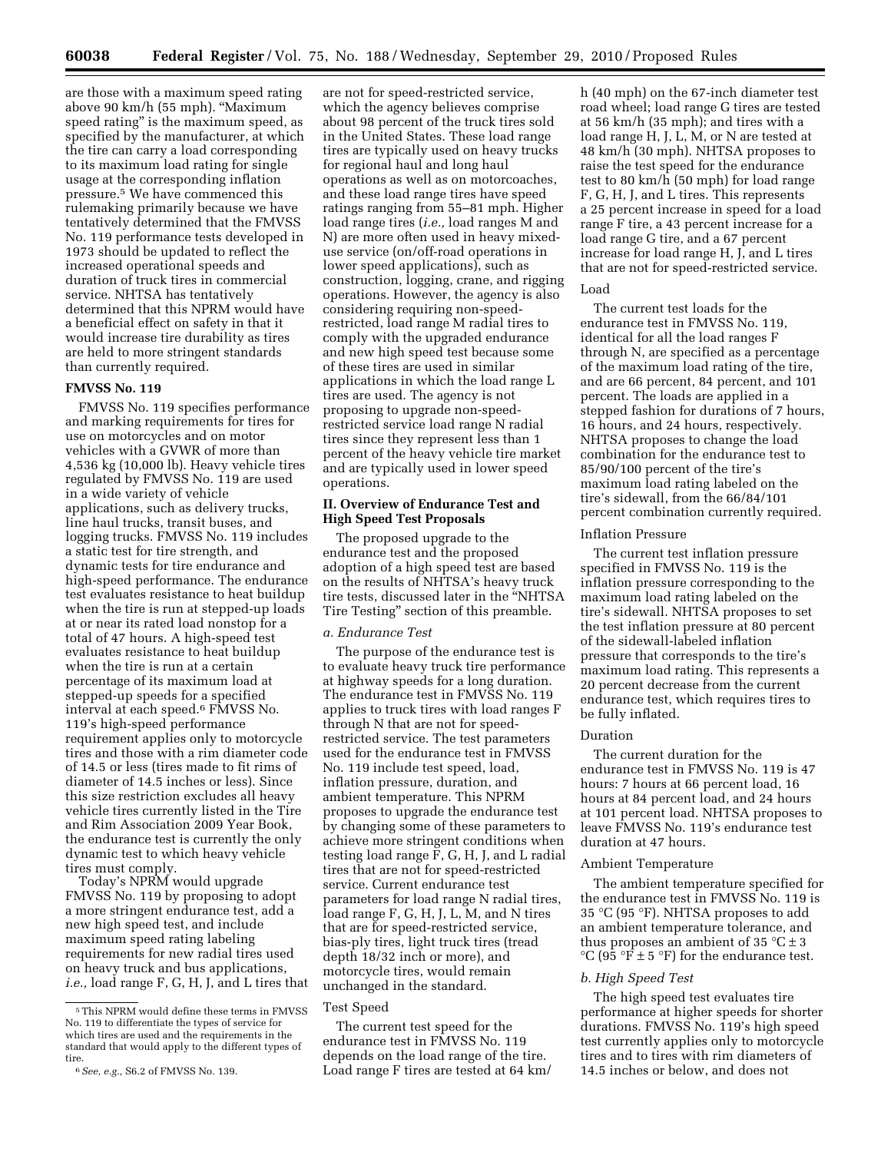are those with a maximum speed rating above 90 km/h (55 mph). ''Maximum speed rating'' is the maximum speed, as specified by the manufacturer, at which the tire can carry a load corresponding to its maximum load rating for single usage at the corresponding inflation pressure.5 We have commenced this rulemaking primarily because we have tentatively determined that the FMVSS No. 119 performance tests developed in 1973 should be updated to reflect the increased operational speeds and duration of truck tires in commercial service. NHTSA has tentatively determined that this NPRM would have a beneficial effect on safety in that it would increase tire durability as tires are held to more stringent standards than currently required.

## **FMVSS No. 119**

FMVSS No. 119 specifies performance and marking requirements for tires for use on motorcycles and on motor vehicles with a GVWR of more than 4,536 kg (10,000 lb). Heavy vehicle tires regulated by FMVSS No. 119 are used in a wide variety of vehicle applications, such as delivery trucks, line haul trucks, transit buses, and logging trucks. FMVSS No. 119 includes a static test for tire strength, and dynamic tests for tire endurance and high-speed performance. The endurance test evaluates resistance to heat buildup when the tire is run at stepped-up loads at or near its rated load nonstop for a total of 47 hours. A high-speed test evaluates resistance to heat buildup when the tire is run at a certain percentage of its maximum load at stepped-up speeds for a specified interval at each speed.6 FMVSS No. 119's high-speed performance requirement applies only to motorcycle tires and those with a rim diameter code of 14.5 or less (tires made to fit rims of diameter of 14.5 inches or less). Since this size restriction excludes all heavy vehicle tires currently listed in the Tire and Rim Association 2009 Year Book, the endurance test is currently the only dynamic test to which heavy vehicle tires must comply.

Today's NPRM would upgrade FMVSS No. 119 by proposing to adopt a more stringent endurance test, add a new high speed test, and include maximum speed rating labeling requirements for new radial tires used on heavy truck and bus applications, *i.e.,* load range F, G, H, J, and L tires that

are not for speed-restricted service, which the agency believes comprise about 98 percent of the truck tires sold in the United States. These load range tires are typically used on heavy trucks for regional haul and long haul operations as well as on motorcoaches, and these load range tires have speed ratings ranging from 55–81 mph. Higher load range tires (*i.e.,* load ranges M and N) are more often used in heavy mixeduse service (on/off-road operations in lower speed applications), such as construction, logging, crane, and rigging operations. However, the agency is also considering requiring non-speedrestricted, load range M radial tires to comply with the upgraded endurance and new high speed test because some of these tires are used in similar applications in which the load range L tires are used. The agency is not proposing to upgrade non-speedrestricted service load range N radial tires since they represent less than 1 percent of the heavy vehicle tire market and are typically used in lower speed operations.

## **II. Overview of Endurance Test and High Speed Test Proposals**

The proposed upgrade to the endurance test and the proposed adoption of a high speed test are based on the results of NHTSA's heavy truck tire tests, discussed later in the ''NHTSA Tire Testing'' section of this preamble.

## *a. Endurance Test*

The purpose of the endurance test is to evaluate heavy truck tire performance at highway speeds for a long duration. The endurance test in FMVSS No. 119 applies to truck tires with load ranges F through N that are not for speedrestricted service. The test parameters used for the endurance test in FMVSS No. 119 include test speed, load, inflation pressure, duration, and ambient temperature. This NPRM proposes to upgrade the endurance test by changing some of these parameters to achieve more stringent conditions when testing load range F, G, H, J, and L radial tires that are not for speed-restricted service. Current endurance test parameters for load range N radial tires, load range F, G, H, J, L, M, and N tires that are for speed-restricted service, bias-ply tires, light truck tires (tread depth 18/32 inch or more), and motorcycle tires, would remain unchanged in the standard.

#### Test Speed

The current test speed for the endurance test in FMVSS No. 119 depends on the load range of the tire. Load range F tires are tested at 64 km/ h (40 mph) on the 67-inch diameter test road wheel; load range G tires are tested at 56 km/h (35 mph); and tires with a load range H, J, L, M, or N are tested at 48 km/h (30 mph). NHTSA proposes to raise the test speed for the endurance test to 80 km/h (50 mph) for load range F, G, H, J, and L tires. This represents a 25 percent increase in speed for a load range F tire, a 43 percent increase for a load range G tire, and a 67 percent increase for load range H, J, and L tires that are not for speed-restricted service.

#### Load

The current test loads for the endurance test in FMVSS No. 119, identical for all the load ranges F through N, are specified as a percentage of the maximum load rating of the tire, and are 66 percent, 84 percent, and 101 percent. The loads are applied in a stepped fashion for durations of 7 hours, 16 hours, and 24 hours, respectively. NHTSA proposes to change the load combination for the endurance test to 85/90/100 percent of the tire's maximum load rating labeled on the tire's sidewall, from the 66/84/101 percent combination currently required.

### Inflation Pressure

The current test inflation pressure specified in FMVSS No. 119 is the inflation pressure corresponding to the maximum load rating labeled on the tire's sidewall. NHTSA proposes to set the test inflation pressure at 80 percent of the sidewall-labeled inflation pressure that corresponds to the tire's maximum load rating. This represents a 20 percent decrease from the current endurance test, which requires tires to be fully inflated.

#### Duration

The current duration for the endurance test in FMVSS No. 119 is 47 hours: 7 hours at 66 percent load, 16 hours at 84 percent load, and 24 hours at 101 percent load. NHTSA proposes to leave FMVSS No. 119's endurance test duration at 47 hours.

### Ambient Temperature

The ambient temperature specified for the endurance test in FMVSS No. 119 is 35 °C (95 °F). NHTSA proposes to add an ambient temperature tolerance, and thus proposes an ambient of 35  $°C \pm 3$ °C (95 °F  $\pm$  5 °F) for the endurance test.

#### *b. High Speed Test*

The high speed test evaluates tire performance at higher speeds for shorter durations. FMVSS No. 119's high speed test currently applies only to motorcycle tires and to tires with rim diameters of 14.5 inches or below, and does not

<sup>5</sup>This NPRM would define these terms in FMVSS No. 119 to differentiate the types of service for which tires are used and the requirements in the standard that would apply to the different types of tire

<sup>6</sup>*See, e.g.,* S6.2 of FMVSS No. 139.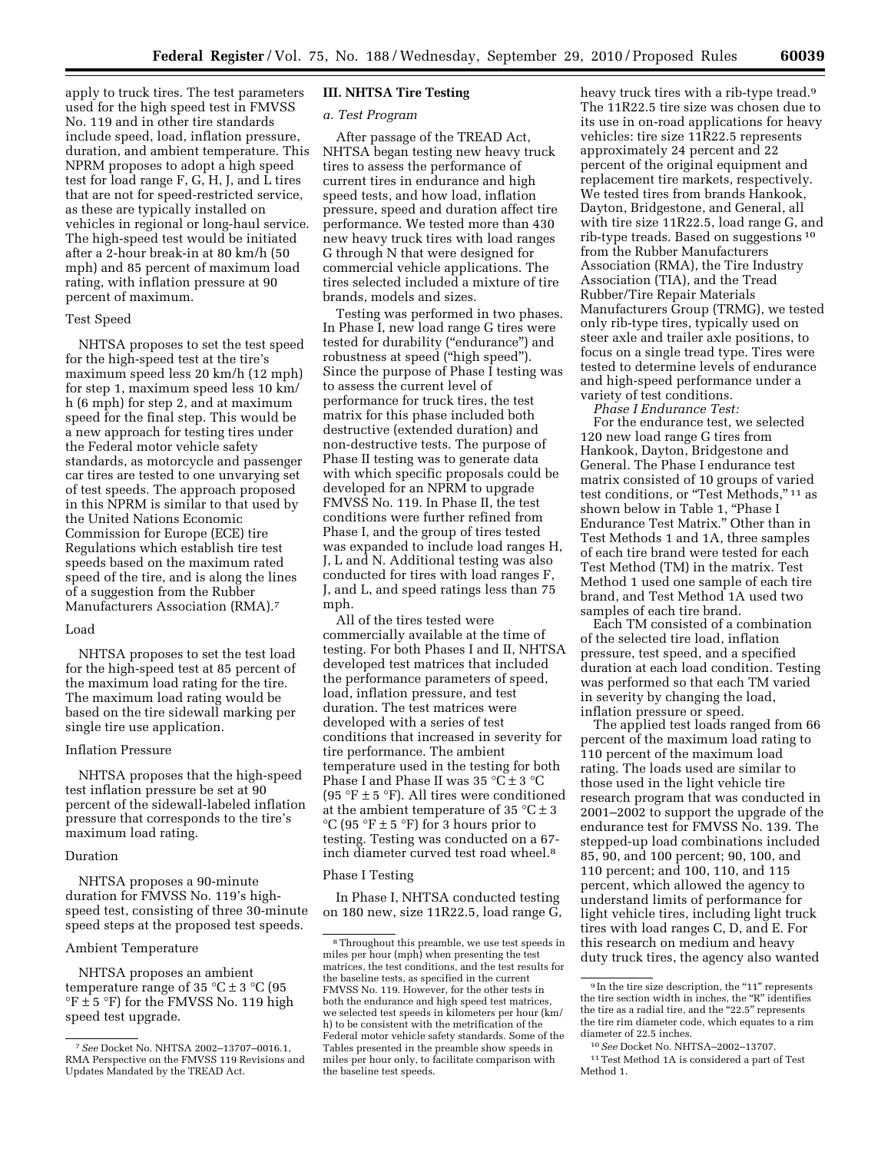apply to truck tires. The test parameters used for the high speed test in FMVSS No. 119 and in other tire standards include speed, load, inflation pressure, duration, and ambient temperature. This NPRM proposes to adopt a high speed test for load range F, G, H, J, and L tires that are not for speed-restricted service, as these are typically installed on vehicles in regional or long-haul service. The high-speed test would be initiated after a 2-hour break-in at 80 km/h (50 mph) and 85 percent of maximum load rating, with inflation pressure at 90 percent of maximum.

## Test Speed

NHTSA proposes to set the test speed for the high-speed test at the tire's maximum speed less 20 km/h (12 mph) for step 1, maximum speed less 10 km/ h (6 mph) for step 2, and at maximum speed for the final step. This would be a new approach for testing tires under the Federal motor vehicle safety standards, as motorcycle and passenger car tires are tested to one unvarying set of test speeds. The approach proposed in this NPRM is similar to that used by the United Nations Economic Commission for Europe (ECE) tire Regulations which establish tire test speeds based on the maximum rated speed of the tire, and is along the lines of a suggestion from the Rubber Manufacturers Association (RMA).7

### Load

NHTSA proposes to set the test load for the high-speed test at 85 percent of the maximum load rating for the tire. The maximum load rating would be based on the tire sidewall marking per single tire use application.

#### Inflation Pressure

NHTSA proposes that the high-speed test inflation pressure be set at 90 percent of the sidewall-labeled inflation pressure that corresponds to the tire's maximum load rating.

## Duration

NHTSA proposes a 90-minute duration for FMVSS No. 119's highspeed test, consisting of three 30-minute speed steps at the proposed test speeds.

#### Ambient Temperature

NHTSA proposes an ambient temperature range of 35  $\degree$ C  $\pm$  3  $\degree$ C (95  $\mathrm{P}$   $\pm$  5  $\mathrm{P}$  for the FMVSS No. 119 high speed test upgrade.

## **III. NHTSA Tire Testing**

#### *a. Test Program*

After passage of the TREAD Act, NHTSA began testing new heavy truck tires to assess the performance of current tires in endurance and high speed tests, and how load, inflation pressure, speed and duration affect tire performance. We tested more than 430 new heavy truck tires with load ranges G through N that were designed for commercial vehicle applications. The tires selected included a mixture of tire brands, models and sizes.

Testing was performed in two phases. In Phase I, new load range G tires were tested for durability ("endurance") and robustness at speed (''high speed''). Since the purpose of Phase I testing was to assess the current level of performance for truck tires, the test matrix for this phase included both destructive (extended duration) and non-destructive tests. The purpose of Phase II testing was to generate data with which specific proposals could be developed for an NPRM to upgrade FMVSS No. 119. In Phase II, the test conditions were further refined from Phase I, and the group of tires tested was expanded to include load ranges H, J, L and N. Additional testing was also conducted for tires with load ranges F, J, and L, and speed ratings less than 75 mph.

All of the tires tested were commercially available at the time of testing. For both Phases I and II, NHTSA developed test matrices that included the performance parameters of speed, load, inflation pressure, and test duration. The test matrices were developed with a series of test conditions that increased in severity for tire performance. The ambient temperature used in the testing for both Phase I and Phase II was  $35 \text{ °C} \pm 3 \text{ °C}$ (95 °F  $\pm$  5 °F). All tires were conditioned at the ambient temperature of 35  $^{\circ}$ C  $\pm$  3  $^{\circ}C$  (95  $^{\circ}F \pm 5$   $^{\circ}F$ ) for 3 hours prior to testing. Testing was conducted on a 67 inch diameter curved test road wheel.8

#### Phase I Testing

In Phase I, NHTSA conducted testing on 180 new, size 11R22.5, load range G, heavy truck tires with a rib-type tread.<sup>9</sup> The 11R22.5 tire size was chosen due to its use in on-road applications for heavy vehicles: tire size 11R22.5 represents approximately 24 percent and 22 percent of the original equipment and replacement tire markets, respectively. We tested tires from brands Hankook, Dayton, Bridgestone, and General, all with tire size 11R22.5, load range G, and rib-type treads. Based on suggestions 10 from the Rubber Manufacturers Association (RMA), the Tire Industry Association (TIA), and the Tread Rubber/Tire Repair Materials Manufacturers Group (TRMG), we tested only rib-type tires, typically used on steer axle and trailer axle positions, to focus on a single tread type. Tires were tested to determine levels of endurance and high-speed performance under a variety of test conditions.

*Phase I Endurance Test:* 

For the endurance test, we selected 120 new load range G tires from Hankook, Dayton, Bridgestone and General. The Phase I endurance test matrix consisted of 10 groups of varied test conditions, or "Test Methods," 11 as shown below in Table 1, "Phase I Endurance Test Matrix.'' Other than in Test Methods 1 and 1A, three samples of each tire brand were tested for each Test Method (TM) in the matrix. Test Method 1 used one sample of each tire brand, and Test Method 1A used two samples of each tire brand.

Each TM consisted of a combination of the selected tire load, inflation pressure, test speed, and a specified duration at each load condition. Testing was performed so that each TM varied in severity by changing the load, inflation pressure or speed.

The applied test loads ranged from 66 percent of the maximum load rating to 110 percent of the maximum load rating. The loads used are similar to those used in the light vehicle tire research program that was conducted in 2001–2002 to support the upgrade of the endurance test for FMVSS No. 139. The stepped-up load combinations included 85, 90, and 100 percent; 90, 100, and 110 percent; and 100, 110, and 115 percent, which allowed the agency to understand limits of performance for light vehicle tires, including light truck tires with load ranges C, D, and E. For this research on medium and heavy duty truck tires, the agency also wanted

<sup>7</sup>*See* Docket No. NHTSA 2002–13707–0016.1, RMA Perspective on the FMVSS 119 Revisions and Updates Mandated by the TREAD Act.

<sup>8</sup>Throughout this preamble, we use test speeds in miles per hour (mph) when presenting the test matrices, the test conditions, and the test results for the baseline tests, as specified in the current FMVSS No. 119. However, for the other tests in both the endurance and high speed test matrices, we selected test speeds in kilometers per hour (km/ h) to be consistent with the metrification of the Federal motor vehicle safety standards. Some of the Tables presented in the preamble show speeds in miles per hour only, to facilitate comparison with the baseline test speeds.

<sup>&</sup>lt;sup>9</sup> In the tire size description, the "11" represents the tire section width in inches, the "R" identifies the tire as a radial tire, and the "22.5" represents the tire rim diameter code, which equates to a rim diameter of 22.5 inches.

<sup>10</sup>*See* Docket No. NHTSA–2002–13707. 11Test Method 1A is considered a part of Test Method 1.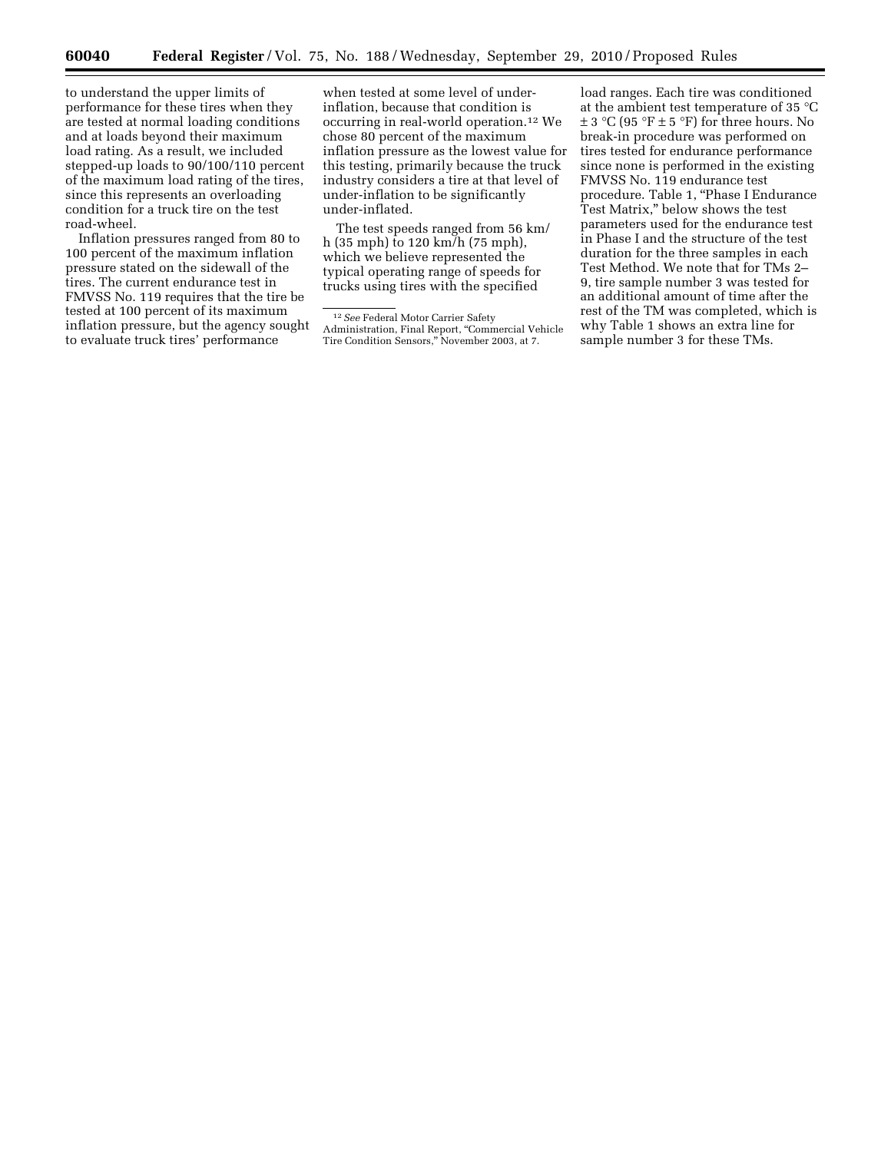to understand the upper limits of performance for these tires when they are tested at normal loading conditions and at loads beyond their maximum load rating. As a result, we included stepped-up loads to 90/100/110 percent of the maximum load rating of the tires, since this represents an overloading condition for a truck tire on the test road-wheel.

Inflation pressures ranged from 80 to 100 percent of the maximum inflation pressure stated on the sidewall of the tires. The current endurance test in FMVSS No. 119 requires that the tire be tested at 100 percent of its maximum inflation pressure, but the agency sought to evaluate truck tires' performance

when tested at some level of underinflation, because that condition is occurring in real-world operation.12 We chose 80 percent of the maximum inflation pressure as the lowest value for this testing, primarily because the truck industry considers a tire at that level of under-inflation to be significantly under-inflated.

The test speeds ranged from 56 km/ h (35 mph) to 120 km/h (75 mph), which we believe represented the typical operating range of speeds for trucks using tires with the specified

load ranges. Each tire was conditioned at the ambient test temperature of 35 °C  $\pm$  3 °C (95 °F  $\pm$  5 °F) for three hours. No break-in procedure was performed on tires tested for endurance performance since none is performed in the existing FMVSS No. 119 endurance test procedure. Table 1, ''Phase I Endurance Test Matrix,'' below shows the test parameters used for the endurance test in Phase I and the structure of the test duration for the three samples in each Test Method. We note that for TMs 2– 9, tire sample number 3 was tested for an additional amount of time after the rest of the TM was completed, which is why Table 1 shows an extra line for sample number 3 for these TMs.

<sup>12</sup>*See* Federal Motor Carrier Safety Administration, Final Report, ''Commercial Vehicle Tire Condition Sensors,'' November 2003, at 7.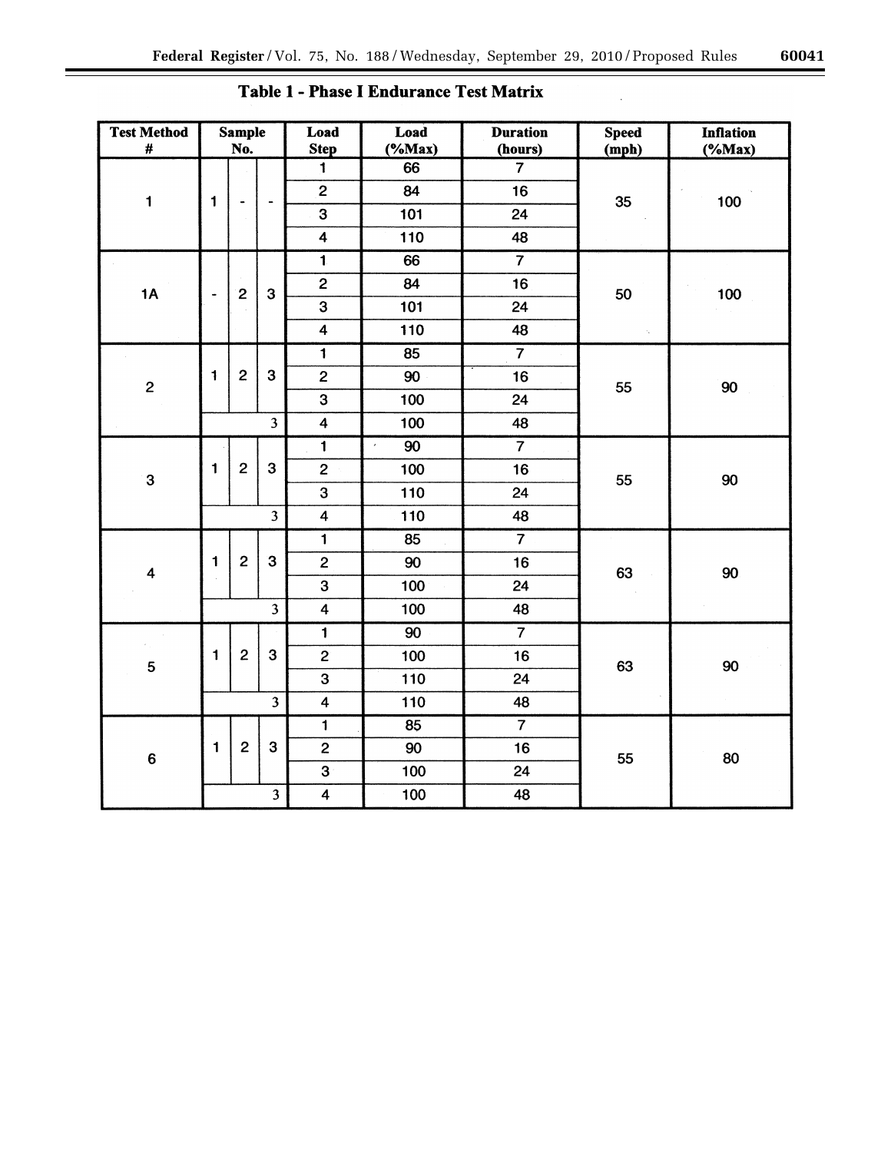| <b>Test Method</b><br>$\#$ |                      | <b>Sample</b><br>No. |                         | Load<br><b>Step</b>     | Load<br>$(*Max)$ | <b>Duration</b><br>(hours) | <b>Speed</b><br>(mph) | <b>Inflation</b><br>$(*Max)$ |
|----------------------------|----------------------|----------------------|-------------------------|-------------------------|------------------|----------------------------|-----------------------|------------------------------|
|                            |                      |                      |                         | $\overline{\mathbf{1}}$ | 66               | $\overline{7}$             |                       |                              |
| $\mathbf{1}$               | 1                    |                      | $\frac{1}{2}$           | $\mathbf{2}$            | 84               | 16                         | 35                    | 100                          |
|                            |                      |                      |                         | $\overline{\mathbf{3}}$ | 101              | 24                         |                       |                              |
|                            |                      |                      |                         | $\overline{\mathbf{4}}$ | 110              | 48                         |                       |                              |
|                            |                      |                      |                         | $\overline{\mathbf{1}}$ | 66               | $\overline{7}$             |                       |                              |
| 1A                         | $\ddot{\phantom{1}}$ | $\overline{c}$       | $\mathbf{3}$            | $\mathbf{2}$            | 84               | 16                         | 50                    | 100                          |
|                            |                      |                      |                         | 3                       | 101              | 24                         |                       |                              |
|                            |                      |                      |                         | $\overline{\mathbf{4}}$ | 110              | 48                         | ×,                    |                              |
|                            |                      |                      |                         | $\overline{\mathbf{1}}$ | 85               | $\overline{7}$             |                       |                              |
| $\mathbf{2}$               | $\ddagger$           | $\overline{c}$       | $\mathbf{3}$            | $\overline{c}$          | 90               | 16                         | 55                    | 90                           |
|                            |                      |                      |                         | $\overline{\mathbf{3}}$ | 100              | 24                         |                       |                              |
|                            |                      |                      | $\overline{\mathbf{3}}$ | $\overline{\mathbf{4}}$ | 100              | 48                         |                       |                              |
|                            |                      |                      |                         | $\mathbf{1}$            | 90               | $\overline{7}$             |                       |                              |
| 3                          | $\mathbf{1}$         | $\overline{c}$       | 3                       | $\overline{c}$          | 100              | 16                         | 55                    | 90                           |
|                            |                      |                      |                         | $\overline{\mathbf{3}}$ | 110              | 24                         |                       |                              |
|                            |                      |                      | $\overline{\mathbf{3}}$ | $\overline{\mathbf{4}}$ | 110              | 48                         |                       |                              |
|                            |                      |                      |                         | $\overline{\mathbf{1}}$ | 85               | $\overline{7}$             |                       |                              |
| $\overline{\mathbf{4}}$    | 1                    | $\overline{c}$       | 3                       | $\mathbf{z}$            | 90               | 16                         | 63                    | 90                           |
|                            |                      |                      |                         | $\overline{\mathbf{3}}$ | 100              | 24                         |                       |                              |
|                            |                      |                      | $\overline{\mathbf{3}}$ | $\overline{\mathbf{4}}$ | 100              | 48                         |                       |                              |
|                            |                      |                      |                         | $\overline{\mathbf{1}}$ | 90               | $\overline{7}$             |                       |                              |
| 5                          | $\blacksquare$       | $\mathbf{2}$         | $\mathbf{3}$            | $\overline{c}$          | 100              | 16                         | 63                    | 90                           |
|                            |                      |                      |                         | $\overline{\mathbf{3}}$ | 110              | 24                         |                       |                              |
|                            |                      |                      | $\overline{\mathbf{3}}$ | $\overline{\mathbf{4}}$ | 110              | 48                         |                       |                              |
|                            |                      |                      |                         | $\overline{\mathbf{1}}$ | 85               | $\overline{7}$             |                       |                              |
| $\bf 6$                    | $\mathbf{1}$         | $\overline{c}$       | $\mathbf{3}$            | $\overline{2}$          | 90               | 16                         | 55                    | 80                           |
|                            |                      |                      |                         | $\overline{\mathbf{3}}$ | 100              | 24                         |                       |                              |
|                            |                      |                      | $\overline{\mathbf{3}}$ | $\overline{\mathbf{4}}$ | 100              | 48                         |                       |                              |

# Table 1 - Phase I Endurance Test Matrix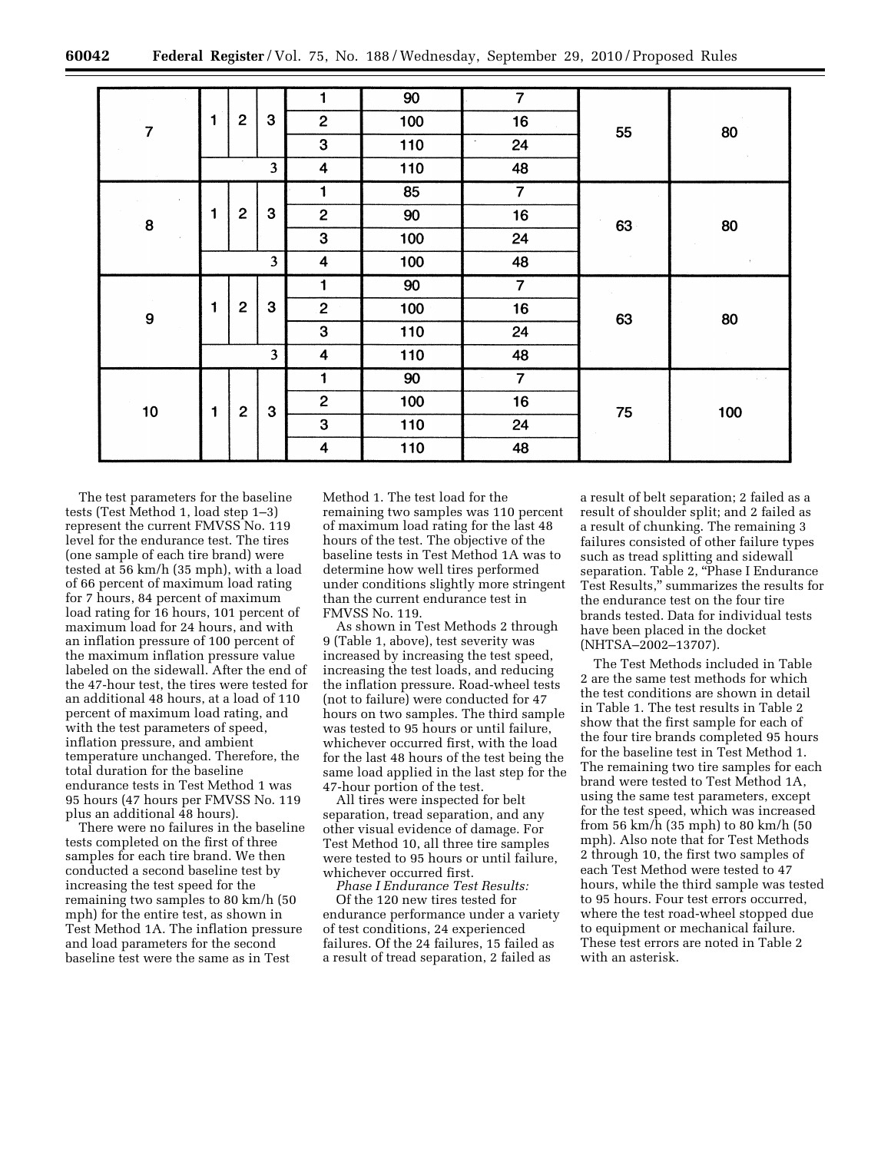|                |   |                |                         | 1                       | 90  | $\overline{7}$ |    |     |
|----------------|---|----------------|-------------------------|-------------------------|-----|----------------|----|-----|
| $\overline{7}$ | 1 | $\overline{2}$ | 3                       | $\overline{c}$          | 100 | 16             | 55 | 80  |
|                |   |                |                         | 3                       | 110 | 24<br>$\cdot$  |    |     |
|                |   |                | $\overline{\mathbf{3}}$ | $\overline{\mathbf{4}}$ | 110 | 48             |    |     |
|                |   |                |                         | 1                       | 85  | $\overline{7}$ |    |     |
| 8              | 1 | $\mathbf{2}$   | $\mathbf{3}$            | $\mathbf 2$             | 90  | 16             | 63 | 80  |
|                |   |                |                         | $\mathbf{3}$            | 100 | 24             |    |     |
|                |   |                | $\overline{\mathbf{3}}$ | $\overline{\mathbf{4}}$ | 100 | 48             |    |     |
|                |   |                |                         | 1                       | 90  | $\overline{7}$ |    |     |
| 9              | 1 | $\overline{c}$ | 3                       | $\overline{2}$          | 100 | 16             | 63 | 80  |
|                |   |                |                         | $\mathbf{3}$            | 110 | 24             |    |     |
|                |   |                | $\overline{\mathbf{3}}$ | $\boldsymbol{4}$        | 110 | 48             |    |     |
|                |   |                |                         | 1                       | 90  | $\overline{7}$ |    |     |
| 10             | 1 | $\overline{c}$ | 3                       | $\overline{2}$          | 100 | 16             | 75 | 100 |
|                |   |                |                         | $\mathbf{3}$            | 110 | 24             |    |     |
|                |   |                |                         | $\overline{\mathbf{4}}$ | 110 | 48             |    |     |

The test parameters for the baseline tests (Test Method 1, load step 1–3) represent the current FMVSS No. 119 level for the endurance test. The tires (one sample of each tire brand) were tested at 56 km/h (35 mph), with a load of 66 percent of maximum load rating for 7 hours, 84 percent of maximum load rating for 16 hours, 101 percent of maximum load for 24 hours, and with an inflation pressure of 100 percent of the maximum inflation pressure value labeled on the sidewall. After the end of the 47-hour test, the tires were tested for an additional 48 hours, at a load of 110 percent of maximum load rating, and with the test parameters of speed, inflation pressure, and ambient temperature unchanged. Therefore, the total duration for the baseline endurance tests in Test Method 1 was 95 hours (47 hours per FMVSS No. 119 plus an additional 48 hours).

There were no failures in the baseline tests completed on the first of three samples for each tire brand. We then conducted a second baseline test by increasing the test speed for the remaining two samples to 80 km/h (50 mph) for the entire test, as shown in Test Method 1A. The inflation pressure and load parameters for the second baseline test were the same as in Test

Method 1. The test load for the remaining two samples was 110 percent of maximum load rating for the last 48 hours of the test. The objective of the baseline tests in Test Method 1A was to determine how well tires performed under conditions slightly more stringent than the current endurance test in FMVSS No. 119.

As shown in Test Methods 2 through 9 (Table 1, above), test severity was increased by increasing the test speed, increasing the test loads, and reducing the inflation pressure. Road-wheel tests (not to failure) were conducted for 47 hours on two samples. The third sample was tested to 95 hours or until failure, whichever occurred first, with the load for the last 48 hours of the test being the same load applied in the last step for the 47-hour portion of the test.

All tires were inspected for belt separation, tread separation, and any other visual evidence of damage. For Test Method 10, all three tire samples were tested to 95 hours or until failure, whichever occurred first.

*Phase I Endurance Test Results:*  Of the 120 new tires tested for endurance performance under a variety of test conditions, 24 experienced failures. Of the 24 failures, 15 failed as a result of tread separation, 2 failed as

a result of belt separation; 2 failed as a result of shoulder split; and 2 failed as a result of chunking. The remaining 3 failures consisted of other failure types such as tread splitting and sidewall separation. Table 2, "Phase I Endurance Test Results,'' summarizes the results for the endurance test on the four tire brands tested. Data for individual tests have been placed in the docket (NHTSA–2002–13707).

The Test Methods included in Table 2 are the same test methods for which the test conditions are shown in detail in Table 1. The test results in Table 2 show that the first sample for each of the four tire brands completed 95 hours for the baseline test in Test Method 1. The remaining two tire samples for each brand were tested to Test Method 1A, using the same test parameters, except for the test speed, which was increased from 56 km/h (35 mph) to 80 km/h (50 mph). Also note that for Test Methods 2 through 10, the first two samples of each Test Method were tested to 47 hours, while the third sample was tested to 95 hours. Four test errors occurred, where the test road-wheel stopped due to equipment or mechanical failure. These test errors are noted in Table 2 with an asterisk.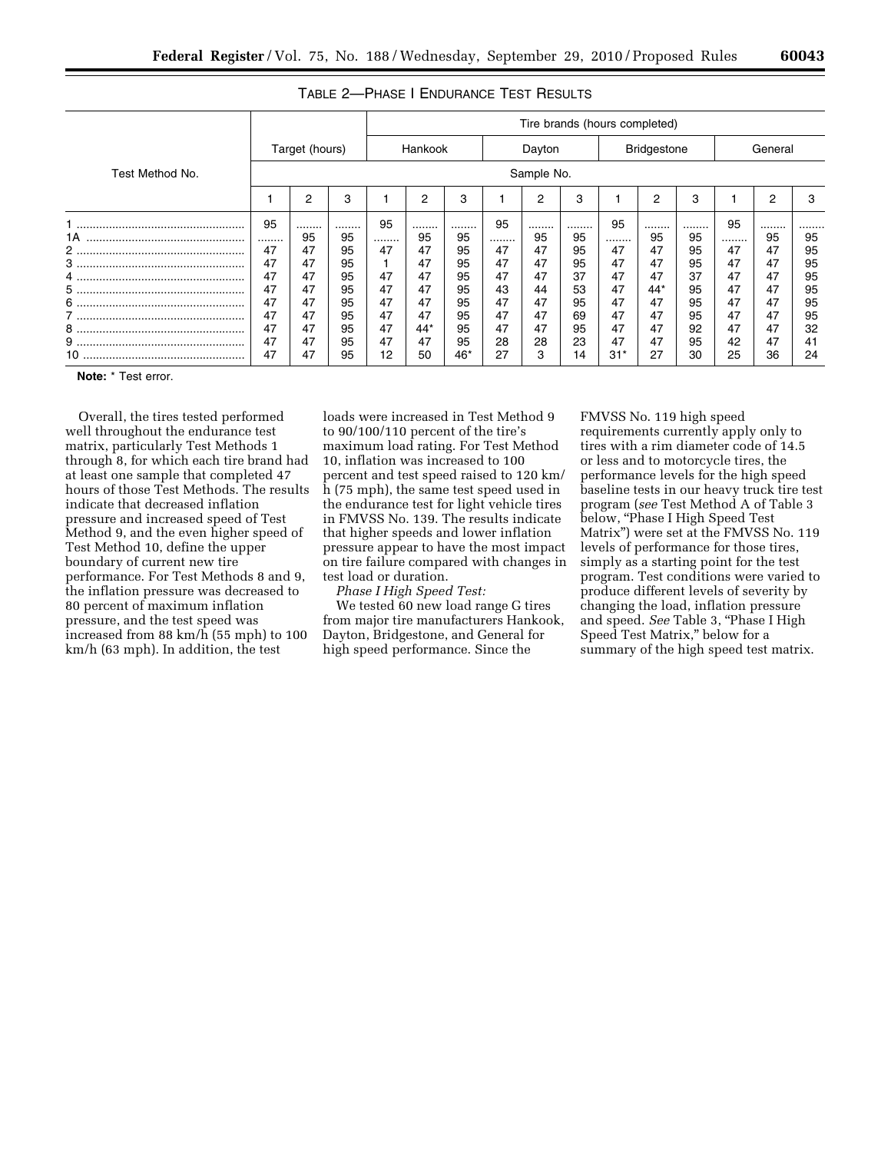|                 | Tire brands (hours completed) |                |    |                   |                |       |    |            |    |                    |                |    |         |    |    |
|-----------------|-------------------------------|----------------|----|-------------------|----------------|-------|----|------------|----|--------------------|----------------|----|---------|----|----|
|                 |                               | Target (hours) |    | Hankook<br>Dayton |                |       |    |            |    | <b>Bridgestone</b> |                |    | General |    |    |
| Test Method No. |                               |                |    |                   |                |       |    | Sample No. |    |                    |                |    |         |    |    |
|                 |                               | 2              | 3  |                   | $\overline{2}$ | 3     |    | 2          | 3  |                    | $\overline{2}$ | 3  |         | 2  | 3  |
|                 | 95                            |                |    | 95                |                |       | 95 |            |    | 95                 |                |    | 95      |    |    |
| 1A              |                               | 95             | 95 |                   | 95             | 95    |    | 95         | 95 |                    | 95             | 95 |         | 95 | 95 |
| 2               | 47                            | 47             | 95 | 47                | 47             | 95    | 47 | 47         | 95 | 47                 | 47             | 95 | 47      | 47 | 95 |
| 3               | 47                            | 47             | 95 |                   | 47             | 95    | 47 | 47         | 95 | 47                 | 47             | 95 | 47      | 47 | 95 |
| 4               | 47                            | 47             | 95 | 47                | 47             | 95    | 47 | 47         | 37 | 47                 | 47             | 37 | 47      | 47 | 95 |
| 5               | 47                            | 47             | 95 | 47                | 47             | 95    | 43 | 44         | 53 | 47                 | 44*            | 95 | 47      | 47 | 95 |
| 6               | 47                            | 47             | 95 | 47                | 47             | 95    | 47 | 47         | 95 | 47                 | 47             | 95 | 47      | 47 | 95 |
|                 | 47                            | 47             | 95 | 47                | 47             | 95    | 47 | 47         | 69 | 47                 | 47             | 95 | 47      | 47 | 95 |
| 8               | 47                            | 47             | 95 | 47                | 44*            | 95    | 47 | 47         | 95 | 47                 | 47             | 92 | 47      | 47 | 32 |
|                 | 47                            | 47             | 95 | 47                | 47             | 95    | 28 | 28         | 23 | 47                 | 47             | 95 | 42      | 47 | 41 |
|                 | 47                            | 47             | 95 | 12                | 50             | $46*$ | 27 | 3          | 14 | $31*$              | 27             | 30 | 25      | 36 | 24 |

## TABLE 2—PHASE I ENDURANCE TEST RESULTS

**Note:** \* Test error.

Overall, the tires tested performed well throughout the endurance test matrix, particularly Test Methods 1 through 8, for which each tire brand had at least one sample that completed 47 hours of those Test Methods. The results indicate that decreased inflation pressure and increased speed of Test Method 9, and the even higher speed of Test Method 10, define the upper boundary of current new tire performance. For Test Methods 8 and 9, the inflation pressure was decreased to 80 percent of maximum inflation pressure, and the test speed was increased from 88 km/h (55 mph) to 100 km/h (63 mph). In addition, the test

loads were increased in Test Method 9 to 90/100/110 percent of the tire's maximum load rating. For Test Method 10, inflation was increased to 100 percent and test speed raised to 120 km/ h (75 mph), the same test speed used in the endurance test for light vehicle tires in FMVSS No. 139. The results indicate that higher speeds and lower inflation pressure appear to have the most impact on tire failure compared with changes in test load or duration.

*Phase I High Speed Test:* 

We tested 60 new load range G tires from major tire manufacturers Hankook, Dayton, Bridgestone, and General for high speed performance. Since the

FMVSS No. 119 high speed requirements currently apply only to tires with a rim diameter code of 14.5 or less and to motorcycle tires, the performance levels for the high speed baseline tests in our heavy truck tire test program (*see* Test Method A of Table 3 below, "Phase I High Speed Test Matrix'') were set at the FMVSS No. 119 levels of performance for those tires, simply as a starting point for the test program. Test conditions were varied to produce different levels of severity by changing the load, inflation pressure and speed. *See* Table 3, ''Phase I High Speed Test Matrix,'' below for a summary of the high speed test matrix.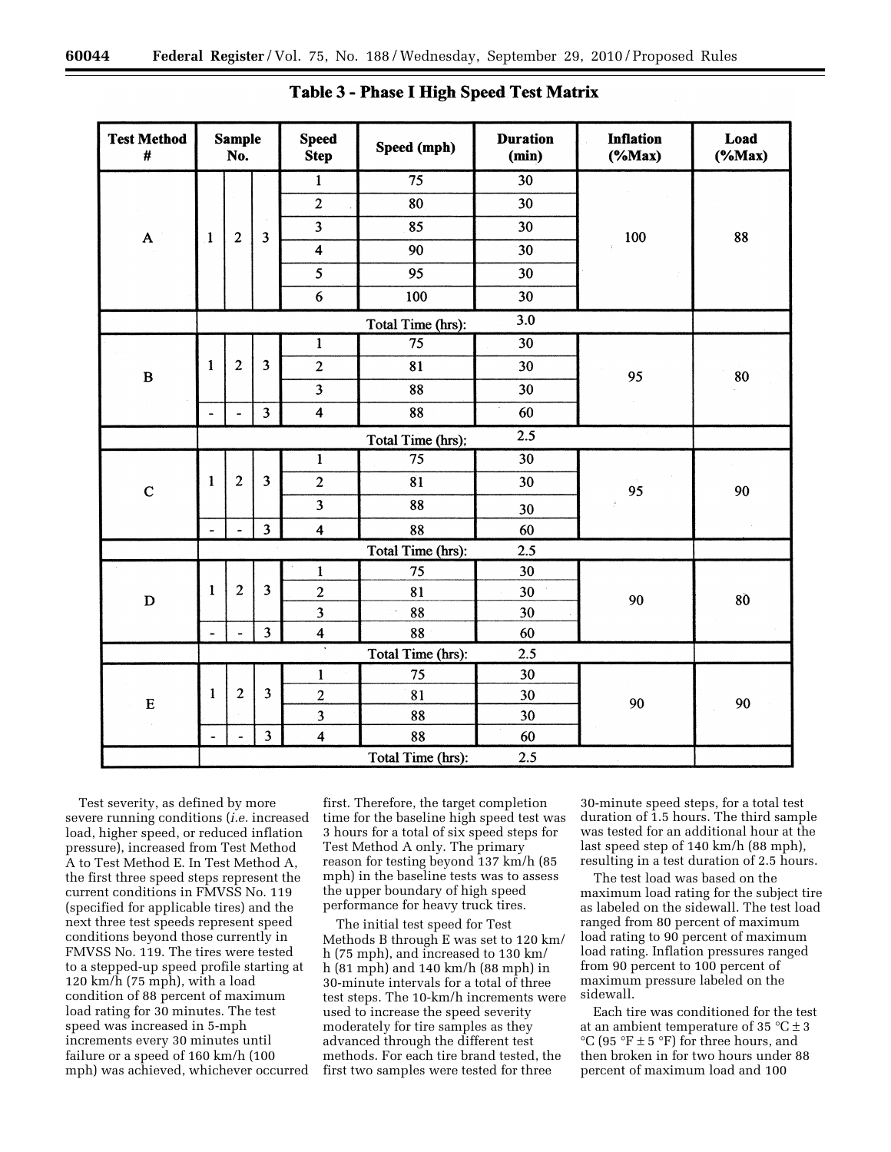| <b>Test Method</b><br>$\pmb{\#}$ |                          | <b>Sample</b><br>No.    |                                                          | <b>Speed</b><br><b>Step</b> | Speed (mph)          | <b>Duration</b><br>(min) | <b>Inflation</b><br>$(*Max)$ | Load<br>$(*Max)$ |
|----------------------------------|--------------------------|-------------------------|----------------------------------------------------------|-----------------------------|----------------------|--------------------------|------------------------------|------------------|
|                                  |                          |                         |                                                          | $\mathbf{1}$                | 75                   | 30                       |                              |                  |
|                                  |                          |                         |                                                          | $\overline{2}$              | 80                   | 30                       |                              |                  |
| $\mathbf A$                      | $\mathbf{1}$             | $\overline{c}$          | $\overline{\mathbf{3}}$                                  | $\overline{\mathbf{3}}$     | 85                   | 30                       | 100                          | 88               |
|                                  |                          |                         |                                                          | $\overline{\mathbf{4}}$     | 90                   | 30                       | ÿ                            |                  |
|                                  |                          |                         |                                                          | $\overline{\mathbf{5}}$     | 95                   | 30                       |                              |                  |
|                                  |                          |                         |                                                          | 6                           | 100                  | 30                       |                              |                  |
|                                  |                          |                         |                                                          |                             | Total Time (hrs):    | 3.0                      |                              |                  |
|                                  |                          |                         |                                                          | $\mathbf{1}$                | $\overline{75}$      | $\overline{30}$          |                              |                  |
| $\bf{B}$                         | $\mathbf{I}$             | $\overline{\mathbf{c}}$ | $\overline{\mathbf{3}}$                                  | $\overline{2}$              | 81<br>30<br>88<br>30 |                          |                              | 80               |
|                                  |                          |                         |                                                          | $\overline{\mathbf{3}}$     |                      |                          |                              |                  |
|                                  | $\overline{\phantom{a}}$ | $\ddot{\phantom{1}}$    | $\overline{\mathbf{3}}$                                  | $\overline{\mathbf{4}}$     | 88                   | 60                       |                              |                  |
|                                  |                          |                         |                                                          |                             | Total Time (hrs);    | 2.5                      | 95<br>95                     |                  |
|                                  |                          |                         |                                                          | $\mathbf 1$                 | 75                   | 30                       |                              |                  |
| $\mathbf C$                      | 1                        | $\boldsymbol{2}$        | 3                                                        | $\overline{2}$              | 81                   | 30                       |                              | 90               |
|                                  |                          |                         |                                                          | $\overline{\mathbf{3}}$     | 88                   | 30                       |                              |                  |
|                                  | $\frac{1}{2}$            | $\overline{a}$          | $\overline{\mathbf{3}}$                                  | $\overline{\mathbf{4}}$     | 88                   | 60                       |                              |                  |
|                                  |                          |                         |                                                          |                             | Total Time (hrs):    | 2.5                      |                              |                  |
|                                  |                          |                         |                                                          | $\mathbf{1}$                | 75                   | 30                       |                              |                  |
| $\mathbf D$                      | $\mathbf{1}$             | $\overline{2}$          | $\overline{\mathbf{3}}$                                  | $\overline{c}$              | 81                   | 30                       | 90                           | 80               |
|                                  |                          |                         |                                                          | $\overline{\mathbf{3}}$     | 88                   | 30                       |                              |                  |
|                                  | ÷                        | $\overline{a}$          | $\overline{\mathbf{3}}$                                  | $\overline{\mathbf{4}}$     | 88                   | 60                       |                              |                  |
|                                  |                          |                         |                                                          | 7                           | Total Time (hrs):    | 2.5                      |                              |                  |
|                                  |                          |                         |                                                          | $\mathbf{1}$                | 75                   | 30                       |                              |                  |
| ${\bf E}$                        | $\mathbf{1}$             | $\overline{c}$          | $\overline{\mathbf{3}}$                                  | $\overline{c}$              | 81                   | 30                       | 90                           | 90               |
|                                  |                          |                         |                                                          | $\overline{\mathbf{3}}$     | 88                   | 30                       |                              |                  |
|                                  | $\ddot{\phantom{a}}$     | $\ddot{ }$              | $\overline{\mathbf{3}}$<br>$\overline{\mathbf{4}}$<br>88 |                             |                      | 60                       |                              |                  |
|                                  |                          |                         |                                                          |                             | Total Time (hrs):    | 2.5                      |                              |                  |

Table 3 - Phase I High Speed Test Matrix

Test severity, as defined by more severe running conditions (*i.e.* increased load, higher speed, or reduced inflation pressure), increased from Test Method A to Test Method E. In Test Method A, the first three speed steps represent the current conditions in FMVSS No. 119 (specified for applicable tires) and the next three test speeds represent speed conditions beyond those currently in FMVSS No. 119. The tires were tested to a stepped-up speed profile starting at 120 km/h (75 mph), with a load condition of 88 percent of maximum load rating for 30 minutes. The test speed was increased in 5-mph increments every 30 minutes until failure or a speed of 160 km/h (100 mph) was achieved, whichever occurred

first. Therefore, the target completion time for the baseline high speed test was 3 hours for a total of six speed steps for Test Method A only. The primary reason for testing beyond 137 km/h (85 mph) in the baseline tests was to assess the upper boundary of high speed performance for heavy truck tires.

The initial test speed for Test Methods B through E was set to 120 km/ h (75 mph), and increased to 130 km/ h (81 mph) and 140 km/h (88 mph) in 30-minute intervals for a total of three test steps. The 10-km/h increments were used to increase the speed severity moderately for tire samples as they advanced through the different test methods. For each tire brand tested, the first two samples were tested for three

30-minute speed steps, for a total test duration of 1.5 hours. The third sample was tested for an additional hour at the last speed step of 140 km/h (88 mph), resulting in a test duration of 2.5 hours.

The test load was based on the maximum load rating for the subject tire as labeled on the sidewall. The test load ranged from 80 percent of maximum load rating to 90 percent of maximum load rating. Inflation pressures ranged from 90 percent to 100 percent of maximum pressure labeled on the sidewall.

Each tire was conditioned for the test at an ambient temperature of 35  $^{\circ}$ C  $\pm$  3 °C (95 °F  $\pm$  5 °F) for three hours, and then broken in for two hours under 88 percent of maximum load and 100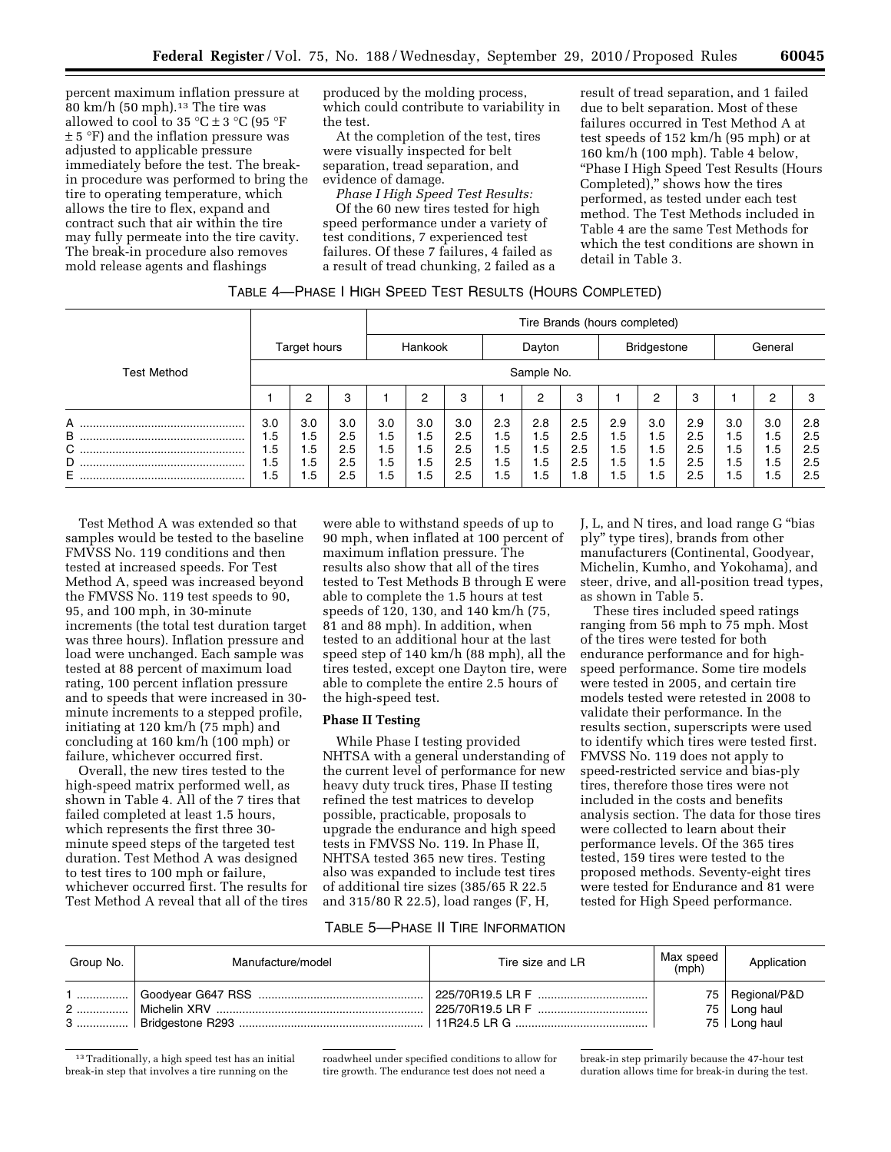percent maximum inflation pressure at 80 km/h (50 mph).13 The tire was allowed to cool to 35  $\mathrm{C} \pm 3$   $\mathrm{C}$  (95  $\mathrm{F}$ ) ± 5 °F) and the inflation pressure was adjusted to applicable pressure immediately before the test. The breakin procedure was performed to bring the tire to operating temperature, which allows the tire to flex, expand and contract such that air within the tire may fully permeate into the tire cavity. The break-in procedure also removes mold release agents and flashings

produced by the molding process, which could contribute to variability in the test.

At the completion of the test, tires were visually inspected for belt separation, tread separation, and evidence of damage.

*Phase I High Speed Test Results:*  Of the 60 new tires tested for high speed performance under a variety of test conditions, 7 experienced test failures. Of these 7 failures, 4 failed as a result of tread chunking, 2 failed as a result of tread separation, and 1 failed due to belt separation. Most of these failures occurred in Test Method A at test speeds of 152 km/h (95 mph) or at 160 km/h (100 mph). Table 4 below, ''Phase I High Speed Test Results (Hours Completed),'' shows how the tires performed, as tested under each test method. The Test Methods included in Table 4 are the same Test Methods for which the test conditions are shown in detail in Table 3.

## TABLE 4—PHASE I HIGH SPEED TEST RESULTS (HOURS COMPLETED)

|                       |                                 |                                 |                                 | Tire Brands (hours completed)   |                                             |                                 |                                 |                                 |                                 |                                 |                                 |                                 |                                 |                               |                                 |  |
|-----------------------|---------------------------------|---------------------------------|---------------------------------|---------------------------------|---------------------------------------------|---------------------------------|---------------------------------|---------------------------------|---------------------------------|---------------------------------|---------------------------------|---------------------------------|---------------------------------|-------------------------------|---------------------------------|--|
|                       |                                 | Target hours                    |                                 | Hankook                         |                                             |                                 | Dayton                          |                                 | <b>Bridgestone</b>              |                                 |                                 | General                         |                                 |                               |                                 |  |
| <b>Test Method</b>    |                                 | Sample No.                      |                                 |                                 |                                             |                                 |                                 |                                 |                                 |                                 |                                 |                                 |                                 |                               |                                 |  |
|                       |                                 | ⌒                               | 3                               |                                 | 2                                           | 3                               |                                 | 2                               | 3                               |                                 | 2                               | 3                               |                                 | 2                             | з                               |  |
| A<br>B<br>С<br>D<br>Е | 3.0<br>1.5<br>5.،<br>1.5<br>5.، | 3.0<br>1.5<br>5.،<br>5.،<br>1.5 | 3.0<br>2.5<br>2.5<br>2.5<br>2.5 | 3.0<br>1.5<br>5.،<br>۱.5<br>1.5 | 3.0<br>1.5<br>1.5<br>1.5<br>.5 <sub>1</sub> | 3.0<br>2.5<br>2.5<br>2.5<br>2.5 | 2.3<br>1.5<br>۱.5<br>1.5<br>1.5 | 2.8<br>1.5<br>1.5<br>1.5<br>1.5 | 2.5<br>2.5<br>2.5<br>2.5<br>1.8 | 2.9<br>1.5<br>1.5<br>1.5<br>1.5 | 3.0<br>1.5<br>1.5<br>1.5<br>1.5 | 2.9<br>2.5<br>2.5<br>2.5<br>2.5 | 3.0<br>1.5<br>5.،<br>1.5<br>1.5 | 3.0<br>1.5<br>.5<br>1.5<br>.5 | 2.8<br>2.5<br>2.5<br>2.5<br>2.5 |  |

Test Method A was extended so that samples would be tested to the baseline FMVSS No. 119 conditions and then tested at increased speeds. For Test Method A, speed was increased beyond the FMVSS No. 119 test speeds to 90, 95, and 100 mph, in 30-minute increments (the total test duration target was three hours). Inflation pressure and load were unchanged. Each sample was tested at 88 percent of maximum load rating, 100 percent inflation pressure and to speeds that were increased in 30 minute increments to a stepped profile, initiating at 120 km/h (75 mph) and concluding at 160 km/h (100 mph) or failure, whichever occurred first.

Overall, the new tires tested to the high-speed matrix performed well, as shown in Table 4. All of the 7 tires that failed completed at least 1.5 hours, which represents the first three 30 minute speed steps of the targeted test duration. Test Method A was designed to test tires to 100 mph or failure, whichever occurred first. The results for Test Method A reveal that all of the tires

were able to withstand speeds of up to 90 mph, when inflated at 100 percent of maximum inflation pressure. The results also show that all of the tires tested to Test Methods B through E were able to complete the 1.5 hours at test speeds of 120, 130, and 140 km/h (75, 81 and 88 mph). In addition, when tested to an additional hour at the last speed step of 140 km/h (88 mph), all the tires tested, except one Dayton tire, were able to complete the entire 2.5 hours of the high-speed test.

## **Phase II Testing**

While Phase I testing provided NHTSA with a general understanding of the current level of performance for new heavy duty truck tires, Phase II testing refined the test matrices to develop possible, practicable, proposals to upgrade the endurance and high speed tests in FMVSS No. 119. In Phase II, NHTSA tested 365 new tires. Testing also was expanded to include test tires of additional tire sizes (385/65 R 22.5 and 315/80 R 22.5), load ranges (F, H,

J, L, and N tires, and load range G ''bias ply'' type tires), brands from other manufacturers (Continental, Goodyear, Michelin, Kumho, and Yokohama), and steer, drive, and all-position tread types, as shown in Table 5.

These tires included speed ratings ranging from 56 mph to 75 mph. Most of the tires were tested for both endurance performance and for highspeed performance. Some tire models were tested in 2005, and certain tire models tested were retested in 2008 to validate their performance. In the results section, superscripts were used to identify which tires were tested first. FMVSS No. 119 does not apply to speed-restricted service and bias-ply tires, therefore those tires were not included in the costs and benefits analysis section. The data for those tires were collected to learn about their performance levels. Of the 365 tires tested, 159 tires were tested to the proposed methods. Seventy-eight tires were tested for Endurance and 81 were tested for High Speed performance.

# TABLE 5—PHASE II TIRE INFORMATION

| Group No.   | Manufacture/model | Tire size and LR | Max speed<br>(mph) | Application                                         |
|-------------|-------------------|------------------|--------------------|-----------------------------------------------------|
| 1<br>2<br>3 | Michelin XRV      | 225/70R19.5 LR F |                    | 75   Regional/P&D<br>75   Long haul<br>75 Long haul |

 $^{\rm 13}\,$  Traditionally, a high speed test has an initial break-in step that involves a tire running on the

roadwheel under specified conditions to allow for tire growth. The endurance test does not need a

break-in step primarily because the 47-hour test duration allows time for break-in during the test.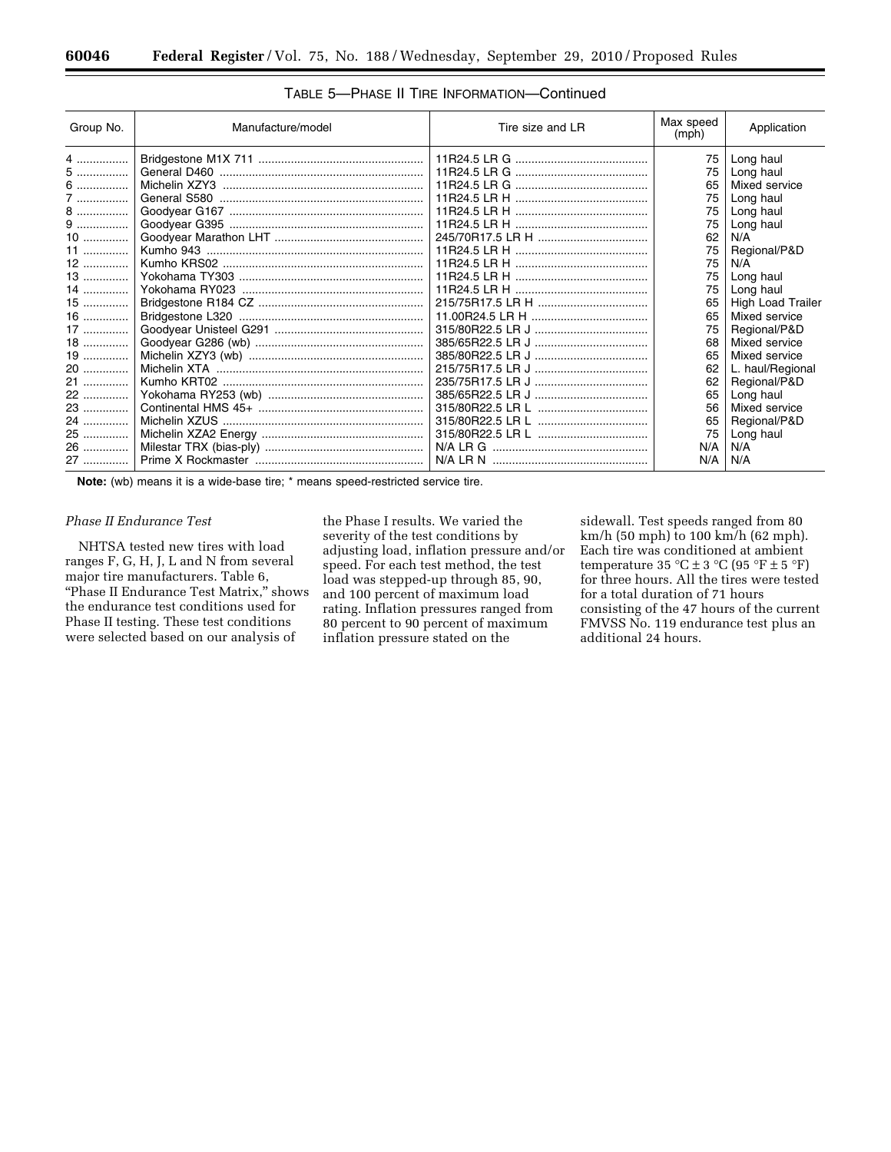| Group No. | Manufacture/model | Tire size and LR | Max speed<br>(mph) | Application              |
|-----------|-------------------|------------------|--------------------|--------------------------|
| 4         |                   |                  | 75                 | Long haul                |
| 5         |                   |                  | 75                 | Long haul                |
| 6         |                   |                  | 65                 | Mixed service            |
| 7         |                   |                  | 75                 | Long haul                |
| 8         |                   |                  | 75                 | Long haul                |
| $9$       |                   |                  | 75                 | Long haul                |
| $10$      |                   |                  | 62                 | N/A                      |
| 11        |                   |                  | 75                 | Regional/P&D             |
| 12        |                   |                  | 75                 | N/A                      |
| 13        |                   |                  | 75                 | Long haul                |
| 14        |                   |                  | 75                 | Long haul                |
| $15$      |                   |                  | 65                 | <b>High Load Trailer</b> |
| 16        |                   |                  | 65                 | Mixed service            |
| 17        |                   |                  | 75                 | Regional/P&D             |
| 18        |                   |                  | 68                 | Mixed service            |
| 19        |                   |                  | 65                 | Mixed service            |
| 20        |                   |                  | 62                 | L. haul/Regional         |
| 21        |                   |                  | 62                 | Regional/P&D             |
| 22        |                   |                  | 65                 | Long haul                |
| 23        |                   |                  | 56                 | Mixed service            |
| 24        |                   |                  | 65                 | Regional/P&D             |
| 25        |                   |                  | 75                 | Long haul                |
| 26        |                   |                  | N/A                | N/A                      |
| 27        |                   |                  | N/A                | N/A                      |

# TABLE 5—PHASE II TIRE INFORMATION—Continued

**Note:** (wb) means it is a wide-base tire; \* means speed-restricted service tire.

## *Phase II Endurance Test*

NHTSA tested new tires with load ranges F, G, H, J, L and N from several major tire manufacturers. Table 6, "Phase II Endurance Test Matrix," shows the endurance test conditions used for Phase II testing. These test conditions were selected based on our analysis of

the Phase I results. We varied the severity of the test conditions by adjusting load, inflation pressure and/or speed. For each test method, the test load was stepped-up through 85, 90, and 100 percent of maximum load rating. Inflation pressures ranged from 80 percent to 90 percent of maximum inflation pressure stated on the

sidewall. Test speeds ranged from 80 km/h (50 mph) to 100 km/h (62 mph). Each tire was conditioned at ambient temperature  $35 \text{ °C} \pm 3 \text{ °C}$  (95  $\text{ °F} \pm 5 \text{ °F}$ ) for three hours. All the tires were tested for a total duration of 71 hours consisting of the 47 hours of the current FMVSS No. 119 endurance test plus an additional 24 hours.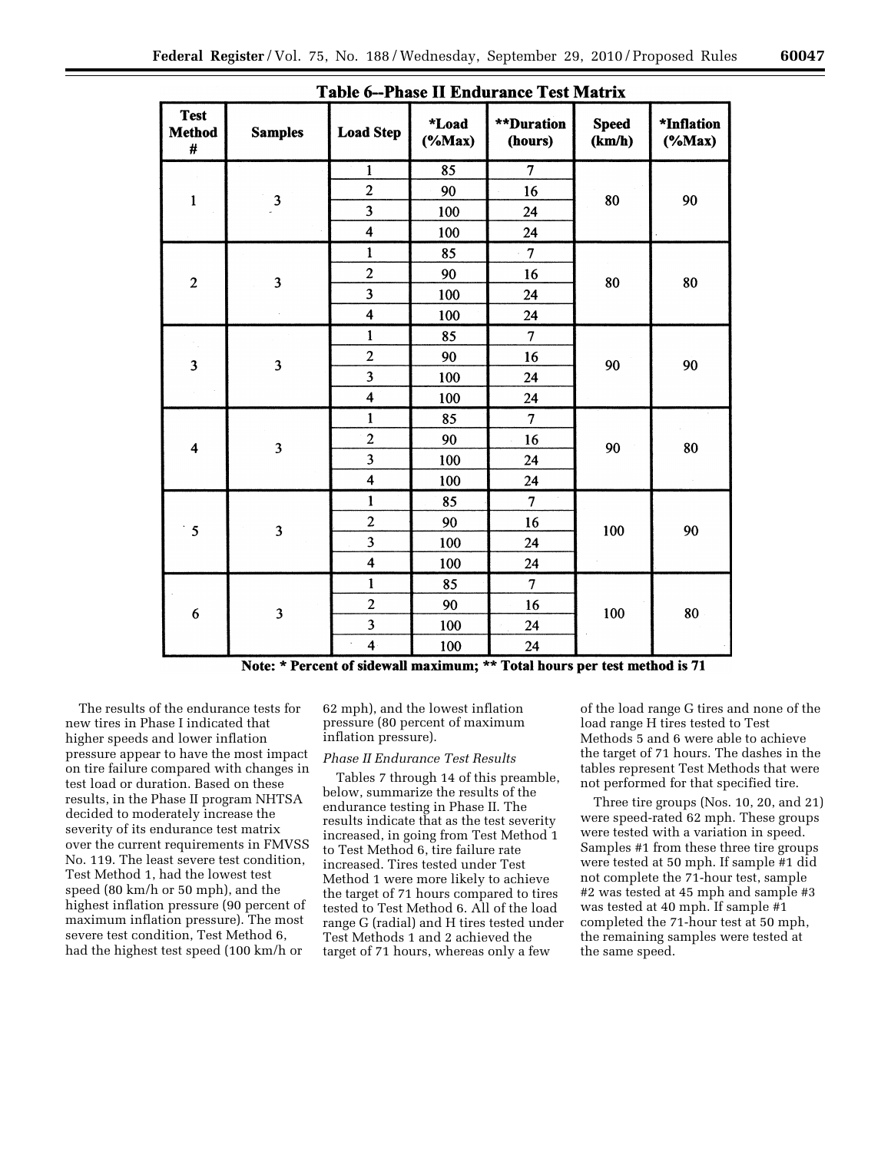| <b>Test</b><br><b>Method</b><br># | <b>Samples</b>          | <b>Load Step</b>        | <i><b>*Load</b></i><br>$(% \mathbf{M}\otimes \mathbf{M})$  | <b>**Duration</b><br>(hours) | <b>Speed</b><br>(km/h) | *Inflation<br>$(*Max)$ |
|-----------------------------------|-------------------------|-------------------------|------------------------------------------------------------|------------------------------|------------------------|------------------------|
|                                   |                         | $\mathbf{1}$            | 85                                                         | $\overline{\tau}$            |                        |                        |
| $\mathbf{1}$                      | $\overline{\mathbf{3}}$ | $\overline{c}$          | 90                                                         | 16                           | 80                     | 90                     |
|                                   |                         | 3                       | 100                                                        | 24                           |                        |                        |
|                                   |                         | $\overline{\mathbf{4}}$ | 100                                                        | 24                           |                        |                        |
|                                   |                         | $\mathbf{1}$            | 85                                                         | $\overline{7}$               |                        |                        |
| $\boldsymbol{2}$                  | $\overline{\mathbf{3}}$ | $\overline{\mathbf{c}}$ | 90                                                         | 16                           | 80                     | 80                     |
|                                   |                         | $\overline{\mathbf{3}}$ | 100                                                        | 24                           |                        |                        |
|                                   |                         | $\overline{\mathbf{4}}$ | 100                                                        | 24                           |                        |                        |
|                                   |                         | $\mathbf{1}$            | 85                                                         | $\overline{7}$               |                        |                        |
| 3                                 | $\overline{\mathbf{3}}$ | $\overline{2}$          | 90<br>16<br>100<br>24<br>100<br>24<br>85<br>$\overline{7}$ | 90                           | 90                     |                        |
|                                   |                         | $\overline{\mathbf{3}}$ |                                                            |                              |                        |                        |
|                                   |                         | $\overline{\mathbf{4}}$ |                                                            |                              |                        |                        |
|                                   |                         | $\mathbf{1}$            |                                                            |                              |                        |                        |
| $\overline{\mathbf{4}}$           | 3                       | $\overline{c}$          | 90                                                         | 16                           | 90                     | 80                     |
|                                   |                         | $\overline{\mathbf{3}}$ | 100                                                        | 24                           |                        |                        |
|                                   |                         | 4                       | 100                                                        | 24                           |                        |                        |
|                                   |                         | $\mathbf{1}$            | 85                                                         | $\overline{7}$               |                        |                        |
| 5                                 | $\overline{\mathbf{3}}$ | $\overline{c}$          | 90                                                         | 16                           | 100                    | 90                     |
|                                   |                         | $\overline{\mathbf{3}}$ | 100                                                        | 24                           |                        |                        |
|                                   |                         | $\overline{\mathbf{4}}$ | 100                                                        | 24                           |                        |                        |
|                                   |                         | $\mathbf{1}$            | 85                                                         | $\overline{7}$               |                        |                        |
| 6                                 | 3                       | $\overline{2}$          | 90                                                         | 16                           | 100                    | 80                     |
|                                   |                         | $\overline{\mathbf{3}}$ | 100                                                        | 24                           |                        |                        |
|                                   |                         | $\overline{\mathbf{4}}$ | 100                                                        | 24                           |                        |                        |

**Table 6--Phase II Endurance Test Matrix** 

Note: \* Percent of sidewall maximum; \*\* Total hours per test method is 71

The results of the endurance tests for new tires in Phase I indicated that higher speeds and lower inflation pressure appear to have the most impact on tire failure compared with changes in test load or duration. Based on these results, in the Phase II program NHTSA decided to moderately increase the severity of its endurance test matrix over the current requirements in FMVSS No. 119. The least severe test condition, Test Method 1, had the lowest test speed (80 km/h or 50 mph), and the highest inflation pressure (90 percent of maximum inflation pressure). The most severe test condition, Test Method 6, had the highest test speed (100 km/h or

62 mph), and the lowest inflation pressure (80 percent of maximum inflation pressure).

# *Phase II Endurance Test Results*

Tables 7 through 14 of this preamble, below, summarize the results of the endurance testing in Phase II. The results indicate that as the test severity increased, in going from Test Method 1 to Test Method 6, tire failure rate increased. Tires tested under Test Method 1 were more likely to achieve the target of 71 hours compared to tires tested to Test Method 6. All of the load range G (radial) and H tires tested under Test Methods 1 and 2 achieved the target of 71 hours, whereas only a few

of the load range G tires and none of the load range H tires tested to Test Methods 5 and 6 were able to achieve the target of 71 hours. The dashes in the tables represent Test Methods that were not performed for that specified tire.

Three tire groups (Nos. 10, 20, and 21) were speed-rated 62 mph. These groups were tested with a variation in speed. Samples #1 from these three tire groups were tested at 50 mph. If sample #1 did not complete the 71-hour test, sample #2 was tested at 45 mph and sample #3 was tested at 40 mph. If sample #1 completed the 71-hour test at 50 mph, the remaining samples were tested at the same speed.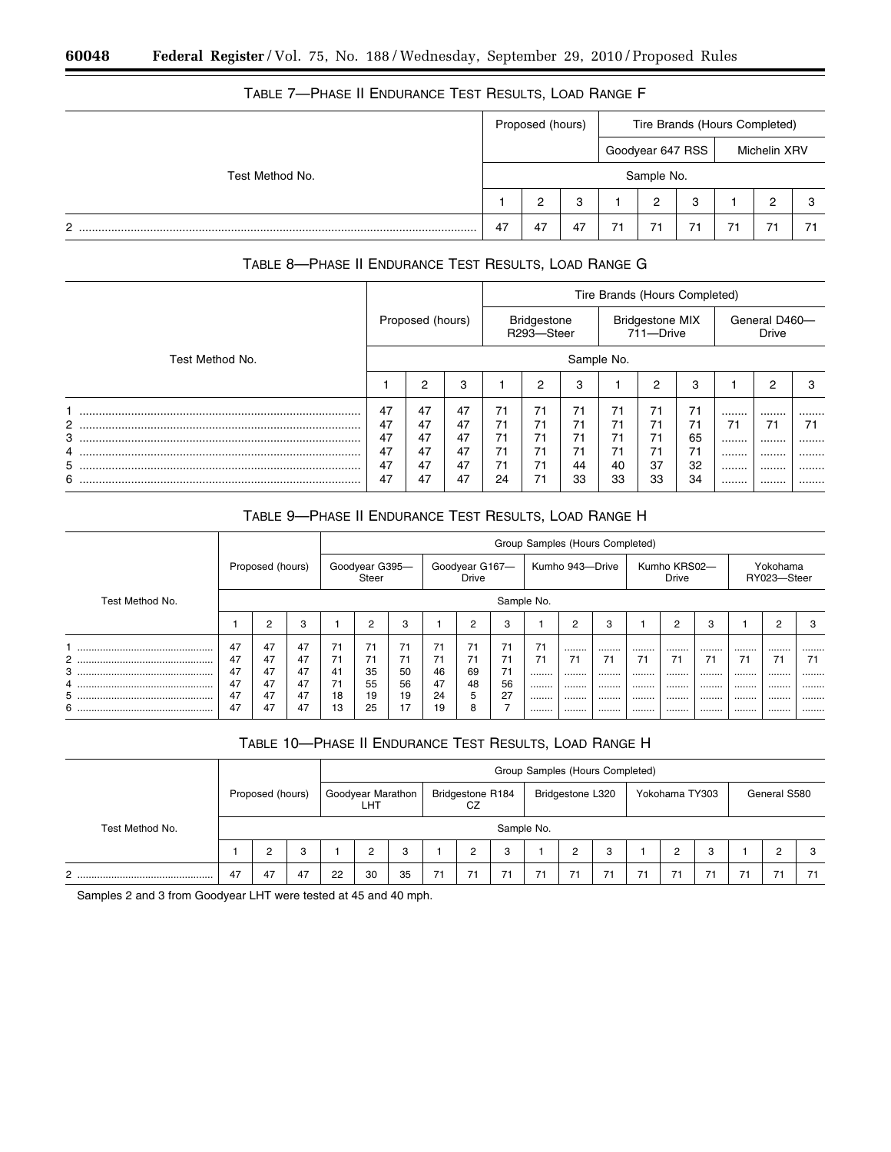| <u>IADLL I — I IIASL II LINDUNANCE TEST IILSULTS, LUAD IIANGE I</u> |                  |                               |  |
|---------------------------------------------------------------------|------------------|-------------------------------|--|
|                                                                     | Proposed (hours) | Tire Brands (Hours Completed) |  |
|                                                                     |                  |                               |  |

# TABLE 7—PHASE II ENDURANCE TEST RESULTS, LOAD RANGE F

|                 |    |        |    |    |            |                  | $\sim$ |              |  |  |
|-----------------|----|--------|----|----|------------|------------------|--------|--------------|--|--|
|                 |    |        |    |    |            | Goodyear 647 RSS |        | Michelin XRV |  |  |
| Test Method No. |    |        |    |    | Sample No. |                  |        |              |  |  |
|                 |    | ◠<br>∸ | 3  |    | -          | 3                |        |              |  |  |
| n.              | 47 | 47     | 47 | 71 |            | 71               |        |              |  |  |

# TABLE 8—PHASE II ENDURANCE TEST RESULTS, LOAD RANGE G

|                 |                |                  |          |          |                                  |          | Tire Brands (Hours Completed) |                                     |          |        |                               |        |  |  |
|-----------------|----------------|------------------|----------|----------|----------------------------------|----------|-------------------------------|-------------------------------------|----------|--------|-------------------------------|--------|--|--|
|                 |                | Proposed (hours) |          |          | <b>Bridgestone</b><br>R293-Steer |          |                               | <b>Bridgestone MIX</b><br>711-Drive |          |        | General D460-<br><b>Drive</b> |        |  |  |
| Test Method No. | Sample No.     |                  |          |          |                                  |          |                               |                                     |          |        |                               |        |  |  |
|                 |                | 2                | 3        |          | ◠                                | 3        |                               | 2                                   | 3        |        | 2                             | з      |  |  |
|                 | 47             | 47               | 47       | 71       | 71                               | 71       | 71                            | 71                                  | 71       |        |                               |        |  |  |
| 2<br>3          | 47<br>47<br>47 | 47<br>47         | 47<br>47 | 71<br>71 | 71<br>71                         | 71<br>71 | 71<br>71                      | 71<br>71                            | 71<br>65 | 71<br> | 71<br>                        | 71<br> |  |  |
| 4<br>5          |                | 47<br>47         | 47<br>47 | 71<br>71 | 71<br>71                         | 71<br>44 | 71<br>40                      | 71<br>37                            | 71<br>32 | <br>   | <br>                          | <br>   |  |  |
| 6               | 47             | 47               | 47       | 24       | 71                               | 33       | 33                            | 33                                  | 34       |        |                               |        |  |  |

# TABLE 9—PHASE II ENDURANCE TEST RESULTS, LOAD RANGE H

|                 |          |                  |                                                                              |          |          |          |          |                       |          | Group Samples (Hours Completed) |                         |        |      |        |        |      |        |        |
|-----------------|----------|------------------|------------------------------------------------------------------------------|----------|----------|----------|----------|-----------------------|----------|---------------------------------|-------------------------|--------|------|--------|--------|------|--------|--------|
|                 |          | Proposed (hours) | Kumho 943-Drive<br>Goodyear G395-<br>Goodyear G167-<br><b>Drive</b><br>Steer |          |          |          |          | Kumho KRS02-<br>Drive |          |                                 | Yokohama<br>RY023-Steer |        |      |        |        |      |        |        |
| Test Method No. |          |                  | Sample No.<br>◠<br>റ<br>C<br>റ<br>◠<br>c                                     |          |          |          |          |                       |          |                                 |                         |        |      |        |        |      |        |        |
|                 |          |                  | 3                                                                            |          |          | 3        |          |                       | 3        |                                 |                         | 3      |      |        | 3      |      |        | 3      |
|                 | 47       | 47<br>47         | 47                                                                           | 71       | 71       | 71<br>71 |          | 71                    | 71<br>71 |                                 |                         |        |      |        |        |      |        |        |
| $^{2}$<br>3     | 47<br>47 | 47               | 47<br>47                                                                     | 41       | 71<br>35 | 50       | 46       | 71<br>69              | 71       |                                 | 71<br>                  | 71<br> |      | 71<br> | 7.<br> |      | 71<br> | 71<br> |
|                 | 47       | 47               | 47                                                                           |          | 55       | 56       | 47       | 48                    | 56       |                                 |                         |        |      |        |        |      |        |        |
| 5<br>6          | 47<br>47 | 47<br>47         | 47<br>47                                                                     | 18<br>13 | 19<br>25 | 19<br>17 | 24<br>19 | 5<br>8                | 27       | <br>                            | <br>                    | <br>   | <br> | <br>   | <br>   | <br> | <br>   | <br>   |

# TABLE 10—PHASE II ENDURANCE TEST RESULTS, LOAD RANGE H

|                 |    |                  |    |            |                                 |    |    |                        |    | Group Samples (Hours Completed) |                  |                |    |                |   |    |              |    |
|-----------------|----|------------------|----|------------|---------------------------------|----|----|------------------------|----|---------------------------------|------------------|----------------|----|----------------|---|----|--------------|----|
|                 |    | Proposed (hours) |    |            | Goodyear Marathon<br><b>LHT</b> |    |    | Bridgestone R184<br>CZ |    |                                 | Bridgestone L320 |                |    | Yokohama TY303 |   |    | General S580 |    |
| Test Method No. |    |                  |    | Sample No. |                                 |    |    |                        |    |                                 |                  |                |    |                |   |    |              |    |
|                 | C  |                  |    |            | 2                               | 3  |    | 2                      | 3  |                                 | 2                | 3              |    | 2              | 3 |    | 2            | 3  |
| C<br><u>.</u>   | 47 | 47               | 47 | 22         | 30                              | 35 | 71 | 71                     | 71 | 71                              | 71               | 7 <sup>1</sup> | 71 | 71             |   | 71 | 71           | 71 |

Samples 2 and 3 from Goodyear LHT were tested at 45 and 40 mph.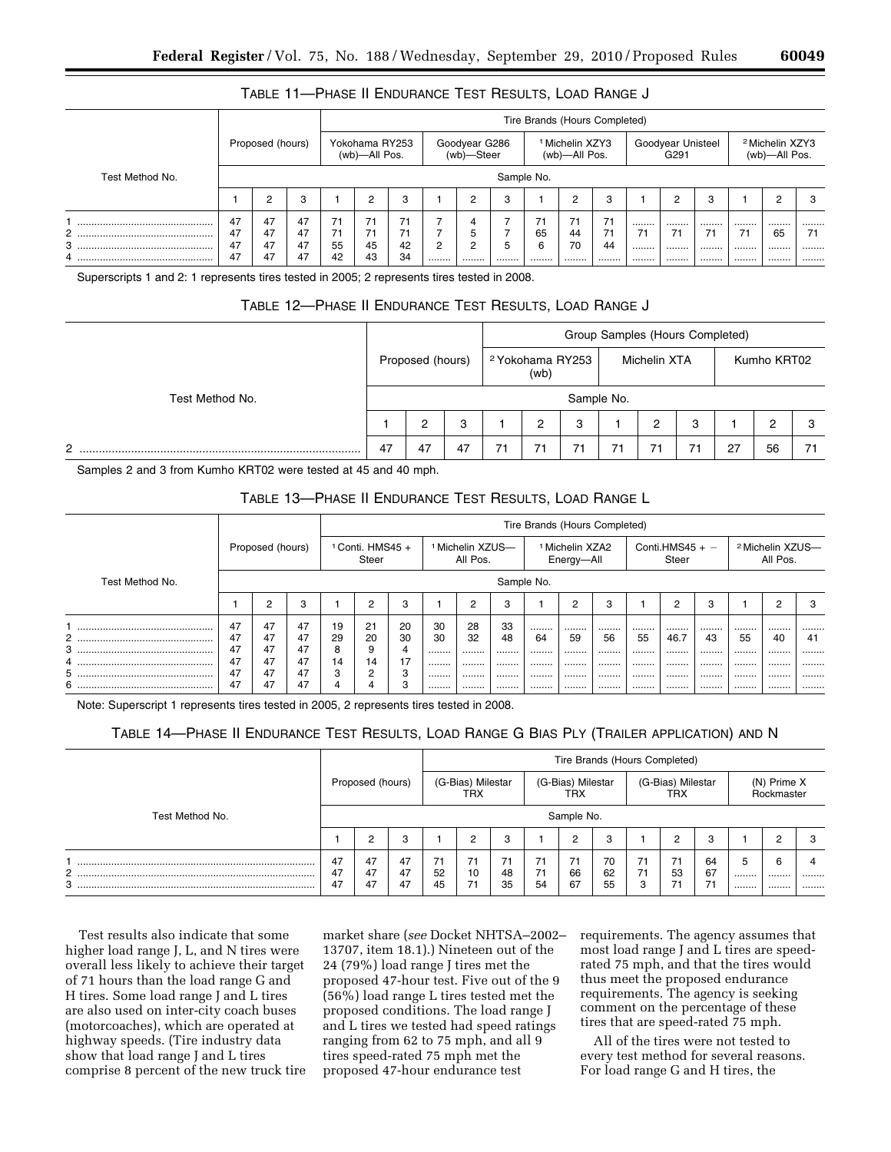| TABLE 11-PHASE II ENDURANCE TEST RESULTS, LOAD RANGE J |  |
|--------------------------------------------------------|--|
|--------------------------------------------------------|--|

|                 |                |                  |                |                |                                 |                |   |                             |            | Tire Brands (Hours Completed) |                                             |                |                                       |            |                                             |            |
|-----------------|----------------|------------------|----------------|----------------|---------------------------------|----------------|---|-----------------------------|------------|-------------------------------|---------------------------------------------|----------------|---------------------------------------|------------|---------------------------------------------|------------|
|                 |                | Proposed (hours) |                |                | Yokohama RY253<br>(wb)-All Pos. |                |   | Goodyear G286<br>(wb)-Steer |            |                               | <sup>1</sup> Michelin XZY3<br>(wb)-All Pos. |                | Goodyear Unisteel<br>G <sub>291</sub> |            | <sup>2</sup> Michelin XZY3<br>(wb)-All Pos. |            |
| Test Method No. |                |                  |                |                |                                 |                |   |                             | Sample No. |                               |                                             |                |                                       |            |                                             |            |
|                 |                | C                |                |                | ⌒                               | 3              |   | C                           | з          |                               | C                                           | 3              | c                                     | 3          | ◠<br>⊂                                      | 3          |
| 2<br>3          | 47<br>47<br>47 | 47<br>47<br>47   | 47<br>47<br>47 | 71<br>71<br>55 | 71<br>45                        | 71<br>71<br>42 | 2 | 4<br>5<br>C                 | 5          | 71<br>65<br>6                 | 71<br>44<br>70                              | 71<br>71<br>44 | <br><br><br>71<br>                    | <br>71<br> | <br><br><br>65<br>                          | <br>71<br> |
|                 | 47             | 47               | 47             | 42             | 43                              | 34             |   |                             |            |                               |                                             |                | <br>                                  |            | <br>                                        |            |

Superscripts 1 and 2: 1 represents tires tested in 2005; 2 represents tires tested in 2008.

# TABLE 12—PHASE II ENDURANCE TEST RESULTS, LOAD RANGE J

|                 |    |                  |    |                                     |    | Group Samples (Hours Completed) |              |   |    |             |    |
|-----------------|----|------------------|----|-------------------------------------|----|---------------------------------|--------------|---|----|-------------|----|
|                 |    | Proposed (hours) |    | <sup>2</sup> Yokohama RY253<br>(wb) |    |                                 | Michelin XTA |   |    | Kumho KRT02 |    |
| Test Method No. |    |                  |    |                                     |    | Sample No.                      |              |   |    |             |    |
|                 |    |                  | 3  | ົ                                   | 3  |                                 | っ            | 3 |    | ົ           |    |
| C<br>.          | 47 | 47               | 47 | 71                                  | 71 | 71                              | 71           |   | 27 | 56          | 71 |

Samples 2 and 3 from Kumho KRT02 were tested at 45 and 40 mph.

## TABLE 13—PHASE II ENDURANCE TEST RESULTS, LOAD RANGE L

|                 |    |                  |    |    |                             |    |    |                                         |            | Tire Brands (Hours Completed) |                                          |    |    |                            |    |    |                                         |    |
|-----------------|----|------------------|----|----|-----------------------------|----|----|-----------------------------------------|------------|-------------------------------|------------------------------------------|----|----|----------------------------|----|----|-----------------------------------------|----|
|                 |    | Proposed (hours) |    |    | $1$ Conti. HMS45 +<br>Steer |    |    | <sup>1</sup> Michelin XZUS-<br>All Pos. |            |                               | <sup>1</sup> Michelin XZA2<br>Energy-All |    |    | Conti.HMS45 + $-$<br>Steer |    |    | <sup>2</sup> Michelin XZUS-<br>All Pos. |    |
| Test Method No. |    |                  |    |    |                             |    |    |                                         | Sample No. |                               |                                          |    |    |                            |    |    |                                         |    |
|                 |    | c                | 3  |    | C                           | 3  |    | $\overline{2}$                          | 3          |                               | C                                        | 3  |    | c                          | з  |    | c                                       | 3  |
|                 | 47 | 47               | 47 | 19 | 21                          | 20 | 30 | 28                                      | 33         |                               |                                          |    |    |                            |    |    |                                         |    |
| 2               | 47 | 47               | 47 | 29 | 20                          | 30 | 30 | 32                                      | 48         | 64                            | 59                                       | 56 | 55 | 46.7                       | 43 | 55 | 40                                      | 41 |
|                 | 47 | 47               | 47 | 8  | 9                           | 4  |    |                                         |            |                               |                                          |    |    |                            |    |    |                                         |    |
|                 | 47 | 47               | 47 | 14 | 14                          | 17 |    |                                         |            |                               |                                          |    |    |                            |    |    |                                         |    |
| 5               | 47 | 47               | 47 | 3  | $\sim$                      | 3  |    |                                         |            |                               |                                          |    |    |                            |    |    |                                         |    |
| 6               | 47 | 47               | 47 | 4  | 4                           | 3  |    |                                         |            |                               |                                          |    |    |                            |    |    |                                         |    |

Note: Superscript 1 represents tires tested in 2005, 2 represents tires tested in 2008.

# TABLE 14—PHASE II ENDURANCE TEST RESULTS, LOAD RANGE G BIAS PLY (TRAILER APPLICATION) AND N

|                 |                |                  |                |          |                          |                |          |                          | Tire Brands (Hours Completed) |               |                          |          |           |                           |           |
|-----------------|----------------|------------------|----------------|----------|--------------------------|----------------|----------|--------------------------|-------------------------------|---------------|--------------------------|----------|-----------|---------------------------|-----------|
|                 |                | Proposed (hours) |                |          | (G-Bias) Milestar<br>TRX |                |          | (G-Bias) Milestar<br>TRX |                               |               | (G-Bias) Milestar<br>TRX |          |           | (N) Prime X<br>Rockmaster |           |
| Test Method No. |                |                  |                |          |                          |                |          | Sample No.               |                               |               |                          |          |           |                           |           |
|                 |                | ◠                | 3              |          | ິ                        | 3              |          | c                        | 3                             |               |                          | 3        |           |                           | 3         |
| o<br>∠<br>3     | 47<br>47<br>47 | 47<br>47<br>47   | 47<br>47<br>47 | 52<br>45 | 71<br>10<br>71           | 71<br>48<br>35 | 71<br>54 | 71<br>66<br>67           | 70<br>62<br>55                | 71<br>71<br>3 | 71<br>53<br>71           | 64<br>67 | 5<br><br> | 6<br><br>                 | 4<br><br> |

Test results also indicate that some higher load range J, L, and N tires were overall less likely to achieve their target of 71 hours than the load range G and H tires. Some load range J and L tires are also used on inter-city coach buses (motorcoaches), which are operated at highway speeds. (Tire industry data show that load range J and L tires comprise 8 percent of the new truck tire market share (*see* Docket NHTSA–2002– 13707, item 18.1).) Nineteen out of the 24 (79%) load range J tires met the proposed 47-hour test. Five out of the 9 (56%) load range L tires tested met the proposed conditions. The load range J and L tires we tested had speed ratings ranging from 62 to 75 mph, and all 9 tires speed-rated 75 mph met the proposed 47-hour endurance test

requirements. The agency assumes that most load range J and L tires are speedrated 75 mph, and that the tires would thus meet the proposed endurance requirements. The agency is seeking comment on the percentage of these tires that are speed-rated 75 mph.

All of the tires were not tested to every test method for several reasons. For load range G and H tires, the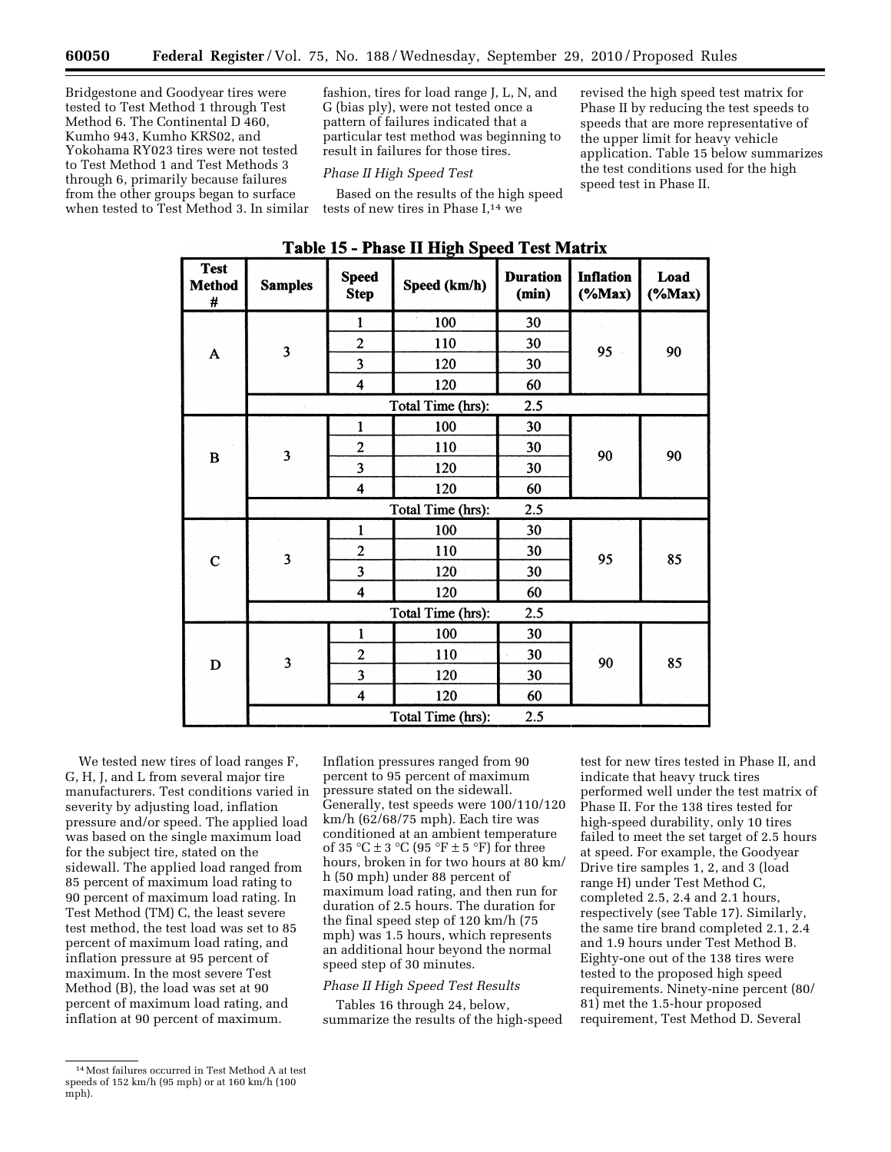Bridgestone and Goodyear tires were tested to Test Method 1 through Test Method 6. The Continental D 460, Kumho 943, Kumho KRS02, and Yokohama RY023 tires were not tested to Test Method 1 and Test Methods 3 through 6, primarily because failures from the other groups began to surface when tested to Test Method 3. In similar

fashion, tires for load range J, L, N, and G (bias ply), were not tested once a pattern of failures indicated that a particular test method was beginning to result in failures for those tires.

### *Phase II High Speed Test*

Based on the results of the high speed tests of new tires in Phase I,<sup>14</sup> we

revised the high speed test matrix for Phase II by reducing the test speeds to speeds that are more representative of the upper limit for heavy vehicle application. Table 15 below summarizes the test conditions used for the high speed test in Phase II.

| <b>Test</b><br><b>Method</b><br># | <b>Samples</b>          | <b>Speed</b><br><b>Step</b> | Speed (km/h)      | <b>Duration</b><br>(min) | <b>Inflation</b><br>$(*Max)$ | Load<br>$(\%Max)$ |
|-----------------------------------|-------------------------|-----------------------------|-------------------|--------------------------|------------------------------|-------------------|
|                                   |                         | $\mathbf{1}$                | 100               | 30                       |                              |                   |
| $\mathbf{A}$                      | 3                       | $\overline{2}$              | 110               | 30                       | 95                           | 90                |
|                                   |                         | 3                           | 120               | 30                       |                              |                   |
|                                   |                         | $\overline{\mathbf{4}}$     | 120               | 60                       |                              |                   |
|                                   |                         |                             | Total Time (hrs): | 2.5                      |                              |                   |
|                                   |                         | 1                           | 100               | 30                       |                              |                   |
| B                                 | $\mathbf{3}$            | $\overline{c}$              | 110               | 30                       | 90                           | 90                |
|                                   |                         | 3                           | 120               | 30                       |                              |                   |
|                                   |                         | $\overline{\mathbf{4}}$     | 120               | 60                       |                              |                   |
|                                   |                         |                             | Total Time (hrs): | 2.5                      |                              |                   |
|                                   |                         | $\mathbf{1}$                | 100               | 30                       |                              |                   |
| $\mathbf C$                       | 3                       | $\overline{c}$              | 110               | 30                       | 95                           | 85                |
|                                   |                         | $\overline{\mathbf{3}}$     | 120               | 30                       |                              |                   |
|                                   |                         | $\overline{\mathbf{4}}$     | 120               | 60                       |                              |                   |
|                                   |                         |                             | Total Time (hrs): | 2.5                      |                              |                   |
|                                   |                         | 1                           | 100               | 30                       |                              |                   |
| $\mathbf D$                       | $\overline{\mathbf{3}}$ | $\overline{c}$              | 110               | 30                       | 90                           | 85                |
|                                   |                         | 3                           | 120               | 30                       |                              |                   |
|                                   |                         | 4                           | 120               | 60                       |                              |                   |
|                                   |                         |                             | Total Time (hrs): | 2.5                      |                              |                   |

**Table 15 - Phase II High Speed Test Matrix** 

We tested new tires of load ranges F, G, H, J, and L from several major tire manufacturers. Test conditions varied in severity by adjusting load, inflation pressure and/or speed. The applied load was based on the single maximum load for the subject tire, stated on the sidewall. The applied load ranged from 85 percent of maximum load rating to 90 percent of maximum load rating. In Test Method (TM) C, the least severe test method, the test load was set to 85 percent of maximum load rating, and inflation pressure at 95 percent of maximum. In the most severe Test Method (B), the load was set at 90 percent of maximum load rating, and inflation at 90 percent of maximum.

Inflation pressures ranged from 90 percent to 95 percent of maximum pressure stated on the sidewall. Generally, test speeds were 100/110/120 km/h (62/68/75 mph). Each tire was conditioned at an ambient temperature of 35 °C  $\pm$  3 °C (95 °F  $\pm$  5 °F) for three hours, broken in for two hours at 80 km/ h (50 mph) under 88 percent of maximum load rating, and then run for duration of 2.5 hours. The duration for the final speed step of 120 km/h (75 mph) was 1.5 hours, which represents an additional hour beyond the normal speed step of 30 minutes.

## *Phase II High Speed Test Results*

Tables 16 through 24, below, summarize the results of the high-speed

test for new tires tested in Phase II, and indicate that heavy truck tires performed well under the test matrix of Phase II. For the 138 tires tested for high-speed durability, only 10 tires failed to meet the set target of 2.5 hours at speed. For example, the Goodyear Drive tire samples 1, 2, and 3 (load range H) under Test Method C, completed 2.5, 2.4 and 2.1 hours, respectively (see Table 17). Similarly, the same tire brand completed 2.1, 2.4 and 1.9 hours under Test Method B. Eighty-one out of the 138 tires were tested to the proposed high speed requirements. Ninety-nine percent (80/ 81) met the 1.5-hour proposed requirement, Test Method D. Several

<sup>14</sup>Most failures occurred in Test Method A at test speeds of 152 km/h (95 mph) or at 160 km/h (100 mph).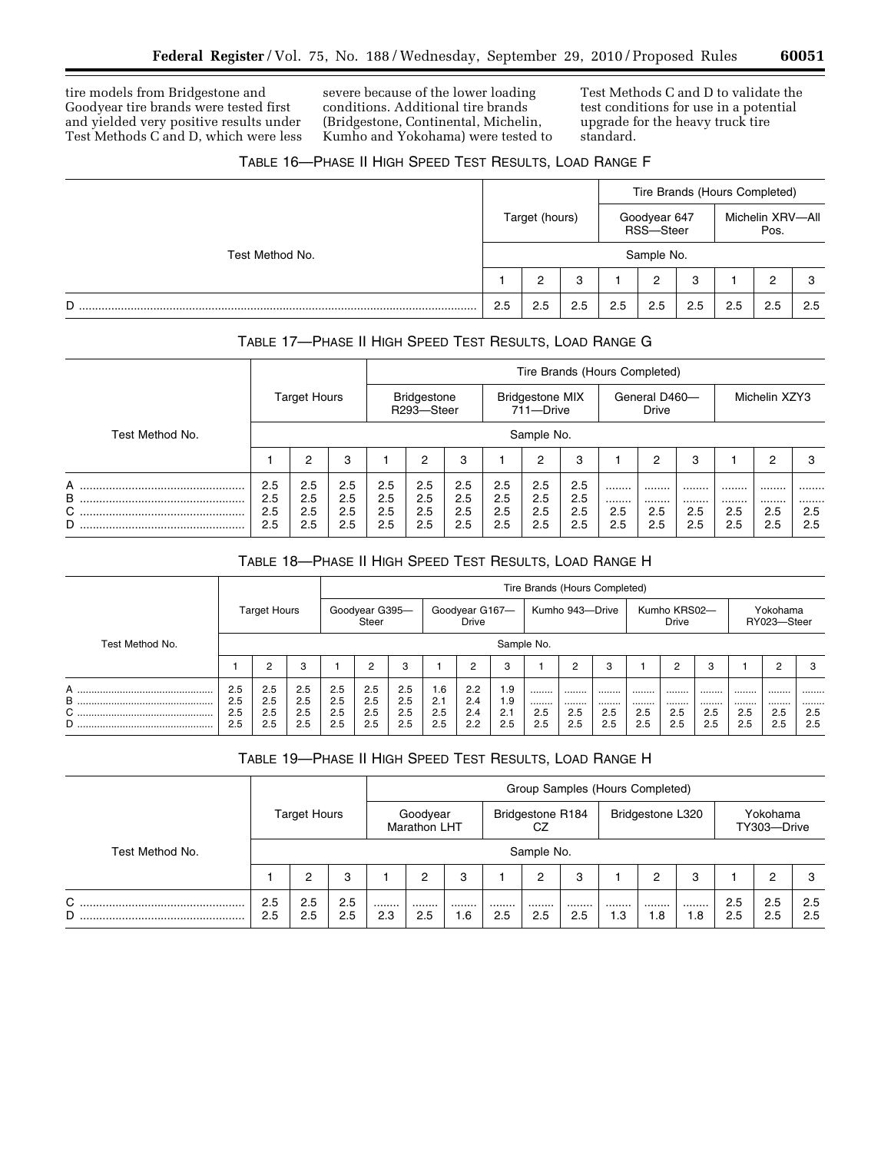tire models from Bridgestone and Goodyear tire brands were tested first and yielded very positive results under Test Methods C and D, which were less

severe because of the lower loading conditions. Additional tire brands (Bridgestone, Continental, Michelin, Kumho and Yokohama) were tested to

Test Methods C and D to validate the test conditions for use in a potential upgrade for the heavy truck tire standard.

٠

# TABLE 16—PHASE II HIGH SPEED TEST RESULTS, LOAD RANGE F

|                 |     |                |     |     |                           | Tire Brands (Hours Completed) |     |                          |     |
|-----------------|-----|----------------|-----|-----|---------------------------|-------------------------------|-----|--------------------------|-----|
|                 |     | Target (hours) |     |     | Goodyear 647<br>RSS-Steer |                               |     | Michelin XRV-All<br>Pos. |     |
| Test Method No. |     |                |     |     | Sample No.                |                               |     |                          |     |
|                 |     | っ              | 3   |     | 2                         | 3                             |     | ົ                        | 3   |
| D               | 2.5 | 2.5            | 2.5 | 2.5 | 2.5                       | 2.5                           | 2.5 | 2.5                      | 2.5 |

# TABLE 17—PHASE II HIGH SPEED TEST RESULTS, LOAD RANGE G

|                  |                          |                          |                          |                          |                                  |                          |                          |                                     |                          | Tire Brands (Hours Completed) |                               |                    |                    |                    |                    |
|------------------|--------------------------|--------------------------|--------------------------|--------------------------|----------------------------------|--------------------------|--------------------------|-------------------------------------|--------------------------|-------------------------------|-------------------------------|--------------------|--------------------|--------------------|--------------------|
|                  |                          | <b>Target Hours</b>      |                          |                          | <b>Bridgestone</b><br>R293-Steer |                          |                          | <b>Bridgestone MIX</b><br>711-Drive |                          |                               | General D460-<br><b>Drive</b> |                    |                    | Michelin XZY3      |                    |
| Test Method No.  |                          |                          |                          |                          |                                  |                          |                          | Sample No.                          |                          |                               |                               |                    |                    |                    |                    |
|                  |                          | ◠                        | 3                        |                          | 2                                | 3                        |                          | 2                                   | 3                        |                               | 2                             | 3                  |                    | 2                  | З                  |
| A<br>B<br>С<br>D | 2.5<br>2.5<br>2.5<br>2.5 | 2.5<br>2.5<br>2.5<br>2.5 | 2.5<br>2.5<br>2.5<br>2.5 | 2.5<br>2.5<br>2.5<br>2.5 | 2.5<br>2.5<br>2.5<br>2.5         | 2.5<br>2.5<br>2.5<br>2.5 | 2.5<br>2.5<br>2.5<br>2.5 | 2.5<br>2.5<br>2.5<br>2.5            | 2.5<br>2.5<br>2.5<br>2.5 | <br><br>2.5<br>2.5            | <br><br>2.5<br>2.5            | <br><br>2.5<br>2.5 | <br><br>2.5<br>2.5 | <br><br>2.5<br>2.5 | <br><br>2.5<br>2.5 |

# TABLE 18—PHASE II HIGH SPEED TEST RESULTS, LOAD RANGE H

|                    |                          |                          |                          |                          |                                |                          |                                      |                          |                          | Tire Brands (Hours Completed) |                    |                    |                    |                              |                    |                    |                         |                    |
|--------------------|--------------------------|--------------------------|--------------------------|--------------------------|--------------------------------|--------------------------|--------------------------------------|--------------------------|--------------------------|-------------------------------|--------------------|--------------------|--------------------|------------------------------|--------------------|--------------------|-------------------------|--------------------|
|                    |                          | <b>Target Hours</b>      |                          |                          | Goodyear G395-<br><b>Steer</b> |                          |                                      | Goodyear G167-<br>Drive  |                          |                               | Kumho 943-Drive    |                    |                    | Kumho KRS02-<br><b>Drive</b> |                    |                    | Yokohama<br>RY023-Steer |                    |
| Test Method No.    |                          |                          |                          |                          |                                |                          |                                      |                          |                          | Sample No.                    |                    |                    |                    |                              |                    |                    |                         |                    |
|                    |                          | 2                        | 3                        |                          | 2                              | 3                        |                                      | $\overline{2}$           | 3                        |                               | 2                  | 3                  |                    | 2                            | 3                  |                    | Ω                       | 3                  |
| A<br>B<br>$C$<br>D | 2.5<br>2.5<br>2.5<br>2.5 | 2.5<br>2.5<br>2.5<br>2.5 | 2.5<br>2.5<br>2.5<br>2.5 | 2.5<br>2.5<br>2.5<br>2.5 | 2.5<br>2.5<br>2.5<br>2.5       | 2.5<br>2.5<br>2.5<br>2.5 | .6 <sub>1</sub><br>2.1<br>2.5<br>2.5 | 2.2<br>2.4<br>2.4<br>2.2 | 1.9<br>1.9<br>2.1<br>2.5 | <br><br>2.5<br>2.5            | <br><br>2.5<br>2.5 | <br><br>2.5<br>2.5 | <br><br>2.5<br>2.5 | <br><br>2.5<br>2.5           | <br><br>2.5<br>2.5 | <br><br>2.5<br>2.5 | <br><br>2.5<br>2.5      | <br><br>2.5<br>2.5 |

# TABLE 19—PHASE II HIGH SPEED TEST RESULTS, LOAD RANGE H

|                 |            |                     |            |         |                          |         |         |                        | Group Samples (Hours Completed) |         |                  |         |            |                         |            |
|-----------------|------------|---------------------|------------|---------|--------------------------|---------|---------|------------------------|---------------------------------|---------|------------------|---------|------------|-------------------------|------------|
|                 |            | <b>Target Hours</b> |            |         | Goodyear<br>Marathon LHT |         |         | Bridgestone R184<br>CZ |                                 |         | Bridgestone L320 |         |            | Yokohama<br>TY303-Drive |            |
| Test Method No. | Sample No. |                     |            |         |                          |         |         |                        |                                 |         |                  |         |            |                         |            |
|                 |            | っ                   | 3          |         | 2                        | 3       |         | 2                      | 3                               |         | 2                | 3       |            | 2                       | 3          |
| С<br>D          | 2.5<br>2.5 | 2.5<br>2.5          | 2.5<br>2.5 | <br>2.3 | <br>2.5                  | <br>1.6 | <br>2.5 | <br>2.5                | <br>2.5                         | <br>1.3 | <br>1.8          | <br>6.1 | 2.5<br>2.5 | 2.5<br>2.5              | 2.5<br>2.5 |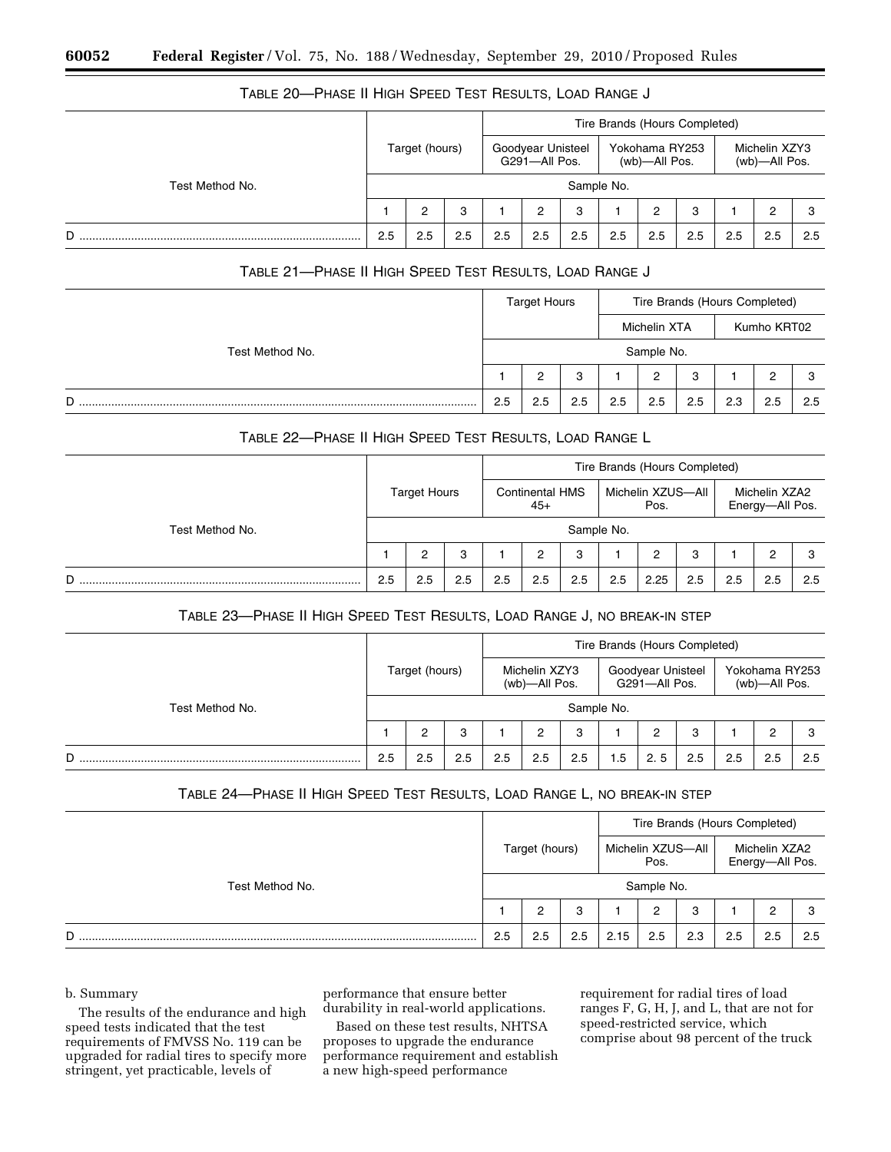|                 |     |                |     |     |                                    |            |     | Tire Brands (Hours Completed)   |     |     |                                |     |
|-----------------|-----|----------------|-----|-----|------------------------------------|------------|-----|---------------------------------|-----|-----|--------------------------------|-----|
|                 |     | Target (hours) |     |     | Goodyear Unisteel<br>G291-All Pos. |            |     | Yokohama RY253<br>(wb)—All Pos. |     |     | Michelin XZY3<br>(wb)-All Pos. |     |
| Test Method No. |     |                |     |     |                                    | Sample No. |     |                                 |     |     |                                |     |
|                 |     | 2              | 3   |     | 2                                  | 3          |     | 2                               | 3   |     | 2                              |     |
| D               | 2.5 | 2.5            | 2.5 | 2.5 | 2.5                                | 2.5        | 2.5 | 2.5                             | 2.5 | 2.5 | 2.5                            | 2.5 |

# TABLE 20—PHASE II HIGH SPEED TEST RESULTS, LOAD RANGE J

# TABLE 21—PHASE II HIGH SPEED TEST RESULTS, LOAD RANGE J

|                 | <b>Target Hours</b> |     |     | Tire Brands (Hours Completed) |                |     |     |             |     |
|-----------------|---------------------|-----|-----|-------------------------------|----------------|-----|-----|-------------|-----|
|                 |                     |     |     |                               | Michelin XTA   |     |     | Kumho KRT02 |     |
| Test Method No. |                     |     |     |                               | Sample No.     |     |     |             |     |
|                 |                     | っ   | 3   |                               | $\overline{2}$ | 3   |     | 0           | з   |
| D               | 2.5                 | 2.5 | 2.5 | 2.5                           | 2.5            | 2.5 | 2.3 | 2.5         | 2.5 |

## TABLE 22—PHASE II HIGH SPEED TEST RESULTS, LOAD RANGE L

|                 | Tire Brands (Hours Completed) |     |     |                                 |     |     |                           |      |     |                                  |     |     |
|-----------------|-------------------------------|-----|-----|---------------------------------|-----|-----|---------------------------|------|-----|----------------------------------|-----|-----|
|                 | <b>Target Hours</b>           |     |     | <b>Continental HMS</b><br>$45+$ |     |     | Michelin XZUS-All<br>Pos. |      |     | Michelin XZA2<br>Energy-All Pos. |     |     |
| Test Method No. | Sample No.                    |     |     |                                 |     |     |                           |      |     |                                  |     |     |
|                 |                               | 2   | 3   |                                 | 2   | 3   |                           | 2    | 3   |                                  | 2   | з   |
| D               | 2.5                           | 2.5 | 2.5 | 2.5                             | 2.5 | 2.5 | 2.5                       | 2.25 | 2.5 | 2.5                              | 2.5 | 2.5 |

# TABLE 23—PHASE II HIGH SPEED TEST RESULTS, LOAD RANGE J, NO BREAK-IN STEP

|                 | Tire Brands (Hours Completed) |     |     |                                |     |                                    |     |     |                                 |     |     |     |
|-----------------|-------------------------------|-----|-----|--------------------------------|-----|------------------------------------|-----|-----|---------------------------------|-----|-----|-----|
|                 | Target (hours)                |     |     | Michelin XZY3<br>(wb)-All Pos. |     | Goodyear Unisteel<br>G291-All Pos. |     |     | Yokohama RY253<br>(wb)—All Pos. |     |     |     |
| Test Method No. | Sample No.                    |     |     |                                |     |                                    |     |     |                                 |     |     |     |
|                 |                               |     | 3   |                                |     | 3                                  |     | 2   | 3                               |     | 2   | З   |
| D               | 2.5                           | 2.5 | 2.5 | 2.5                            | 2.5 | 2.5                                | 1.5 | 2.5 | 2.5                             | 2.5 | 2.5 | 2.5 |

# TABLE 24—PHASE II HIGH SPEED TEST RESULTS, LOAD RANGE L, NO BREAK-IN STEP

|                 |                |     |     | Tire Brands (Hours Completed) |            |     |                                  |     |     |  |
|-----------------|----------------|-----|-----|-------------------------------|------------|-----|----------------------------------|-----|-----|--|
|                 | Target (hours) |     |     | Michelin XZUS-All<br>Pos.     |            |     | Michelin XZA2<br>Energy-All Pos. |     |     |  |
| Test Method No. |                |     |     |                               | Sample No. |     |                                  |     |     |  |
|                 |                | 2   | 3   |                               | 2          | 3   |                                  | 2   | 3   |  |
| D<br>.          | 2.5            | 2.5 | 2.5 | 2.15                          | 2.5        | 2.3 | 2.5                              | 2.5 | 2.5 |  |

## b. Summary

The results of the endurance and high speed tests indicated that the test requirements of FMVSS No. 119 can be upgraded for radial tires to specify more stringent, yet practicable, levels of

performance that ensure better durability in real-world applications.

Based on these test results, NHTSA proposes to upgrade the endurance performance requirement and establish a new high-speed performance

requirement for radial tires of load ranges F, G, H, J, and L, that are not for speed-restricted service, which comprise about 98 percent of the truck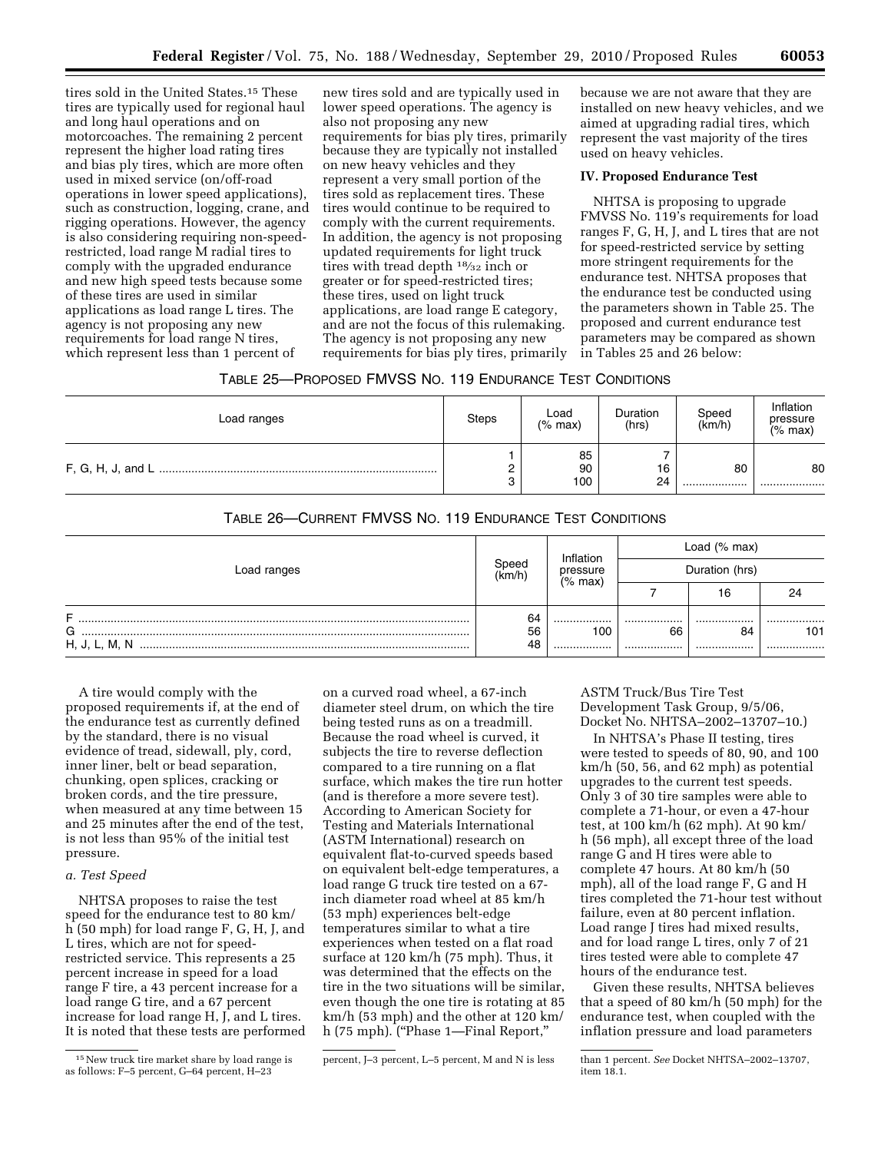tires sold in the United States.15 These tires are typically used for regional haul and long haul operations and on motorcoaches. The remaining 2 percent represent the higher load rating tires and bias ply tires, which are more often used in mixed service (on/off-road operations in lower speed applications), such as construction, logging, crane, and rigging operations. However, the agency is also considering requiring non-speedrestricted, load range M radial tires to comply with the upgraded endurance and new high speed tests because some of these tires are used in similar applications as load range L tires. The agency is not proposing any new requirements for load range N tires, which represent less than 1 percent of

new tires sold and are typically used in lower speed operations. The agency is also not proposing any new requirements for bias ply tires, primarily because they are typically not installed on new heavy vehicles and they represent a very small portion of the tires sold as replacement tires. These tires would continue to be required to comply with the current requirements. In addition, the agency is not proposing updated requirements for light truck tires with tread depth 18⁄32 inch or greater or for speed-restricted tires; these tires, used on light truck applications, are load range E category, and are not the focus of this rulemaking. The agency is not proposing any new requirements for bias ply tires, primarily

because we are not aware that they are installed on new heavy vehicles, and we aimed at upgrading radial tires, which represent the vast majority of the tires used on heavy vehicles.

## **IV. Proposed Endurance Test**

NHTSA is proposing to upgrade FMVSS No. 119's requirements for load ranges F, G, H, J, and L tires that are not for speed-restricted service by setting more stringent requirements for the endurance test. NHTSA proposes that the endurance test be conducted using the parameters shown in Table 25. The proposed and current endurance test parameters may be compared as shown in Tables 25 and 26 below:

| Load ranges | <b>Steps</b> | Load<br>$(%$ max) | Duration<br>(hrs) | Speed<br>(km/h) | Inflation<br>pressure<br>$(%$ max) |
|-------------|--------------|-------------------|-------------------|-----------------|------------------------------------|
|             |              | 85<br>90<br>100   | 16<br>24          | 80<br>          | 80<br>                             |

# TABLE 26—CURRENT FMVSS NO. 119 ENDURANCE TEST CONDITIONS

| Load ranges             |                | Inflation             | Load $(% \mathcal{L}_{0})$ max) |            |             |  |  |  |  |
|-------------------------|----------------|-----------------------|---------------------------------|------------|-------------|--|--|--|--|
|                         |                | pressure<br>$(%$ max) | Duration (hrs)                  |            |             |  |  |  |  |
|                         |                |                       |                                 | 16         | 24          |  |  |  |  |
| F<br>G<br>H, J, L, M, N | 64<br>56<br>48 | <br>100<br>           | <br>66<br>                      | <br>84<br> | <br>101<br> |  |  |  |  |

A tire would comply with the proposed requirements if, at the end of the endurance test as currently defined by the standard, there is no visual evidence of tread, sidewall, ply, cord, inner liner, belt or bead separation, chunking, open splices, cracking or broken cords, and the tire pressure, when measured at any time between 15 and 25 minutes after the end of the test, is not less than 95% of the initial test pressure.

## *a. Test Speed*

NHTSA proposes to raise the test speed for the endurance test to 80 km/ h (50 mph) for load range F, G, H, J, and L tires, which are not for speedrestricted service. This represents a 25 percent increase in speed for a load range F tire, a 43 percent increase for a load range G tire, and a 67 percent increase for load range H, J, and L tires. It is noted that these tests are performed

on a curved road wheel, a 67-inch diameter steel drum, on which the tire being tested runs as on a treadmill. Because the road wheel is curved, it subjects the tire to reverse deflection compared to a tire running on a flat surface, which makes the tire run hotter (and is therefore a more severe test). According to American Society for Testing and Materials International (ASTM International) research on equivalent flat-to-curved speeds based on equivalent belt-edge temperatures, a load range G truck tire tested on a 67 inch diameter road wheel at 85 km/h (53 mph) experiences belt-edge temperatures similar to what a tire experiences when tested on a flat road surface at 120 km/h (75 mph). Thus, it was determined that the effects on the tire in the two situations will be similar, even though the one tire is rotating at 85 km/h (53 mph) and the other at 120 km/ h (75 mph). ("Phase 1—Final Report,"

ASTM Truck/Bus Tire Test Development Task Group, 9/5/06, Docket No. NHTSA–2002–13707–10.)

In NHTSA's Phase II testing, tires were tested to speeds of 80, 90, and 100 km/h (50, 56, and 62 mph) as potential upgrades to the current test speeds. Only 3 of 30 tire samples were able to complete a 71-hour, or even a 47-hour test, at 100 km/h (62 mph). At 90 km/ h (56 mph), all except three of the load range G and H tires were able to complete 47 hours. At 80 km/h (50 mph), all of the load range F, G and H tires completed the 71-hour test without failure, even at 80 percent inflation. Load range J tires had mixed results, and for load range L tires, only 7 of 21 tires tested were able to complete 47 hours of the endurance test.

Given these results, NHTSA believes that a speed of 80 km/h (50 mph) for the endurance test, when coupled with the inflation pressure and load parameters

<sup>15</sup>New truck tire market share by load range is as follows: F–5 percent, G–64 percent, H–23

percent, J–3 percent, L–5 percent, M and N is less than 1 percent. *See* Docket NHTSA–2002–13707, item 18.1.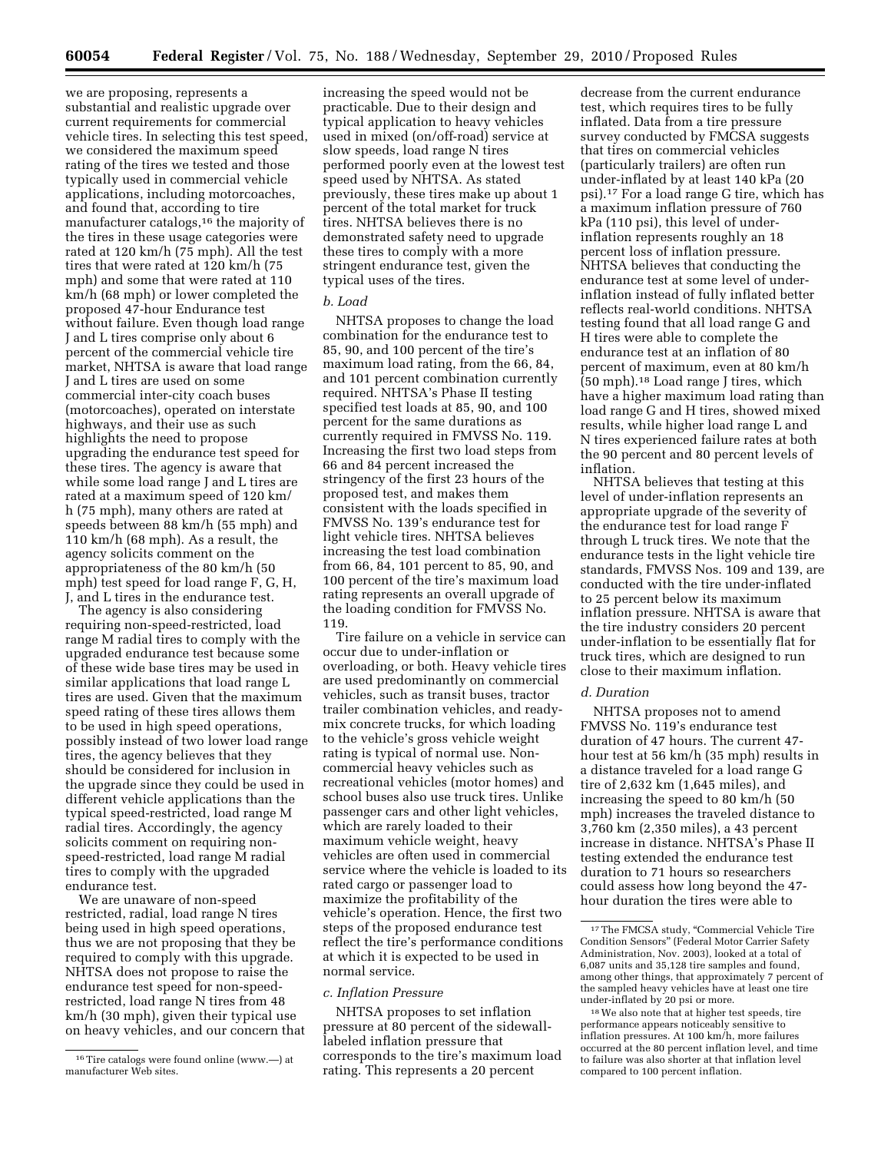we are proposing, represents a substantial and realistic upgrade over current requirements for commercial vehicle tires. In selecting this test speed, we considered the maximum speed rating of the tires we tested and those typically used in commercial vehicle applications, including motorcoaches, and found that, according to tire manufacturer catalogs,16 the majority of the tires in these usage categories were rated at 120 km/h (75 mph). All the test tires that were rated at 120 km/h (75 mph) and some that were rated at 110 km/h (68 mph) or lower completed the proposed 47-hour Endurance test without failure. Even though load range J and L tires comprise only about 6 percent of the commercial vehicle tire market, NHTSA is aware that load range J and L tires are used on some commercial inter-city coach buses (motorcoaches), operated on interstate highways, and their use as such highlights the need to propose upgrading the endurance test speed for these tires. The agency is aware that while some load range J and L tires are rated at a maximum speed of 120 km/ h (75 mph), many others are rated at speeds between 88 km/h (55 mph) and 110 km/h (68 mph). As a result, the agency solicits comment on the appropriateness of the 80 km/h (50 mph) test speed for load range F, G, H, J, and L tires in the endurance test.

The agency is also considering requiring non-speed-restricted, load range M radial tires to comply with the upgraded endurance test because some of these wide base tires may be used in similar applications that load range L tires are used. Given that the maximum speed rating of these tires allows them to be used in high speed operations, possibly instead of two lower load range tires, the agency believes that they should be considered for inclusion in the upgrade since they could be used in different vehicle applications than the typical speed-restricted, load range M radial tires. Accordingly, the agency solicits comment on requiring nonspeed-restricted, load range M radial tires to comply with the upgraded endurance test.

We are unaware of non-speed restricted, radial, load range N tires being used in high speed operations, thus we are not proposing that they be required to comply with this upgrade. NHTSA does not propose to raise the endurance test speed for non-speedrestricted, load range N tires from 48 km/h (30 mph), given their typical use on heavy vehicles, and our concern that

increasing the speed would not be practicable. Due to their design and typical application to heavy vehicles used in mixed (on/off-road) service at slow speeds, load range N tires performed poorly even at the lowest test speed used by NHTSA. As stated previously, these tires make up about 1 percent of the total market for truck tires. NHTSA believes there is no demonstrated safety need to upgrade these tires to comply with a more stringent endurance test, given the typical uses of the tires.

## *b. Load*

NHTSA proposes to change the load combination for the endurance test to 85, 90, and 100 percent of the tire's maximum load rating, from the 66, 84, and 101 percent combination currently required. NHTSA's Phase II testing specified test loads at 85, 90, and 100 percent for the same durations as currently required in FMVSS No. 119. Increasing the first two load steps from 66 and 84 percent increased the stringency of the first 23 hours of the proposed test, and makes them consistent with the loads specified in FMVSS No. 139's endurance test for light vehicle tires. NHTSA believes increasing the test load combination from 66, 84, 101 percent to 85, 90, and 100 percent of the tire's maximum load rating represents an overall upgrade of the loading condition for FMVSS No. 119.

Tire failure on a vehicle in service can occur due to under-inflation or overloading, or both. Heavy vehicle tires are used predominantly on commercial vehicles, such as transit buses, tractor trailer combination vehicles, and readymix concrete trucks, for which loading to the vehicle's gross vehicle weight rating is typical of normal use. Noncommercial heavy vehicles such as recreational vehicles (motor homes) and school buses also use truck tires. Unlike passenger cars and other light vehicles, which are rarely loaded to their maximum vehicle weight, heavy vehicles are often used in commercial service where the vehicle is loaded to its rated cargo or passenger load to maximize the profitability of the vehicle's operation. Hence, the first two steps of the proposed endurance test reflect the tire's performance conditions at which it is expected to be used in normal service.

#### *c. Inflation Pressure*

NHTSA proposes to set inflation pressure at 80 percent of the sidewalllabeled inflation pressure that corresponds to the tire's maximum load rating. This represents a 20 percent

decrease from the current endurance test, which requires tires to be fully inflated. Data from a tire pressure survey conducted by FMCSA suggests that tires on commercial vehicles (particularly trailers) are often run under-inflated by at least 140 kPa (20 psi).17 For a load range G tire, which has a maximum inflation pressure of 760 kPa (110 psi), this level of underinflation represents roughly an 18 percent loss of inflation pressure. NHTSA believes that conducting the endurance test at some level of underinflation instead of fully inflated better reflects real-world conditions. NHTSA testing found that all load range G and H tires were able to complete the endurance test at an inflation of 80 percent of maximum, even at 80 km/h (50 mph).18 Load range J tires, which have a higher maximum load rating than load range G and H tires, showed mixed results, while higher load range L and N tires experienced failure rates at both the 90 percent and 80 percent levels of inflation.

NHTSA believes that testing at this level of under-inflation represents an appropriate upgrade of the severity of the endurance test for load range F through L truck tires. We note that the endurance tests in the light vehicle tire standards, FMVSS Nos. 109 and 139, are conducted with the tire under-inflated to 25 percent below its maximum inflation pressure. NHTSA is aware that the tire industry considers 20 percent under-inflation to be essentially flat for truck tires, which are designed to run close to their maximum inflation.

#### *d. Duration*

NHTSA proposes not to amend FMVSS No. 119's endurance test duration of 47 hours. The current 47 hour test at 56 km/h (35 mph) results in a distance traveled for a load range G tire of 2,632 km (1,645 miles), and increasing the speed to 80 km/h (50 mph) increases the traveled distance to 3,760 km (2,350 miles), a 43 percent increase in distance. NHTSA's Phase II testing extended the endurance test duration to 71 hours so researchers could assess how long beyond the 47 hour duration the tires were able to

18We also note that at higher test speeds, tire performance appears noticeably sensitive to inflation pressures. At 100 km/h, more failures occurred at the 80 percent inflation level, and time to failure was also shorter at that inflation level compared to 100 percent inflation.

<sup>16</sup>Tire catalogs were found online (www.—) at manufacturer Web sites.

<sup>&</sup>lt;sup>17</sup>The FMCSA study, "Commercial Vehicle Tire Condition Sensors'' (Federal Motor Carrier Safety Administration, Nov. 2003), looked at a total of 6,087 units and 35,128 tire samples and found, among other things, that approximately 7 percent of the sampled heavy vehicles have at least one tire under-inflated by 20 psi or more.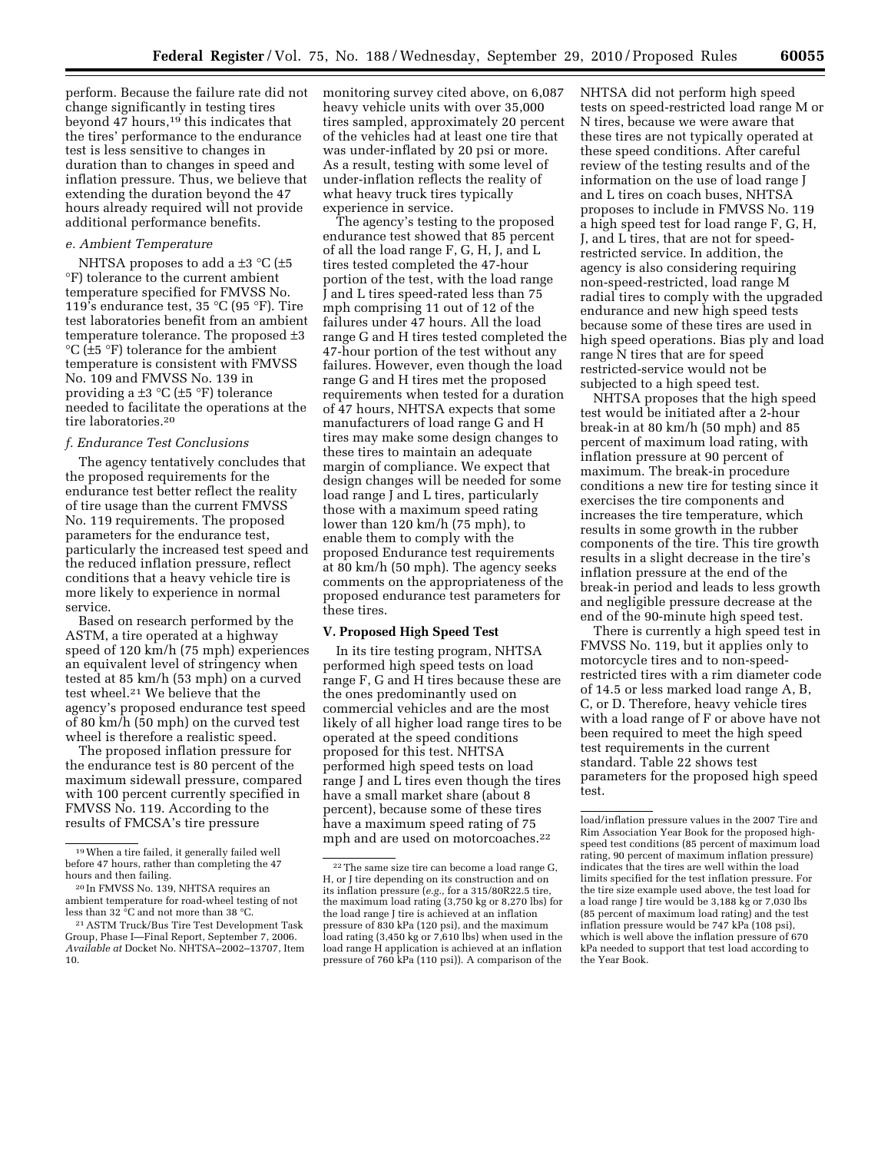perform. Because the failure rate did not change significantly in testing tires beyond 47 hours,19 this indicates that the tires' performance to the endurance test is less sensitive to changes in duration than to changes in speed and inflation pressure. Thus, we believe that extending the duration beyond the 47 hours already required will not provide additional performance benefits.

#### *e. Ambient Temperature*

NHTSA proposes to add a  $\pm$ 3 °C ( $\pm$ 5 °F) tolerance to the current ambient temperature specified for FMVSS No. 119's endurance test, 35 °C (95 °F). Tire test laboratories benefit from an ambient temperature tolerance. The proposed ±3  $^{\circ}C$  ( $\pm$ 5  $^{\circ}F$ ) tolerance for the ambient temperature is consistent with FMVSS No. 109 and FMVSS No. 139 in providing a  $\pm 3$  °C ( $\pm 5$  °F) tolerance needed to facilitate the operations at the tire laboratories.20

### *f. Endurance Test Conclusions*

The agency tentatively concludes that the proposed requirements for the endurance test better reflect the reality of tire usage than the current FMVSS No. 119 requirements. The proposed parameters for the endurance test, particularly the increased test speed and the reduced inflation pressure, reflect conditions that a heavy vehicle tire is more likely to experience in normal service.

Based on research performed by the ASTM, a tire operated at a highway speed of 120 km/h (75 mph) experiences an equivalent level of stringency when tested at 85 km/h (53 mph) on a curved test wheel.21 We believe that the agency's proposed endurance test speed of 80 km/h (50 mph) on the curved test wheel is therefore a realistic speed.

The proposed inflation pressure for the endurance test is 80 percent of the maximum sidewall pressure, compared with 100 percent currently specified in FMVSS No. 119. According to the results of FMCSA's tire pressure

monitoring survey cited above, on 6,087 heavy vehicle units with over 35,000 tires sampled, approximately 20 percent of the vehicles had at least one tire that was under-inflated by 20 psi or more. As a result, testing with some level of under-inflation reflects the reality of what heavy truck tires typically experience in service.

The agency's testing to the proposed endurance test showed that 85 percent of all the load range F, G, H, J, and L tires tested completed the 47-hour portion of the test, with the load range J and L tires speed-rated less than 75 mph comprising 11 out of 12 of the failures under 47 hours. All the load range G and H tires tested completed the 47-hour portion of the test without any failures. However, even though the load range G and H tires met the proposed requirements when tested for a duration of 47 hours, NHTSA expects that some manufacturers of load range G and H tires may make some design changes to these tires to maintain an adequate margin of compliance. We expect that design changes will be needed for some load range J and L tires, particularly those with a maximum speed rating lower than 120 km/h (75 mph), to enable them to comply with the proposed Endurance test requirements at 80 km/h (50 mph). The agency seeks comments on the appropriateness of the proposed endurance test parameters for these tires.

#### **V. Proposed High Speed Test**

In its tire testing program, NHTSA performed high speed tests on load range F, G and H tires because these are the ones predominantly used on commercial vehicles and are the most likely of all higher load range tires to be operated at the speed conditions proposed for this test. NHTSA performed high speed tests on load range J and L tires even though the tires have a small market share (about 8 percent), because some of these tires have a maximum speed rating of 75 mph and are used on motorcoaches.<sup>22</sup>

NHTSA did not perform high speed tests on speed-restricted load range M or N tires, because we were aware that these tires are not typically operated at these speed conditions. After careful review of the testing results and of the information on the use of load range J and L tires on coach buses, NHTSA proposes to include in FMVSS No. 119 a high speed test for load range F, G, H, J, and L tires, that are not for speedrestricted service. In addition, the agency is also considering requiring non-speed-restricted, load range M radial tires to comply with the upgraded endurance and new high speed tests because some of these tires are used in high speed operations. Bias ply and load range N tires that are for speed restricted-service would not be subjected to a high speed test.

NHTSA proposes that the high speed test would be initiated after a 2-hour break-in at 80 km/h (50 mph) and 85 percent of maximum load rating, with inflation pressure at 90 percent of maximum. The break-in procedure conditions a new tire for testing since it exercises the tire components and increases the tire temperature, which results in some growth in the rubber components of the tire. This tire growth results in a slight decrease in the tire's inflation pressure at the end of the break-in period and leads to less growth and negligible pressure decrease at the end of the 90-minute high speed test.

There is currently a high speed test in FMVSS No. 119, but it applies only to motorcycle tires and to non-speedrestricted tires with a rim diameter code of 14.5 or less marked load range A, B, C, or D. Therefore, heavy vehicle tires with a load range of F or above have not been required to meet the high speed test requirements in the current standard. Table 22 shows test parameters for the proposed high speed test.

<sup>19</sup>When a tire failed, it generally failed well before 47 hours, rather than completing the 47 hours and then failing.

<sup>20</sup> In FMVSS No. 139, NHTSA requires an ambient temperature for road-wheel testing of not less than 32 °C and not more than 38 °C.

<sup>21</sup>ASTM Truck/Bus Tire Test Development Task Group, Phase I—Final Report, September 7, 2006. *Available at* Docket No. NHTSA–2002–13707, Item 10.

<sup>22</sup>The same size tire can become a load range G, H, or J tire depending on its construction and on its inflation pressure (*e.g.,* for a 315/80R22.5 tire, the maximum load rating (3,750 kg or 8,270 lbs) for the load range J tire is achieved at an inflation pressure of 830 kPa (120 psi), and the maximum load rating (3,450 kg or 7,610 lbs) when used in the load range H application is achieved at an inflation pressure of 760 kPa (110 psi)). A comparison of the

load/inflation pressure values in the 2007 Tire and Rim Association Year Book for the proposed highspeed test conditions (85 percent of maximum load rating, 90 percent of maximum inflation pressure) indicates that the tires are well within the load limits specified for the test inflation pressure. For the tire size example used above, the test load for a load range J tire would be 3,188 kg or 7,030 lbs (85 percent of maximum load rating) and the test inflation pressure would be 747 kPa (108 psi), which is well above the inflation pressure of 670 kPa needed to support that test load according to the Year Book.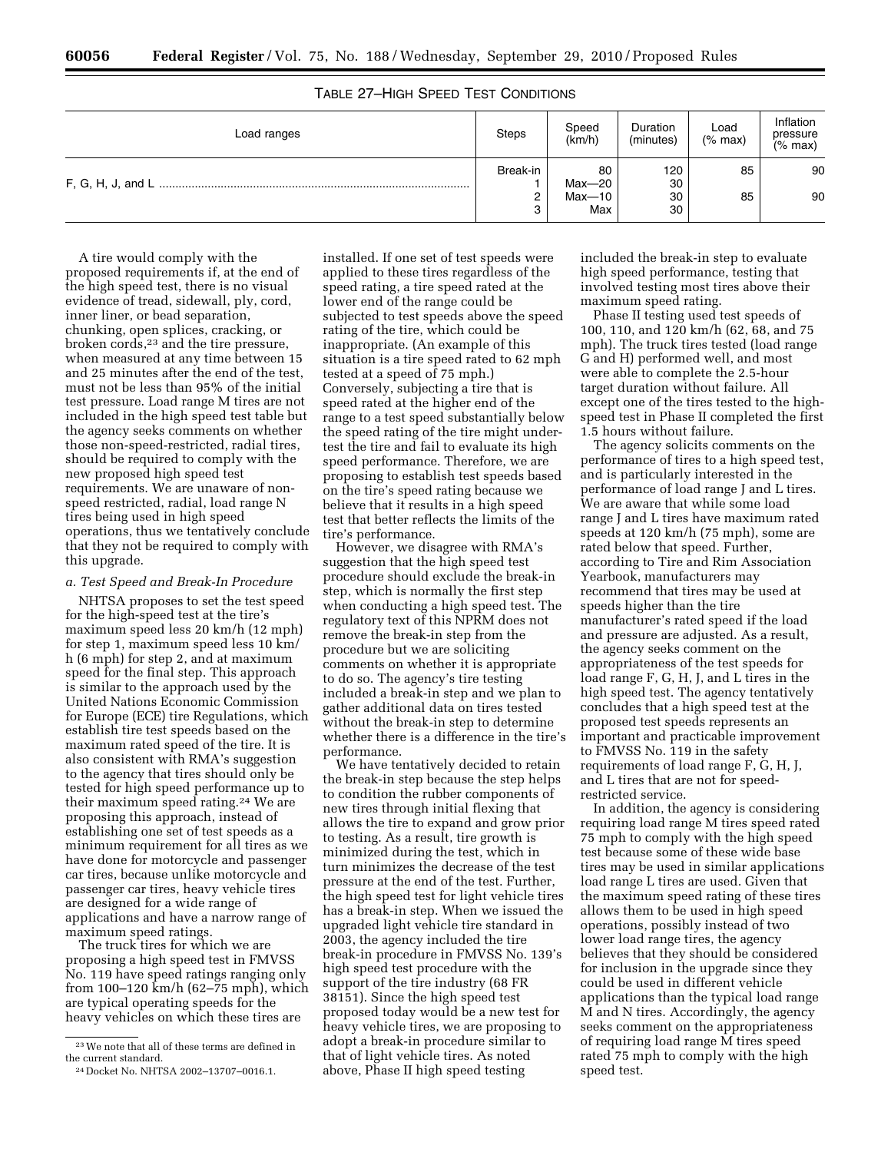| Load ranges | <b>Steps</b> | Speed<br>$\overline{(\rm km/h)}$ | Duration<br>(minutes) | Load<br>$(%$ max) | Inflation<br>pressure<br>(% max) |
|-------------|--------------|----------------------------------|-----------------------|-------------------|----------------------------------|
|             |              | 80<br>$Max-20$                   | 120<br>30             | 85                | 90                               |
|             |              | Max-10<br>Max                    | 30<br>30              | 85                | 90                               |

# TABLE 27–HIGH SPEED TEST CONDITIONS

A tire would comply with the proposed requirements if, at the end of the high speed test, there is no visual evidence of tread, sidewall, ply, cord, inner liner, or bead separation, chunking, open splices, cracking, or broken cords,<sup>23</sup> and the tire pressure, when measured at any time between 15 and 25 minutes after the end of the test, must not be less than 95% of the initial test pressure. Load range M tires are not included in the high speed test table but the agency seeks comments on whether those non-speed-restricted, radial tires, should be required to comply with the new proposed high speed test requirements. We are unaware of nonspeed restricted, radial, load range N tires being used in high speed operations, thus we tentatively conclude that they not be required to comply with this upgrade.

#### *a. Test Speed and Break-In Procedure*

NHTSA proposes to set the test speed for the high-speed test at the tire's maximum speed less 20 km/h (12 mph) for step 1, maximum speed less 10 km/ h (6 mph) for step 2, and at maximum speed for the final step. This approach is similar to the approach used by the United Nations Economic Commission for Europe (ECE) tire Regulations, which establish tire test speeds based on the maximum rated speed of the tire. It is also consistent with RMA's suggestion to the agency that tires should only be tested for high speed performance up to their maximum speed rating.24 We are proposing this approach, instead of establishing one set of test speeds as a minimum requirement for all tires as we have done for motorcycle and passenger car tires, because unlike motorcycle and passenger car tires, heavy vehicle tires are designed for a wide range of applications and have a narrow range of maximum speed ratings.

The truck tires for which we are proposing a high speed test in FMVSS No. 119 have speed ratings ranging only from 100–120 km/h (62–75 mph), which are typical operating speeds for the heavy vehicles on which these tires are

installed. If one set of test speeds were applied to these tires regardless of the speed rating, a tire speed rated at the lower end of the range could be subjected to test speeds above the speed rating of the tire, which could be inappropriate. (An example of this situation is a tire speed rated to 62 mph tested at a speed of 75 mph.) Conversely, subjecting a tire that is speed rated at the higher end of the range to a test speed substantially below the speed rating of the tire might undertest the tire and fail to evaluate its high speed performance. Therefore, we are proposing to establish test speeds based on the tire's speed rating because we believe that it results in a high speed test that better reflects the limits of the tire's performance.

However, we disagree with RMA's suggestion that the high speed test procedure should exclude the break-in step, which is normally the first step when conducting a high speed test. The regulatory text of this NPRM does not remove the break-in step from the procedure but we are soliciting comments on whether it is appropriate to do so. The agency's tire testing included a break-in step and we plan to gather additional data on tires tested without the break-in step to determine whether there is a difference in the tire's performance.

We have tentatively decided to retain the break-in step because the step helps to condition the rubber components of new tires through initial flexing that allows the tire to expand and grow prior to testing. As a result, tire growth is minimized during the test, which in turn minimizes the decrease of the test pressure at the end of the test. Further, the high speed test for light vehicle tires has a break-in step. When we issued the upgraded light vehicle tire standard in 2003, the agency included the tire break-in procedure in FMVSS No. 139's high speed test procedure with the support of the tire industry (68 FR 38151). Since the high speed test proposed today would be a new test for heavy vehicle tires, we are proposing to adopt a break-in procedure similar to that of light vehicle tires. As noted above, Phase II high speed testing

included the break-in step to evaluate high speed performance, testing that involved testing most tires above their maximum speed rating.

Phase II testing used test speeds of 100, 110, and 120 km/h (62, 68, and 75 mph). The truck tires tested (load range G and H) performed well, and most were able to complete the 2.5-hour target duration without failure. All except one of the tires tested to the highspeed test in Phase II completed the first 1.5 hours without failure.

The agency solicits comments on the performance of tires to a high speed test, and is particularly interested in the performance of load range J and L tires. We are aware that while some load range J and L tires have maximum rated speeds at 120 km/h (75 mph), some are rated below that speed. Further, according to Tire and Rim Association Yearbook, manufacturers may recommend that tires may be used at speeds higher than the tire manufacturer's rated speed if the load and pressure are adjusted. As a result, the agency seeks comment on the appropriateness of the test speeds for load range F, G, H, J, and L tires in the high speed test. The agency tentatively concludes that a high speed test at the proposed test speeds represents an important and practicable improvement to FMVSS No. 119 in the safety requirements of load range F, G, H, J, and L tires that are not for speedrestricted service.

In addition, the agency is considering requiring load range M tires speed rated 75 mph to comply with the high speed test because some of these wide base tires may be used in similar applications load range L tires are used. Given that the maximum speed rating of these tires allows them to be used in high speed operations, possibly instead of two lower load range tires, the agency believes that they should be considered for inclusion in the upgrade since they could be used in different vehicle applications than the typical load range M and N tires. Accordingly, the agency seeks comment on the appropriateness of requiring load range M tires speed rated 75 mph to comply with the high speed test.

 $^{\rm 23}\!\!\!\,$  We note that all of these terms are defined in the current standard.

<sup>24</sup> Docket No. NHTSA 2002–13707–0016.1.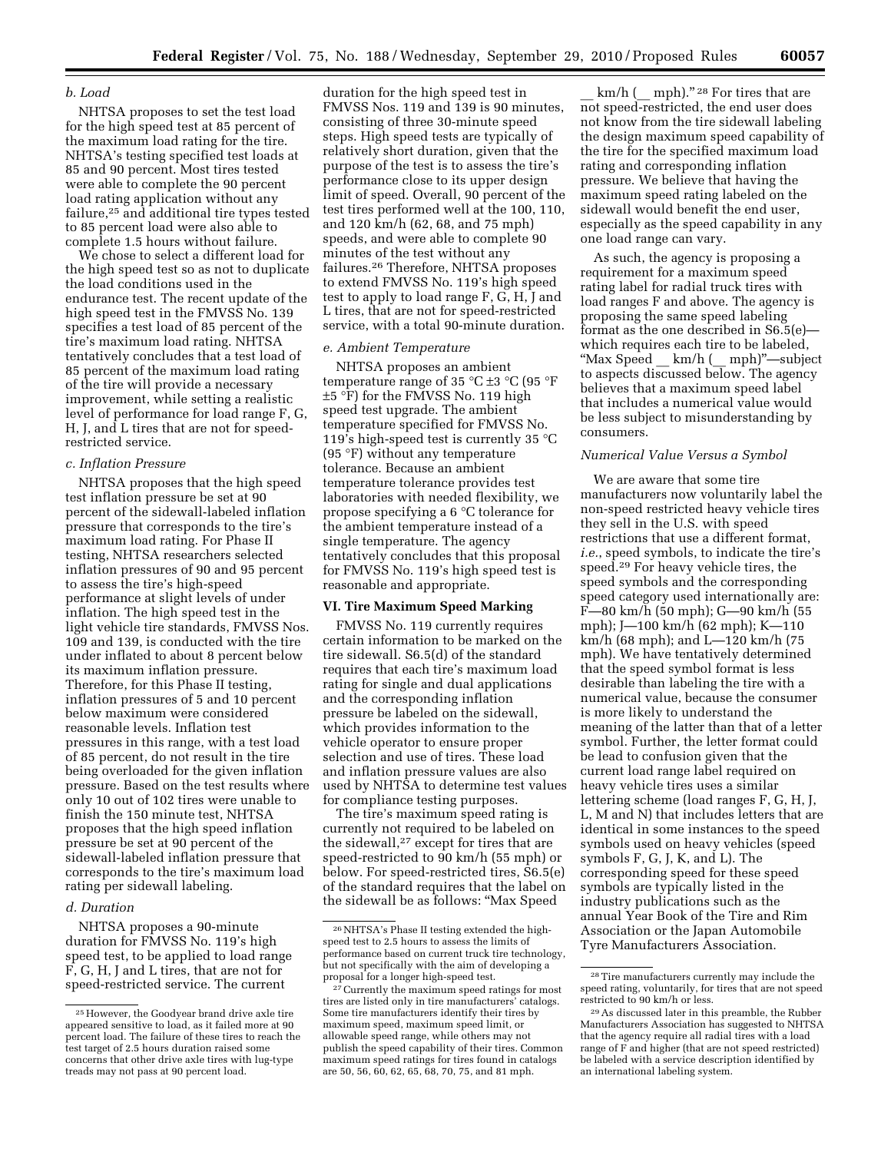## *b. Load*

NHTSA proposes to set the test load for the high speed test at 85 percent of the maximum load rating for the tire. NHTSA's testing specified test loads at 85 and 90 percent. Most tires tested were able to complete the 90 percent load rating application without any failure,25 and additional tire types tested to 85 percent load were also able to complete 1.5 hours without failure.

We chose to select a different load for the high speed test so as not to duplicate the load conditions used in the endurance test. The recent update of the high speed test in the FMVSS No. 139 specifies a test load of 85 percent of the tire's maximum load rating. NHTSA tentatively concludes that a test load of 85 percent of the maximum load rating of the tire will provide a necessary improvement, while setting a realistic level of performance for load range F, G, H, J, and L tires that are not for speedrestricted service.

### *c. Inflation Pressure*

NHTSA proposes that the high speed test inflation pressure be set at 90 percent of the sidewall-labeled inflation pressure that corresponds to the tire's maximum load rating. For Phase II testing, NHTSA researchers selected inflation pressures of 90 and 95 percent to assess the tire's high-speed performance at slight levels of under inflation. The high speed test in the light vehicle tire standards, FMVSS Nos. 109 and 139, is conducted with the tire under inflated to about 8 percent below its maximum inflation pressure. Therefore, for this Phase II testing, inflation pressures of 5 and 10 percent below maximum were considered reasonable levels. Inflation test pressures in this range, with a test load of 85 percent, do not result in the tire being overloaded for the given inflation pressure. Based on the test results where only 10 out of 102 tires were unable to finish the 150 minute test, NHTSA proposes that the high speed inflation pressure be set at 90 percent of the sidewall-labeled inflation pressure that corresponds to the tire's maximum load rating per sidewall labeling.

#### *d. Duration*

NHTSA proposes a 90-minute duration for FMVSS No. 119's high speed test, to be applied to load range F, G, H, J and L tires, that are not for speed-restricted service. The current

duration for the high speed test in FMVSS Nos. 119 and 139 is 90 minutes, consisting of three 30-minute speed steps. High speed tests are typically of relatively short duration, given that the purpose of the test is to assess the tire's performance close to its upper design limit of speed. Overall, 90 percent of the test tires performed well at the 100, 110, and 120 km/h (62, 68, and 75 mph) speeds, and were able to complete 90 minutes of the test without any failures.26 Therefore, NHTSA proposes to extend FMVSS No. 119's high speed test to apply to load range F, G, H, J and L tires, that are not for speed-restricted service, with a total 90-minute duration.

#### *e. Ambient Temperature*

NHTSA proposes an ambient temperature range of 35 °C  $\pm$ 3 °C (95 °F ±5 °F) for the FMVSS No. 119 high speed test upgrade. The ambient temperature specified for FMVSS No. 119's high-speed test is currently 35 °C (95 °F) without any temperature tolerance. Because an ambient temperature tolerance provides test laboratories with needed flexibility, we propose specifying a 6 °C tolerance for the ambient temperature instead of a single temperature. The agency tentatively concludes that this proposal for FMVSS No. 119's high speed test is reasonable and appropriate.

#### **VI. Tire Maximum Speed Marking**

FMVSS No. 119 currently requires certain information to be marked on the tire sidewall. S6.5(d) of the standard requires that each tire's maximum load rating for single and dual applications and the corresponding inflation pressure be labeled on the sidewall, which provides information to the vehicle operator to ensure proper selection and use of tires. These load and inflation pressure values are also used by NHTSA to determine test values for compliance testing purposes.

The tire's maximum speed rating is currently not required to be labeled on the sidewall,27 except for tires that are speed-restricted to 90 km/h (55 mph) or below. For speed-restricted tires, S6.5(e) of the standard requires that the label on the sidewall be as follows: ''Max Speed

km/h  $(\text{mm}\text{ln})$ ." <sup>28</sup> For tires that are not speed-restricted, the end user does not know from the tire sidewall labeling the design maximum speed capability of the tire for the specified maximum load rating and corresponding inflation pressure. We believe that having the maximum speed rating labeled on the sidewall would benefit the end user, especially as the speed capability in any one load range can vary.

As such, the agency is proposing a requirement for a maximum speed rating label for radial truck tires with load ranges F and above. The agency is proposing the same speed labeling format as the one described in S6.5(e) which requires each tire to be labeled, ''Max Speed \_\_ km/h (\_\_ mph)''—subject to aspects discussed below. The agency believes that a maximum speed label that includes a numerical value would be less subject to misunderstanding by consumers.

#### *Numerical Value Versus a Symbol*

We are aware that some tire manufacturers now voluntarily label the non-speed restricted heavy vehicle tires they sell in the U.S. with speed restrictions that use a different format, *i.e.*, speed symbols, to indicate the tire's speed.29 For heavy vehicle tires, the speed symbols and the corresponding speed category used internationally are: F—80 km/h (50 mph); G—90 km/h (55 mph); J—100 km/h (62 mph); K—110 km/h (68 mph); and L—120 km/h (75 mph). We have tentatively determined that the speed symbol format is less desirable than labeling the tire with a numerical value, because the consumer is more likely to understand the meaning of the latter than that of a letter symbol. Further, the letter format could be lead to confusion given that the current load range label required on heavy vehicle tires uses a similar lettering scheme (load ranges F, G, H, J, L, M and N) that includes letters that are identical in some instances to the speed symbols used on heavy vehicles (speed symbols F, G, J, K, and L). The corresponding speed for these speed symbols are typically listed in the industry publications such as the annual Year Book of the Tire and Rim Association or the Japan Automobile Tyre Manufacturers Association.

<sup>25</sup>However, the Goodyear brand drive axle tire appeared sensitive to load, as it failed more at 90 percent load. The failure of these tires to reach the test target of 2.5 hours duration raised some concerns that other drive axle tires with lug-type treads may not pass at 90 percent load.

<sup>26</sup>NHTSA's Phase II testing extended the highspeed test to 2.5 hours to assess the limits of performance based on current truck tire technology, but not specifically with the aim of developing a proposal for a longer high-speed test.

<sup>27</sup>Currently the maximum speed ratings for most tires are listed only in tire manufacturers' catalogs. Some tire manufacturers identify their tires by maximum speed, maximum speed limit, or allowable speed range, while others may not publish the speed capability of their tires. Common maximum speed ratings for tires found in catalogs are 50, 56, 60, 62, 65, 68, 70, 75, and 81 mph.

<sup>28</sup>Tire manufacturers currently may include the speed rating, voluntarily, for tires that are not speed restricted to 90 km/h or less.

<sup>29</sup>As discussed later in this preamble, the Rubber Manufacturers Association has suggested to NHTSA that the agency require all radial tires with a load range of F and higher (that are not speed restricted) be labeled with a service description identified by an international labeling system.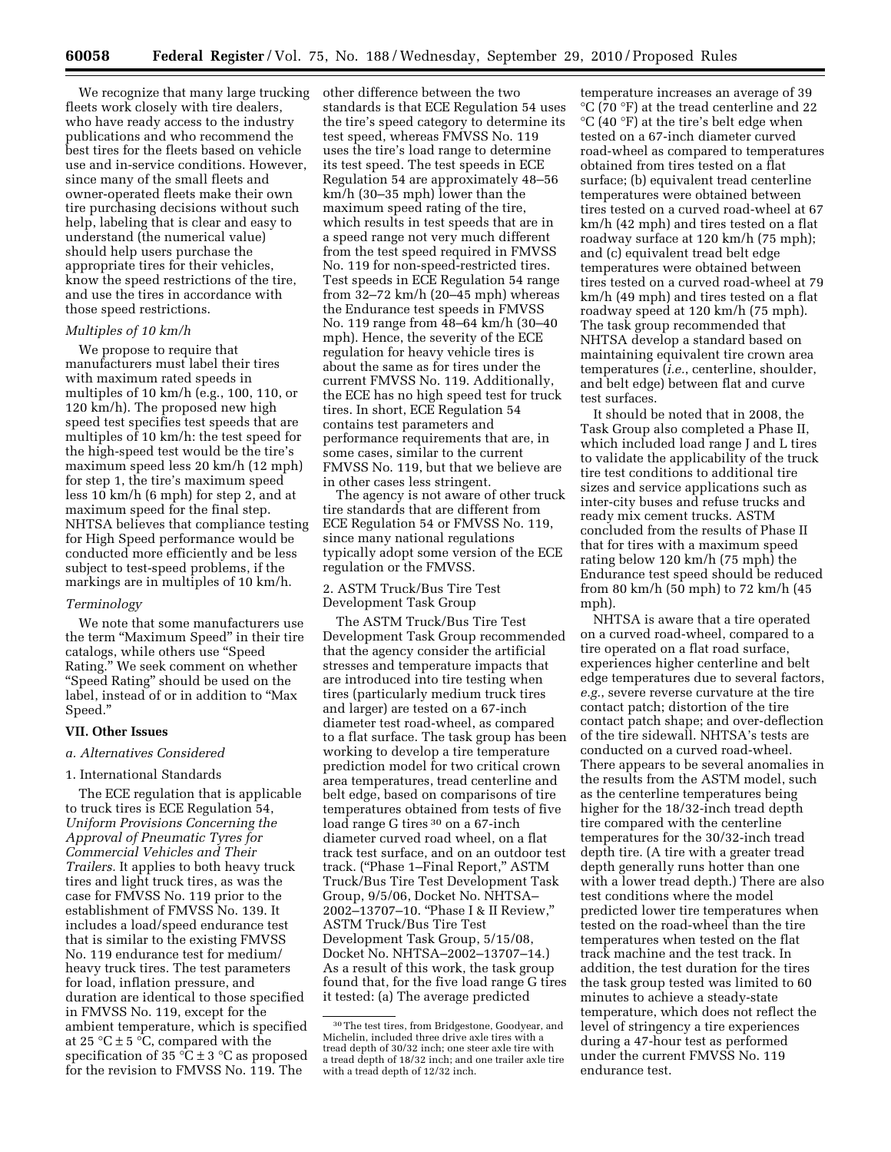We recognize that many large trucking fleets work closely with tire dealers, who have ready access to the industry publications and who recommend the best tires for the fleets based on vehicle use and in-service conditions. However, since many of the small fleets and owner-operated fleets make their own tire purchasing decisions without such help, labeling that is clear and easy to understand (the numerical value) should help users purchase the appropriate tires for their vehicles, know the speed restrictions of the tire, and use the tires in accordance with those speed restrictions.

#### *Multiples of 10 km/h*

We propose to require that manufacturers must label their tires with maximum rated speeds in multiples of 10 km/h (e.g., 100, 110, or 120 km/h). The proposed new high speed test specifies test speeds that are multiples of 10 km/h: the test speed for the high-speed test would be the tire's maximum speed less 20 km/h (12 mph) for step 1, the tire's maximum speed less 10 km/h (6 mph) for step 2, and at maximum speed for the final step. NHTSA believes that compliance testing for High Speed performance would be conducted more efficiently and be less subject to test-speed problems, if the markings are in multiples of 10 km/h.

#### *Terminology*

We note that some manufacturers use the term ''Maximum Speed'' in their tire catalogs, while others use ''Speed Rating.'' We seek comment on whether ''Speed Rating'' should be used on the label, instead of or in addition to ''Max Speed.''

#### **VII. Other Issues**

## *a. Alternatives Considered*

### 1. International Standards

The ECE regulation that is applicable to truck tires is ECE Regulation 54, *Uniform Provisions Concerning the Approval of Pneumatic Tyres for Commercial Vehicles and Their Trailers.* It applies to both heavy truck tires and light truck tires, as was the case for FMVSS No. 119 prior to the establishment of FMVSS No. 139. It includes a load/speed endurance test that is similar to the existing FMVSS No. 119 endurance test for medium/ heavy truck tires. The test parameters for load, inflation pressure, and duration are identical to those specified in FMVSS No. 119, except for the ambient temperature, which is specified at 25 °C  $\pm$  5 °C, compared with the specification of 35  $\mathrm{C} \pm 3$  °C as proposed for the revision to FMVSS No. 119. The

other difference between the two standards is that ECE Regulation 54 uses the tire's speed category to determine its test speed, whereas FMVSS No. 119 uses the tire's load range to determine its test speed. The test speeds in ECE Regulation 54 are approximately 48–56 km/h (30–35 mph) lower than the maximum speed rating of the tire, which results in test speeds that are in a speed range not very much different from the test speed required in FMVSS No. 119 for non-speed-restricted tires. Test speeds in ECE Regulation 54 range from 32–72 km/h (20–45 mph) whereas the Endurance test speeds in FMVSS No. 119 range from 48–64 km/h (30–40 mph). Hence, the severity of the ECE regulation for heavy vehicle tires is about the same as for tires under the current FMVSS No. 119. Additionally, the ECE has no high speed test for truck tires. In short, ECE Regulation 54 contains test parameters and performance requirements that are, in some cases, similar to the current FMVSS No. 119, but that we believe are in other cases less stringent.

The agency is not aware of other truck tire standards that are different from ECE Regulation 54 or FMVSS No. 119, since many national regulations typically adopt some version of the ECE regulation or the FMVSS.

2. ASTM Truck/Bus Tire Test Development Task Group

The ASTM Truck/Bus Tire Test Development Task Group recommended that the agency consider the artificial stresses and temperature impacts that are introduced into tire testing when tires (particularly medium truck tires and larger) are tested on a 67-inch diameter test road-wheel, as compared to a flat surface. The task group has been working to develop a tire temperature prediction model for two critical crown area temperatures, tread centerline and belt edge, based on comparisons of tire temperatures obtained from tests of five load range G tires <sup>30</sup> on a 67-inch diameter curved road wheel, on a flat track test surface, and on an outdoor test track. (''Phase 1–Final Report,'' ASTM Truck/Bus Tire Test Development Task Group, 9/5/06, Docket No. NHTSA– 2002–13707–10. ''Phase I & II Review,'' ASTM Truck/Bus Tire Test Development Task Group, 5/15/08, Docket No. NHTSA–2002–13707–14.) As a result of this work, the task group found that, for the five load range G tires it tested: (a) The average predicted

temperature increases an average of 39 °C (70 °F) at the tread centerline and 22 °C (40 °F) at the tire's belt edge when tested on a 67-inch diameter curved road-wheel as compared to temperatures obtained from tires tested on a flat surface; (b) equivalent tread centerline temperatures were obtained between tires tested on a curved road-wheel at 67 km/h (42 mph) and tires tested on a flat roadway surface at 120 km/h (75 mph); and (c) equivalent tread belt edge temperatures were obtained between tires tested on a curved road-wheel at 79 km/h (49 mph) and tires tested on a flat roadway speed at 120 km/h (75 mph). The task group recommended that NHTSA develop a standard based on maintaining equivalent tire crown area temperatures (*i.e.*, centerline, shoulder, and belt edge) between flat and curve test surfaces.

It should be noted that in 2008, the Task Group also completed a Phase II, which included load range J and L tires to validate the applicability of the truck tire test conditions to additional tire sizes and service applications such as inter-city buses and refuse trucks and ready mix cement trucks. ASTM concluded from the results of Phase II that for tires with a maximum speed rating below 120 km/h (75 mph) the Endurance test speed should be reduced from 80 km/h (50 mph) to 72 km/h (45 mph).

NHTSA is aware that a tire operated on a curved road-wheel, compared to a tire operated on a flat road surface, experiences higher centerline and belt edge temperatures due to several factors, *e.g.*, severe reverse curvature at the tire contact patch; distortion of the tire contact patch shape; and over-deflection of the tire sidewall. NHTSA's tests are conducted on a curved road-wheel. There appears to be several anomalies in the results from the ASTM model, such as the centerline temperatures being higher for the 18/32-inch tread depth tire compared with the centerline temperatures for the 30/32-inch tread depth tire. (A tire with a greater tread depth generally runs hotter than one with a lower tread depth.) There are also test conditions where the model predicted lower tire temperatures when tested on the road-wheel than the tire temperatures when tested on the flat track machine and the test track. In addition, the test duration for the tires the task group tested was limited to 60 minutes to achieve a steady-state temperature, which does not reflect the level of stringency a tire experiences during a 47-hour test as performed under the current FMVSS No. 119 endurance test.

<sup>30</sup>The test tires, from Bridgestone, Goodyear, and Michelin, included three drive axle tires with a tread depth of 30/32 inch; one steer axle tire with a tread depth of 18/32 inch; and one trailer axle tire with a tread depth of 12/32 inch.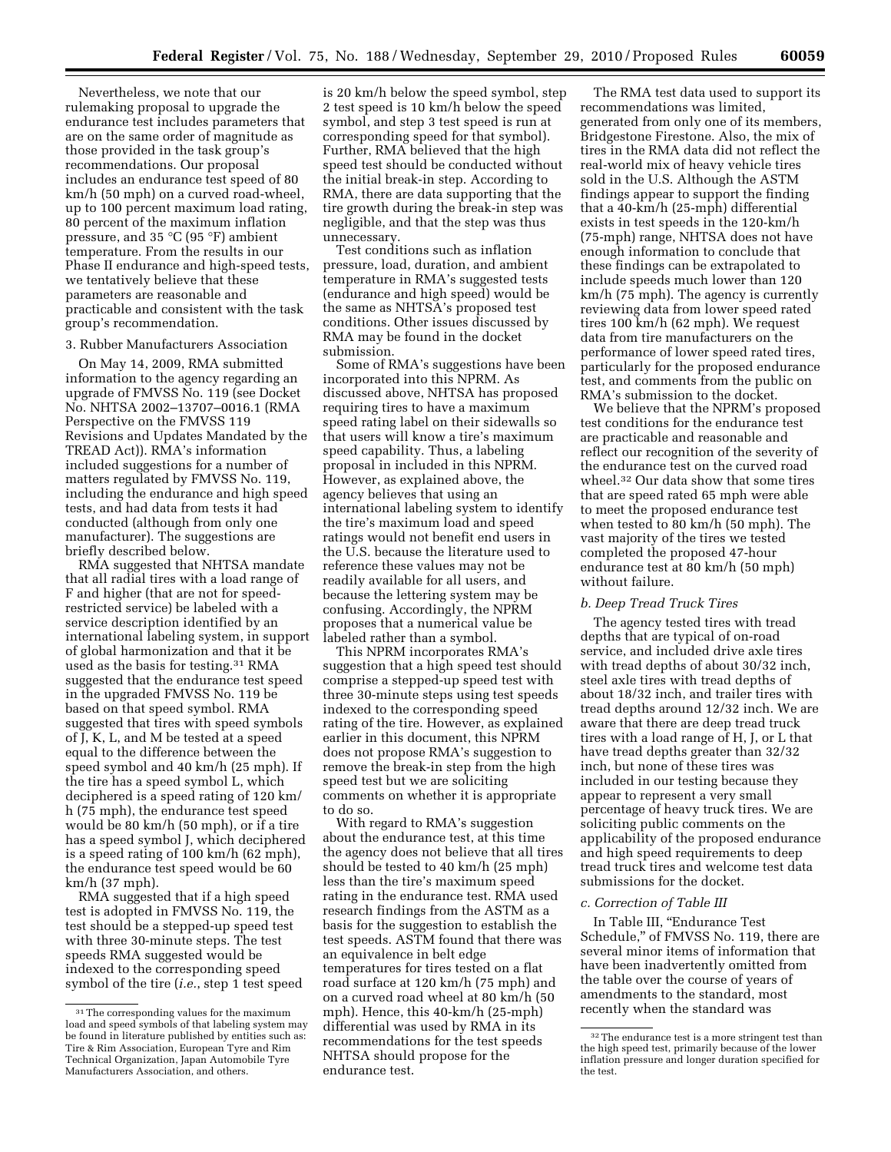Nevertheless, we note that our rulemaking proposal to upgrade the endurance test includes parameters that are on the same order of magnitude as those provided in the task group's recommendations. Our proposal includes an endurance test speed of 80 km/h (50 mph) on a curved road-wheel, up to 100 percent maximum load rating, 80 percent of the maximum inflation pressure, and 35 °C (95 °F) ambient temperature. From the results in our Phase II endurance and high-speed tests, we tentatively believe that these parameters are reasonable and practicable and consistent with the task group's recommendation.

### 3. Rubber Manufacturers Association

On May 14, 2009, RMA submitted information to the agency regarding an upgrade of FMVSS No. 119 (see Docket No. NHTSA 2002–13707–0016.1 (RMA Perspective on the FMVSS 119 Revisions and Updates Mandated by the TREAD Act)). RMA's information included suggestions for a number of matters regulated by FMVSS No. 119, including the endurance and high speed tests, and had data from tests it had conducted (although from only one manufacturer). The suggestions are briefly described below.

RMA suggested that NHTSA mandate that all radial tires with a load range of F and higher (that are not for speedrestricted service) be labeled with a service description identified by an international labeling system, in support of global harmonization and that it be used as the basis for testing.31 RMA suggested that the endurance test speed in the upgraded FMVSS No. 119 be based on that speed symbol. RMA suggested that tires with speed symbols of J, K, L, and M be tested at a speed equal to the difference between the speed symbol and 40 km/h (25 mph). If the tire has a speed symbol L, which deciphered is a speed rating of 120 km/ h (75 mph), the endurance test speed would be 80 km/h (50 mph), or if a tire has a speed symbol J, which deciphered is a speed rating of 100 km/h (62 mph), the endurance test speed would be 60 km/h (37 mph).

RMA suggested that if a high speed test is adopted in FMVSS No. 119, the test should be a stepped-up speed test with three 30-minute steps. The test speeds RMA suggested would be indexed to the corresponding speed symbol of the tire (*i.e.*, step 1 test speed

is 20 km/h below the speed symbol, step 2 test speed is 10 km/h below the speed symbol, and step 3 test speed is run at corresponding speed for that symbol). Further, RMA believed that the high speed test should be conducted without the initial break-in step. According to RMA, there are data supporting that the tire growth during the break-in step was negligible, and that the step was thus unnecessary.

Test conditions such as inflation pressure, load, duration, and ambient temperature in RMA's suggested tests (endurance and high speed) would be the same as NHTSA's proposed test conditions. Other issues discussed by RMA may be found in the docket submission.

Some of RMA's suggestions have been incorporated into this NPRM. As discussed above, NHTSA has proposed requiring tires to have a maximum speed rating label on their sidewalls so that users will know a tire's maximum speed capability. Thus, a labeling proposal in included in this NPRM. However, as explained above, the agency believes that using an international labeling system to identify the tire's maximum load and speed ratings would not benefit end users in the U.S. because the literature used to reference these values may not be readily available for all users, and because the lettering system may be confusing. Accordingly, the NPRM proposes that a numerical value be labeled rather than a symbol.

This NPRM incorporates RMA's suggestion that a high speed test should comprise a stepped-up speed test with three 30-minute steps using test speeds indexed to the corresponding speed rating of the tire. However, as explained earlier in this document, this NPRM does not propose RMA's suggestion to remove the break-in step from the high speed test but we are soliciting comments on whether it is appropriate to do so.

With regard to RMA's suggestion about the endurance test, at this time the agency does not believe that all tires should be tested to 40 km/h (25 mph) less than the tire's maximum speed rating in the endurance test. RMA used research findings from the ASTM as a basis for the suggestion to establish the test speeds. ASTM found that there was an equivalence in belt edge temperatures for tires tested on a flat road surface at 120 km/h (75 mph) and on a curved road wheel at 80 km/h (50 mph). Hence, this 40-km/h (25-mph) differential was used by RMA in its recommendations for the test speeds NHTSA should propose for the endurance test.

The RMA test data used to support its recommendations was limited, generated from only one of its members, Bridgestone Firestone. Also, the mix of tires in the RMA data did not reflect the real-world mix of heavy vehicle tires sold in the U.S. Although the ASTM findings appear to support the finding that a 40-km/h (25-mph) differential exists in test speeds in the 120-km/h (75-mph) range, NHTSA does not have enough information to conclude that these findings can be extrapolated to include speeds much lower than 120 km/h (75 mph). The agency is currently reviewing data from lower speed rated tires 100 km/h (62 mph). We request data from tire manufacturers on the performance of lower speed rated tires, particularly for the proposed endurance test, and comments from the public on RMA's submission to the docket.

We believe that the NPRM's proposed test conditions for the endurance test are practicable and reasonable and reflect our recognition of the severity of the endurance test on the curved road wheel.32 Our data show that some tires that are speed rated 65 mph were able to meet the proposed endurance test when tested to 80 km/h (50 mph). The vast majority of the tires we tested completed the proposed 47-hour endurance test at 80 km/h (50 mph) without failure.

#### *b. Deep Tread Truck Tires*

The agency tested tires with tread depths that are typical of on-road service, and included drive axle tires with tread depths of about 30/32 inch, steel axle tires with tread depths of about 18/32 inch, and trailer tires with tread depths around 12/32 inch. We are aware that there are deep tread truck tires with a load range of H, J, or L that have tread depths greater than 32/32 inch, but none of these tires was included in our testing because they appear to represent a very small percentage of heavy truck tires. We are soliciting public comments on the applicability of the proposed endurance and high speed requirements to deep tread truck tires and welcome test data submissions for the docket.

### *c. Correction of Table III*

In Table III, ''Endurance Test Schedule,'' of FMVSS No. 119, there are several minor items of information that have been inadvertently omitted from the table over the course of years of amendments to the standard, most recently when the standard was

<sup>&</sup>lt;sup>31</sup>The corresponding values for the maximum load and speed symbols of that labeling system may be found in literature published by entities such as: Tire & Rim Association, European Tyre and Rim Technical Organization, Japan Automobile Tyre Manufacturers Association, and others.

<sup>&</sup>lt;sup>32</sup>The endurance test is a more stringent test than the high speed test, primarily because of the lower inflation pressure and longer duration specified for the test.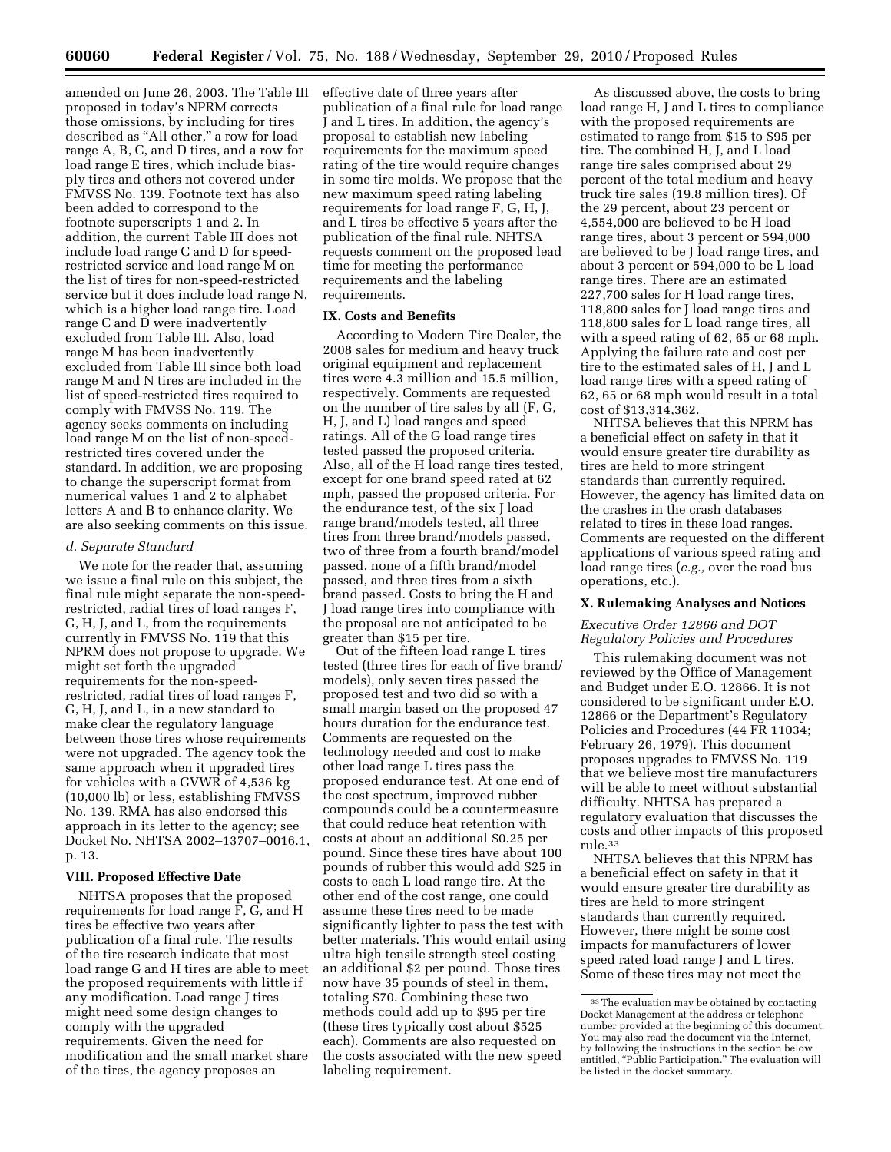amended on June 26, 2003. The Table III proposed in today's NPRM corrects those omissions, by including for tires described as ''All other,'' a row for load range A, B, C, and D tires, and a row for load range E tires, which include biasply tires and others not covered under FMVSS No. 139. Footnote text has also been added to correspond to the footnote superscripts 1 and 2. In addition, the current Table III does not include load range C and D for speedrestricted service and load range M on the list of tires for non-speed-restricted service but it does include load range N, which is a higher load range tire. Load range C and D were inadvertently excluded from Table III. Also, load range M has been inadvertently excluded from Table III since both load range M and N tires are included in the list of speed-restricted tires required to comply with FMVSS No. 119. The agency seeks comments on including load range M on the list of non-speedrestricted tires covered under the standard. In addition, we are proposing to change the superscript format from numerical values 1 and 2 to alphabet letters A and B to enhance clarity. We are also seeking comments on this issue.

#### *d. Separate Standard*

We note for the reader that, assuming we issue a final rule on this subject, the final rule might separate the non-speedrestricted, radial tires of load ranges F, G, H, J, and L, from the requirements currently in FMVSS No. 119 that this NPRM does not propose to upgrade. We might set forth the upgraded requirements for the non-speedrestricted, radial tires of load ranges F, G, H, J, and L, in a new standard to make clear the regulatory language between those tires whose requirements were not upgraded. The agency took the same approach when it upgraded tires for vehicles with a GVWR of 4,536 kg (10,000 lb) or less, establishing FMVSS No. 139. RMA has also endorsed this approach in its letter to the agency; see Docket No. NHTSA 2002–13707–0016.1, p. 13.

## **VIII. Proposed Effective Date**

NHTSA proposes that the proposed requirements for load range F, G, and H tires be effective two years after publication of a final rule. The results of the tire research indicate that most load range G and H tires are able to meet the proposed requirements with little if any modification. Load range J tires might need some design changes to comply with the upgraded requirements. Given the need for modification and the small market share of the tires, the agency proposes an

effective date of three years after publication of a final rule for load range J and L tires. In addition, the agency's proposal to establish new labeling requirements for the maximum speed rating of the tire would require changes in some tire molds. We propose that the new maximum speed rating labeling requirements for load range F, G, H, J, and L tires be effective 5 years after the publication of the final rule. NHTSA requests comment on the proposed lead time for meeting the performance requirements and the labeling requirements.

### **IX. Costs and Benefits**

According to Modern Tire Dealer, the 2008 sales for medium and heavy truck original equipment and replacement tires were 4.3 million and 15.5 million, respectively. Comments are requested on the number of tire sales by all (F, G, H, J, and L) load ranges and speed ratings. All of the G load range tires tested passed the proposed criteria. Also, all of the H load range tires tested, except for one brand speed rated at 62 mph, passed the proposed criteria. For the endurance test, of the six J load range brand/models tested, all three tires from three brand/models passed, two of three from a fourth brand/model passed, none of a fifth brand/model passed, and three tires from a sixth brand passed. Costs to bring the H and J load range tires into compliance with the proposal are not anticipated to be greater than \$15 per tire.

Out of the fifteen load range L tires tested (three tires for each of five brand/ models), only seven tires passed the proposed test and two did so with a small margin based on the proposed 47 hours duration for the endurance test. Comments are requested on the technology needed and cost to make other load range L tires pass the proposed endurance test. At one end of the cost spectrum, improved rubber compounds could be a countermeasure that could reduce heat retention with costs at about an additional \$0.25 per pound. Since these tires have about 100 pounds of rubber this would add \$25 in costs to each L load range tire. At the other end of the cost range, one could assume these tires need to be made significantly lighter to pass the test with better materials. This would entail using ultra high tensile strength steel costing an additional \$2 per pound. Those tires now have 35 pounds of steel in them, totaling \$70. Combining these two methods could add up to \$95 per tire (these tires typically cost about \$525 each). Comments are also requested on the costs associated with the new speed labeling requirement.

As discussed above, the costs to bring load range H, J and L tires to compliance with the proposed requirements are estimated to range from \$15 to \$95 per tire. The combined H, J, and L load range tire sales comprised about 29 percent of the total medium and heavy truck tire sales (19.8 million tires). Of the 29 percent, about 23 percent or 4,554,000 are believed to be H load range tires, about 3 percent or 594,000 are believed to be J load range tires, and about 3 percent or 594,000 to be L load range tires. There are an estimated 227,700 sales for H load range tires, 118,800 sales for J load range tires and 118,800 sales for L load range tires, all with a speed rating of 62, 65 or 68 mph. Applying the failure rate and cost per tire to the estimated sales of H, J and L load range tires with a speed rating of 62, 65 or 68 mph would result in a total cost of \$13,314,362.

NHTSA believes that this NPRM has a beneficial effect on safety in that it would ensure greater tire durability as tires are held to more stringent standards than currently required. However, the agency has limited data on the crashes in the crash databases related to tires in these load ranges. Comments are requested on the different applications of various speed rating and load range tires (*e.g.,* over the road bus operations, etc.).

#### **X. Rulemaking Analyses and Notices**

## *Executive Order 12866 and DOT Regulatory Policies and Procedures*

This rulemaking document was not reviewed by the Office of Management and Budget under E.O. 12866. It is not considered to be significant under E.O. 12866 or the Department's Regulatory Policies and Procedures (44 FR 11034; February 26, 1979). This document proposes upgrades to FMVSS No. 119 that we believe most tire manufacturers will be able to meet without substantial difficulty. NHTSA has prepared a regulatory evaluation that discusses the costs and other impacts of this proposed rule.33

NHTSA believes that this NPRM has a beneficial effect on safety in that it would ensure greater tire durability as tires are held to more stringent standards than currently required. However, there might be some cost impacts for manufacturers of lower speed rated load range J and L tires. Some of these tires may not meet the

<sup>33</sup>The evaluation may be obtained by contacting Docket Management at the address or telephone number provided at the beginning of this document. You may also read the document via the Internet, by following the instructions in the section below entitled, "Public Participation." The evaluation will be listed in the docket summary.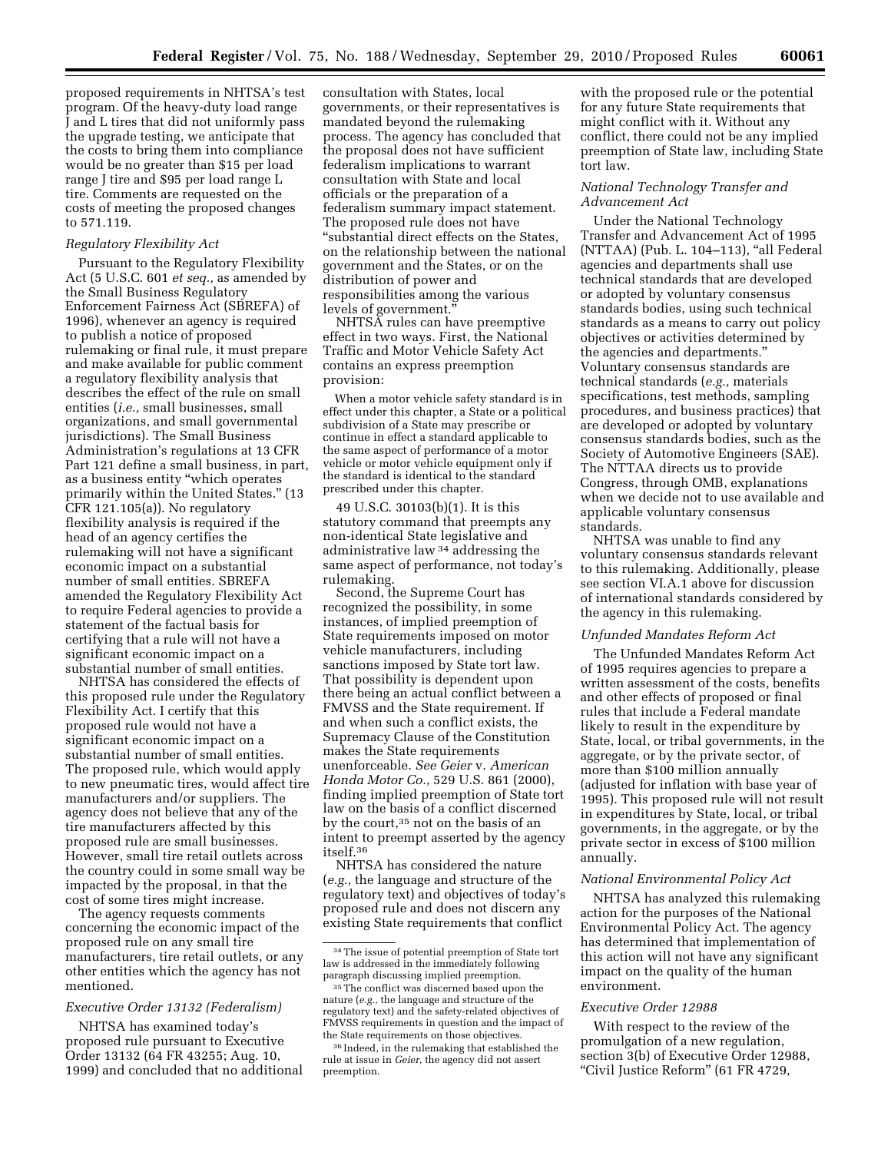proposed requirements in NHTSA's test program. Of the heavy-duty load range J and L tires that did not uniformly pass the upgrade testing, we anticipate that the costs to bring them into compliance would be no greater than \$15 per load range J tire and \$95 per load range L tire. Comments are requested on the costs of meeting the proposed changes to 571.119.

#### *Regulatory Flexibility Act*

Pursuant to the Regulatory Flexibility Act (5 U.S.C. 601 *et seq.,* as amended by the Small Business Regulatory Enforcement Fairness Act (SBREFA) of 1996), whenever an agency is required to publish a notice of proposed rulemaking or final rule, it must prepare and make available for public comment a regulatory flexibility analysis that describes the effect of the rule on small entities (*i.e.,* small businesses, small organizations, and small governmental jurisdictions). The Small Business Administration's regulations at 13 CFR Part 121 define a small business, in part, as a business entity ''which operates primarily within the United States.'' (13 CFR 121.105(a)). No regulatory flexibility analysis is required if the head of an agency certifies the rulemaking will not have a significant economic impact on a substantial number of small entities. SBREFA amended the Regulatory Flexibility Act to require Federal agencies to provide a statement of the factual basis for certifying that a rule will not have a significant economic impact on a substantial number of small entities.

NHTSA has considered the effects of this proposed rule under the Regulatory Flexibility Act. I certify that this proposed rule would not have a significant economic impact on a substantial number of small entities. The proposed rule, which would apply to new pneumatic tires, would affect tire manufacturers and/or suppliers. The agency does not believe that any of the tire manufacturers affected by this proposed rule are small businesses. However, small tire retail outlets across the country could in some small way be impacted by the proposal, in that the cost of some tires might increase.

The agency requests comments concerning the economic impact of the proposed rule on any small tire manufacturers, tire retail outlets, or any other entities which the agency has not mentioned.

### *Executive Order 13132 (Federalism)*

NHTSA has examined today's proposed rule pursuant to Executive Order 13132 (64 FR 43255; Aug. 10, 1999) and concluded that no additional consultation with States, local governments, or their representatives is mandated beyond the rulemaking process. The agency has concluded that the proposal does not have sufficient federalism implications to warrant consultation with State and local officials or the preparation of a federalism summary impact statement. The proposed rule does not have ''substantial direct effects on the States, on the relationship between the national government and the States, or on the distribution of power and responsibilities among the various levels of government.''

NHTSA rules can have preemptive effect in two ways. First, the National Traffic and Motor Vehicle Safety Act contains an express preemption provision:

When a motor vehicle safety standard is in effect under this chapter, a State or a political subdivision of a State may prescribe or continue in effect a standard applicable to the same aspect of performance of a motor vehicle or motor vehicle equipment only if the standard is identical to the standard prescribed under this chapter.

49 U.S.C. 30103(b)(1). It is this statutory command that preempts any non-identical State legislative and administrative law 34 addressing the same aspect of performance, not today's rulemaking.

Second, the Supreme Court has recognized the possibility, in some instances, of implied preemption of State requirements imposed on motor vehicle manufacturers, including sanctions imposed by State tort law. That possibility is dependent upon there being an actual conflict between a FMVSS and the State requirement. If and when such a conflict exists, the Supremacy Clause of the Constitution makes the State requirements unenforceable. *See Geier* v. *American Honda Motor Co.,* 529 U.S. 861 (2000), finding implied preemption of State tort law on the basis of a conflict discerned by the court,35 not on the basis of an intent to preempt asserted by the agency itself.36

NHTSA has considered the nature (*e.g.,* the language and structure of the regulatory text) and objectives of today's proposed rule and does not discern any existing State requirements that conflict

with the proposed rule or the potential for any future State requirements that might conflict with it. Without any conflict, there could not be any implied preemption of State law, including State tort law.

## *National Technology Transfer and Advancement Act*

Under the National Technology Transfer and Advancement Act of 1995 (NTTAA) (Pub. L. 104-113), "all Federal agencies and departments shall use technical standards that are developed or adopted by voluntary consensus standards bodies, using such technical standards as a means to carry out policy objectives or activities determined by the agencies and departments.'' Voluntary consensus standards are technical standards (*e.g.,* materials specifications, test methods, sampling procedures, and business practices) that are developed or adopted by voluntary consensus standards bodies, such as the Society of Automotive Engineers (SAE). The NTTAA directs us to provide Congress, through OMB, explanations when we decide not to use available and applicable voluntary consensus standards.

NHTSA was unable to find any voluntary consensus standards relevant to this rulemaking. Additionally, please see section VI.A.1 above for discussion of international standards considered by the agency in this rulemaking.

### *Unfunded Mandates Reform Act*

The Unfunded Mandates Reform Act of 1995 requires agencies to prepare a written assessment of the costs, benefits and other effects of proposed or final rules that include a Federal mandate likely to result in the expenditure by State, local, or tribal governments, in the aggregate, or by the private sector, of more than \$100 million annually (adjusted for inflation with base year of 1995). This proposed rule will not result in expenditures by State, local, or tribal governments, in the aggregate, or by the private sector in excess of \$100 million annually.

## *National Environmental Policy Act*

NHTSA has analyzed this rulemaking action for the purposes of the National Environmental Policy Act. The agency has determined that implementation of this action will not have any significant impact on the quality of the human environment.

#### *Executive Order 12988*

With respect to the review of the promulgation of a new regulation, section 3(b) of Executive Order 12988, "Civil Justice Reform" (61 FR 4729,

<sup>34</sup>The issue of potential preemption of State tort law is addressed in the immediately following paragraph discussing implied preemption.

<sup>35</sup>The conflict was discerned based upon the nature (*e.g.,* the language and structure of the regulatory text) and the safety-related objectives of FMVSS requirements in question and the impact of the State requirements on those objectives.

<sup>36</sup> Indeed, in the rulemaking that established the rule at issue in *Geier,* the agency did not assert preemption.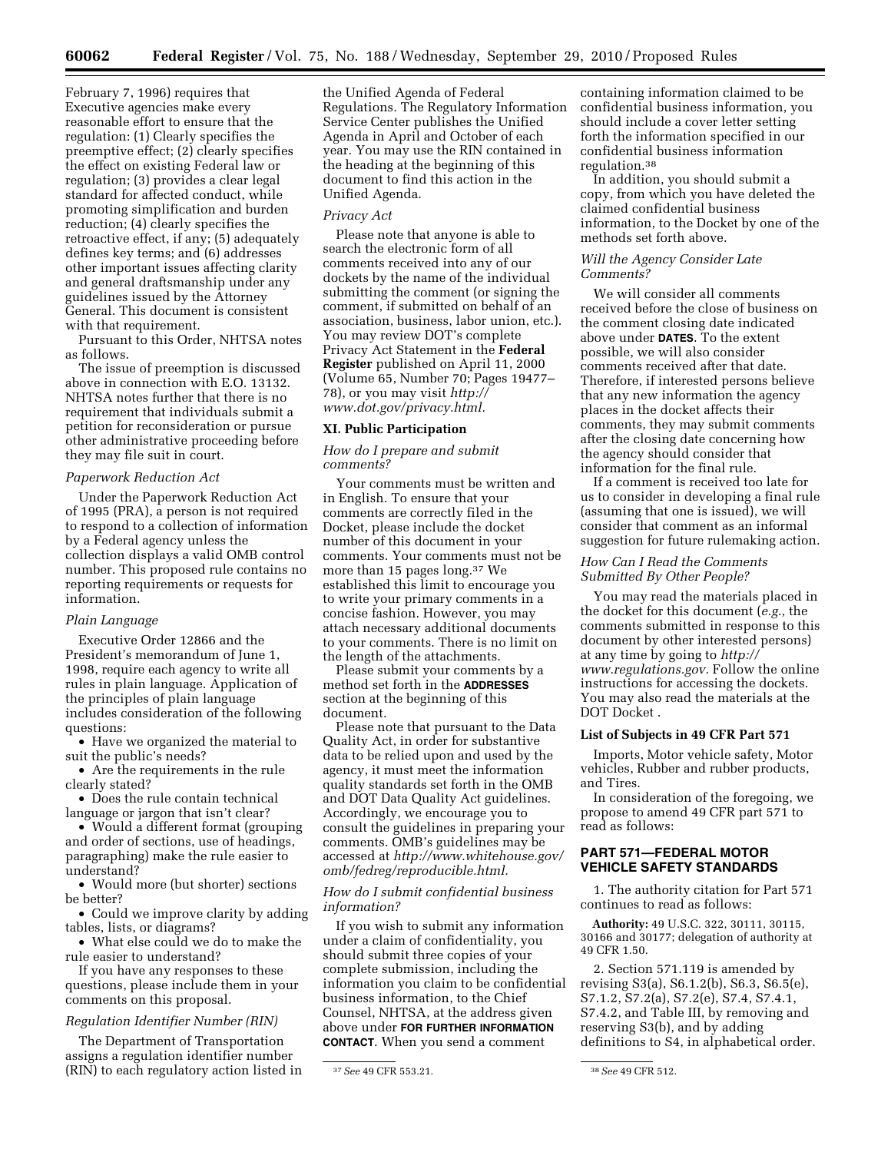February 7, 1996) requires that Executive agencies make every reasonable effort to ensure that the regulation: (1) Clearly specifies the preemptive effect; (2) clearly specifies the effect on existing Federal law or regulation; (3) provides a clear legal standard for affected conduct, while promoting simplification and burden reduction; (4) clearly specifies the retroactive effect, if any; (5) adequately defines key terms; and (6) addresses other important issues affecting clarity and general draftsmanship under any guidelines issued by the Attorney General. This document is consistent with that requirement.

Pursuant to this Order, NHTSA notes as follows.

The issue of preemption is discussed above in connection with E.O. 13132. NHTSA notes further that there is no requirement that individuals submit a petition for reconsideration or pursue other administrative proceeding before they may file suit in court.

### *Paperwork Reduction Act*

Under the Paperwork Reduction Act of 1995 (PRA), a person is not required to respond to a collection of information by a Federal agency unless the collection displays a valid OMB control number. This proposed rule contains no reporting requirements or requests for information.

## *Plain Language*

Executive Order 12866 and the President's memorandum of June 1, 1998, require each agency to write all rules in plain language. Application of the principles of plain language includes consideration of the following questions:

• Have we organized the material to suit the public's needs?

• Are the requirements in the rule clearly stated?

• Does the rule contain technical language or jargon that isn't clear?

• Would a different format (grouping and order of sections, use of headings, paragraphing) make the rule easier to understand?

• Would more (but shorter) sections be better?

• Could we improve clarity by adding tables, lists, or diagrams?

• What else could we do to make the rule easier to understand?

If you have any responses to these questions, please include them in your comments on this proposal.

## *Regulation Identifier Number (RIN)*

The Department of Transportation assigns a regulation identifier number (RIN) to each regulatory action listed in the Unified Agenda of Federal Regulations. The Regulatory Information Service Center publishes the Unified Agenda in April and October of each year. You may use the RIN contained in the heading at the beginning of this document to find this action in the Unified Agenda.

## *Privacy Act*

Please note that anyone is able to search the electronic form of all comments received into any of our dockets by the name of the individual submitting the comment (or signing the comment, if submitted on behalf of an association, business, labor union, etc.). You may review DOT's complete Privacy Act Statement in the **Federal Register** published on April 11, 2000 (Volume 65, Number 70; Pages 19477– 78), or you may visit *[http://](http://www.dot.gov/privacy.html)  [www.dot.gov/privacy.html.](http://www.dot.gov/privacy.html)* 

## **XI. Public Participation**

## *How do I prepare and submit comments?*

Your comments must be written and in English. To ensure that your comments are correctly filed in the Docket, please include the docket number of this document in your comments. Your comments must not be more than 15 pages long.37 We established this limit to encourage you to write your primary comments in a concise fashion. However, you may attach necessary additional documents to your comments. There is no limit on the length of the attachments.

Please submit your comments by a method set forth in the **ADDRESSES** section at the beginning of this document.

Please note that pursuant to the Data Quality Act, in order for substantive data to be relied upon and used by the agency, it must meet the information quality standards set forth in the OMB and DOT Data Quality Act guidelines. Accordingly, we encourage you to consult the guidelines in preparing your comments. OMB's guidelines may be accessed at *http://www.whitehouse.gov/ [omb/fedreg/reproducible.html.](http://www.whitehouse.gov/omb/fedreg/reproducible.html)* 

## *How do I submit confidential business information?*

If you wish to submit any information under a claim of confidentiality, you should submit three copies of your complete submission, including the information you claim to be confidential business information, to the Chief Counsel, NHTSA, at the address given above under **FOR FURTHER INFORMATION CONTACT**. When you send a comment

containing information claimed to be confidential business information, you should include a cover letter setting forth the information specified in our confidential business information regulation.38

In addition, you should submit a copy, from which you have deleted the claimed confidential business information, to the Docket by one of the methods set forth above.

#### *Will the Agency Consider Late Comments?*

We will consider all comments received before the close of business on the comment closing date indicated above under **DATES**. To the extent possible, we will also consider comments received after that date. Therefore, if interested persons believe that any new information the agency places in the docket affects their comments, they may submit comments after the closing date concerning how the agency should consider that information for the final rule.

If a comment is received too late for us to consider in developing a final rule (assuming that one is issued), we will consider that comment as an informal suggestion for future rulemaking action.

## *How Can I Read the Comments Submitted By Other People?*

You may read the materials placed in the docket for this document (*e.g.,* the comments submitted in response to this document by other interested persons) at any time by going to *[http://](http://www.regulations.gov)  [www.regulations.gov.](http://www.regulations.gov)* Follow the online instructions for accessing the dockets. You may also read the materials at the DOT Docket .

## **List of Subjects in 49 CFR Part 571**

Imports, Motor vehicle safety, Motor vehicles, Rubber and rubber products, and Tires.

In consideration of the foregoing, we propose to amend 49 CFR part 571 to read as follows:

### **PART 571—FEDERAL MOTOR VEHICLE SAFETY STANDARDS**

1. The authority citation for Part 571 continues to read as follows:

**Authority:** 49 U.S.C. 322, 30111, 30115, 30166 and 30177; delegation of authority at 49 CFR 1.50.

2. Section 571.119 is amended by revising S3(a), S6.1.2(b), S6.3, S6.5(e), S7.1.2, S7.2(a), S7.2(e), S7.4, S7.4.1, S7.4.2, and Table III, by removing and reserving S3(b), and by adding definitions to S4, in alphabetical order.

<sup>37</sup>*See* 49 CFR 553.21. 38*See* 49 CFR 512.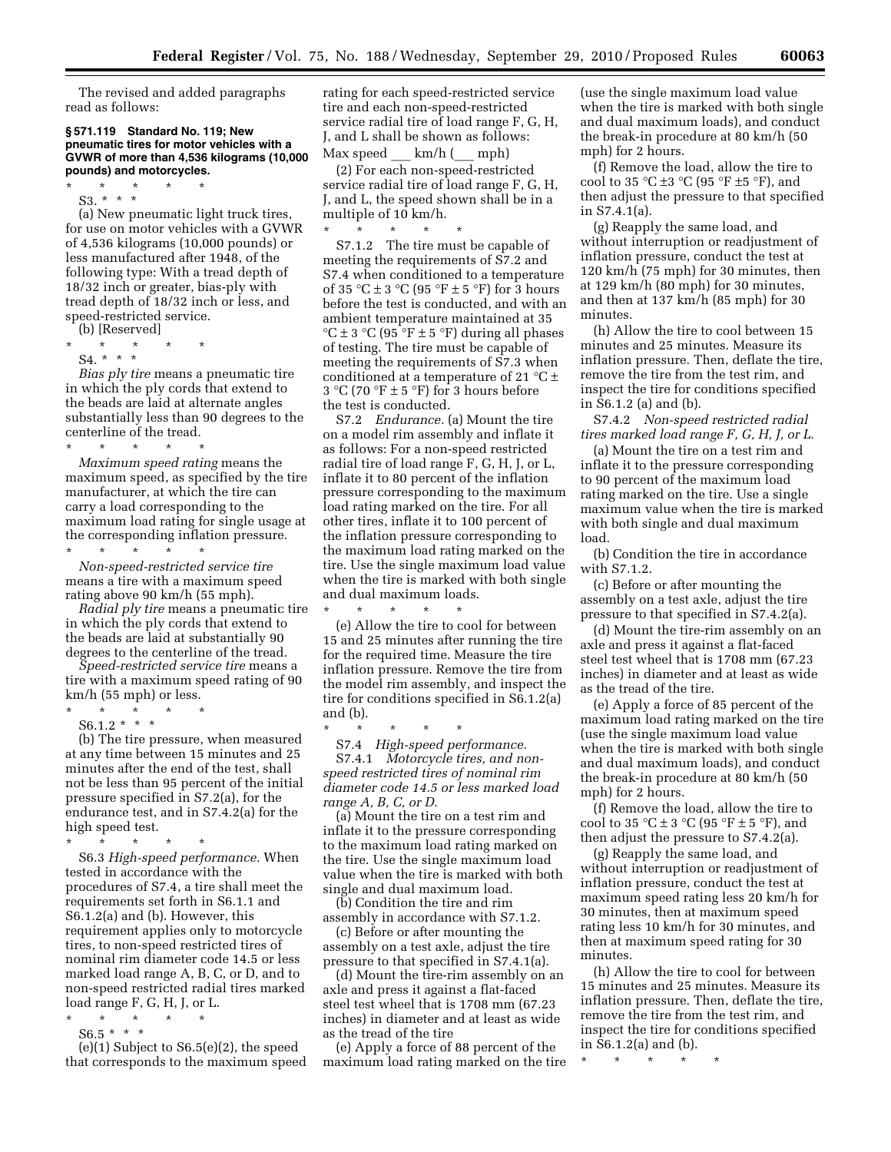The revised and added paragraphs read as follows:

#### **§ 571.119 Standard No. 119; New pneumatic tires for motor vehicles with a GVWR of more than 4,536 kilograms (10,000 pounds) and motorcycles.**

- \* \* \* \* \*
	- S3. \* \* \*

(a) New pneumatic light truck tires, for use on motor vehicles with a GVWR of 4,536 kilograms (10,000 pounds) or less manufactured after 1948, of the following type: With a tread depth of 18/32 inch or greater, bias-ply with tread depth of 18/32 inch or less, and speed-restricted service.

(b) [Reserved]

- \* \* \* \* \*
- S4. \* \* \*

*Bias ply tire* means a pneumatic tire in which the ply cords that extend to the beads are laid at alternate angles substantially less than 90 degrees to the centerline of the tread.

\* \* \* \* \* *Maximum speed rating* means the maximum speed, as specified by the tire manufacturer, at which the tire can carry a load corresponding to the maximum load rating for single usage at the corresponding inflation pressure.

\* \* \* \* \* *Non-speed-restricted service tire*  means a tire with a maximum speed rating above 90 km/h (55 mph).

*Radial ply tire* means a pneumatic tire in which the ply cords that extend to the beads are laid at substantially 90 degrees to the centerline of the tread.

*Speed-restricted service tire* means a tire with a maximum speed rating of 90 km/h (55 mph) or less.

\* \* \* \* \*

 $S6.1.2$  \* \* \* (b) The tire pressure, when measured

at any time between 15 minutes and 25 minutes after the end of the test, shall not be less than 95 percent of the initial pressure specified in S7.2(a), for the endurance test, and in S7.4.2(a) for the high speed test.

- \* \* \* \* \* S6.3 *High-speed performance.* When tested in accordance with the procedures of S7.4, a tire shall meet the requirements set forth in S6.1.1 and S6.1.2(a) and (b). However, this requirement applies only to motorcycle tires, to non-speed restricted tires of nominal rim diameter code 14.5 or less marked load range A, B, C, or D, and to non-speed restricted radial tires marked load range F, G, H, J, or L.
- \* \* \* \* \*  $S6.5$  \* \* \*

(e)(1) Subject to S6.5(e)(2), the speed that corresponds to the maximum speed rating for each speed-restricted service tire and each non-speed-restricted service radial tire of load range F, G, H, J, and L shall be shown as follows: Max speed \_\_\_ km/h (\_\_\_ mph)

(2) For each non-speed-restricted service radial tire of load range F, G, H, J, and L, the speed shown shall be in a multiple of 10 km/h.  $\star$   $\star$   $\star$ 

S7.1.2 The tire must be capable of meeting the requirements of S7.2 and S7.4 when conditioned to a temperature of 35 °C  $\pm$  3 °C (95 °F  $\pm$  5 °F) for 3 hours before the test is conducted, and with an ambient temperature maintained at 35  ${}^{\circ}C \pm 3 {}^{\circ}C$  (95  ${}^{\circ}F \pm 5 {}^{\circ}F$ ) during all phases of testing. The tire must be capable of meeting the requirements of S7.3 when conditioned at a temperature of 21  $^{\circ}$ C  $\pm$ 3 °C (70 °F  $\pm$  5 °F) for 3 hours before the test is conducted.

S7.2 *Endurance.* (a) Mount the tire on a model rim assembly and inflate it as follows: For a non-speed restricted radial tire of load range F, G, H, J, or L, inflate it to 80 percent of the inflation pressure corresponding to the maximum load rating marked on the tire. For all other tires, inflate it to 100 percent of the inflation pressure corresponding to the maximum load rating marked on the tire. Use the single maximum load value when the tire is marked with both single and dual maximum loads.

\* \* \* \* \* (e) Allow the tire to cool for between 15 and 25 minutes after running the tire for the required time. Measure the tire inflation pressure. Remove the tire from the model rim assembly, and inspect the tire for conditions specified in S6.1.2(a) and (b).

\* \* \* \* \*

S7.4 *High-speed performance.*  S7.4.1 *Motorcycle tires, and nonspeed restricted tires of nominal rim diameter code 14.5 or less marked load range A, B, C, or D.* 

(a) Mount the tire on a test rim and inflate it to the pressure corresponding to the maximum load rating marked on the tire. Use the single maximum load value when the tire is marked with both single and dual maximum load.

(b) Condition the tire and rim assembly in accordance with S7.1.2.

(c) Before or after mounting the assembly on a test axle, adjust the tire pressure to that specified in S7.4.1(a).

(d) Mount the tire-rim assembly on an axle and press it against a flat-faced steel test wheel that is 1708 mm (67.23 inches) in diameter and at least as wide as the tread of the tire

(e) Apply a force of 88 percent of the maximum load rating marked on the tire

(use the single maximum load value when the tire is marked with both single and dual maximum loads), and conduct the break-in procedure at 80 km/h (50 mph) for 2 hours.

(f) Remove the load, allow the tire to cool to 35 °C  $\pm$ 3 °C (95 °F  $\pm$ 5 °F), and then adjust the pressure to that specified in S7.4.1(a).

(g) Reapply the same load, and without interruption or readjustment of inflation pressure, conduct the test at 120 km/h (75 mph) for 30 minutes, then at 129 km/h (80 mph) for 30 minutes, and then at 137 km/h (85 mph) for 30 minutes.

(h) Allow the tire to cool between 15 minutes and 25 minutes. Measure its inflation pressure. Then, deflate the tire, remove the tire from the test rim, and inspect the tire for conditions specified in S6.1.2 (a) and (b).

S7.4.2 *Non-speed restricted radial tires marked load range F, G, H, J, or L.* 

(a) Mount the tire on a test rim and inflate it to the pressure corresponding to 90 percent of the maximum load rating marked on the tire. Use a single maximum value when the tire is marked with both single and dual maximum load.

(b) Condition the tire in accordance with S7.1.2.

(c) Before or after mounting the assembly on a test axle, adjust the tire pressure to that specified in S7.4.2(a).

(d) Mount the tire-rim assembly on an axle and press it against a flat-faced steel test wheel that is 1708 mm (67.23 inches) in diameter and at least as wide as the tread of the tire.

(e) Apply a force of 85 percent of the maximum load rating marked on the tire (use the single maximum load value when the tire is marked with both single and dual maximum loads), and conduct the break-in procedure at 80 km/h (50 mph) for 2 hours.

(f) Remove the load, allow the tire to cool to 35 °C  $\pm$  3 °C (95 °F  $\pm$  5 °F), and then adjust the pressure to S7.4.2(a).

(g) Reapply the same load, and without interruption or readjustment of inflation pressure, conduct the test at maximum speed rating less 20 km/h for 30 minutes, then at maximum speed rating less 10 km/h for 30 minutes, and then at maximum speed rating for 30 minutes.

(h) Allow the tire to cool for between 15 minutes and 25 minutes. Measure its inflation pressure. Then, deflate the tire, remove the tire from the test rim, and inspect the tire for conditions specified in S6.1.2(a) and (b).

\* \* \* \* \*